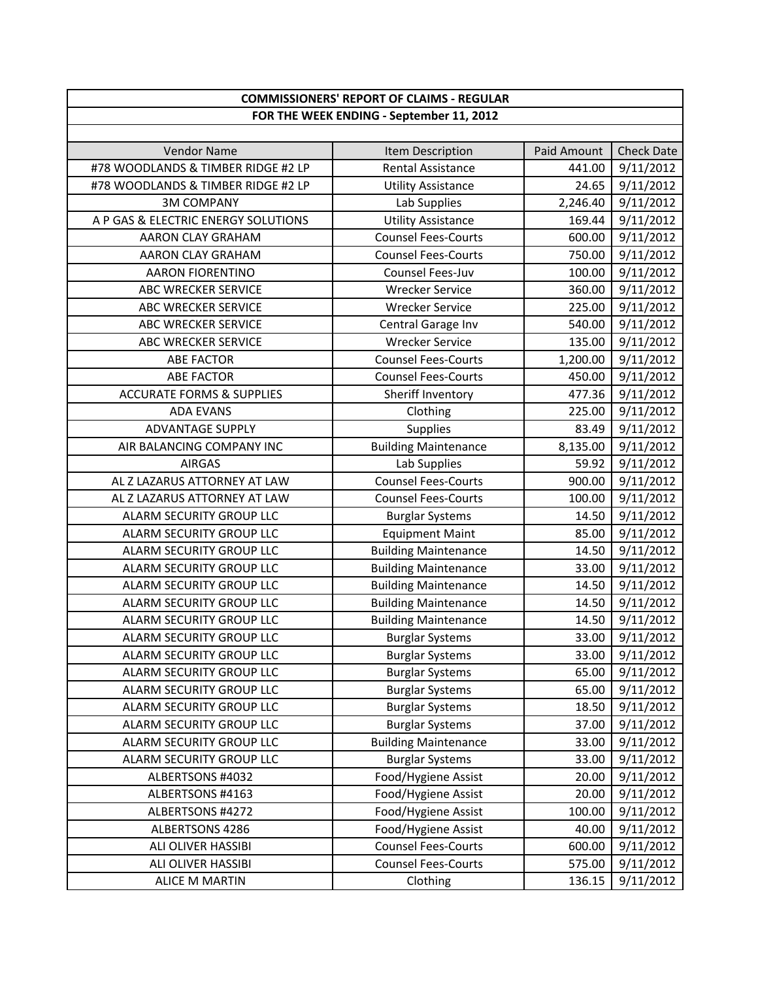| <b>COMMISSIONERS' REPORT OF CLAIMS - REGULAR</b> |                                          |             |                   |
|--------------------------------------------------|------------------------------------------|-------------|-------------------|
|                                                  | FOR THE WEEK ENDING - September 11, 2012 |             |                   |
|                                                  |                                          |             |                   |
| <b>Vendor Name</b>                               | Item Description                         | Paid Amount | <b>Check Date</b> |
| #78 WOODLANDS & TIMBER RIDGE #2 LP               | <b>Rental Assistance</b>                 | 441.00      | 9/11/2012         |
| #78 WOODLANDS & TIMBER RIDGE #2 LP               | <b>Utility Assistance</b>                | 24.65       | 9/11/2012         |
| <b>3M COMPANY</b>                                | Lab Supplies                             | 2,246.40    | 9/11/2012         |
| A P GAS & ELECTRIC ENERGY SOLUTIONS              | <b>Utility Assistance</b>                | 169.44      | 9/11/2012         |
| <b>AARON CLAY GRAHAM</b>                         | <b>Counsel Fees-Courts</b>               | 600.00      | 9/11/2012         |
| AARON CLAY GRAHAM                                | <b>Counsel Fees-Courts</b>               | 750.00      | 9/11/2012         |
| <b>AARON FIORENTINO</b>                          | Counsel Fees-Juv                         | 100.00      | 9/11/2012         |
| ABC WRECKER SERVICE                              | <b>Wrecker Service</b>                   | 360.00      | 9/11/2012         |
| ABC WRECKER SERVICE                              | <b>Wrecker Service</b>                   | 225.00      | 9/11/2012         |
| ABC WRECKER SERVICE                              | Central Garage Inv                       | 540.00      | 9/11/2012         |
| ABC WRECKER SERVICE                              | <b>Wrecker Service</b>                   | 135.00      | 9/11/2012         |
| <b>ABE FACTOR</b>                                | <b>Counsel Fees-Courts</b>               | 1,200.00    | 9/11/2012         |
| <b>ABE FACTOR</b>                                | <b>Counsel Fees-Courts</b>               | 450.00      | 9/11/2012         |
| <b>ACCURATE FORMS &amp; SUPPLIES</b>             | Sheriff Inventory                        | 477.36      | 9/11/2012         |
| <b>ADA EVANS</b>                                 | Clothing                                 | 225.00      | 9/11/2012         |
| <b>ADVANTAGE SUPPLY</b>                          | <b>Supplies</b>                          | 83.49       | 9/11/2012         |
| AIR BALANCING COMPANY INC                        | <b>Building Maintenance</b>              | 8,135.00    | 9/11/2012         |
| <b>AIRGAS</b>                                    | Lab Supplies                             | 59.92       | 9/11/2012         |
| AL Z LAZARUS ATTORNEY AT LAW                     | <b>Counsel Fees-Courts</b>               | 900.00      | 9/11/2012         |
| AL Z LAZARUS ATTORNEY AT LAW                     | <b>Counsel Fees-Courts</b>               | 100.00      | 9/11/2012         |
| ALARM SECURITY GROUP LLC                         | <b>Burglar Systems</b>                   | 14.50       | 9/11/2012         |
| <b>ALARM SECURITY GROUP LLC</b>                  | <b>Equipment Maint</b>                   | 85.00       | 9/11/2012         |
| ALARM SECURITY GROUP LLC                         | <b>Building Maintenance</b>              | 14.50       | 9/11/2012         |
| <b>ALARM SECURITY GROUP LLC</b>                  | <b>Building Maintenance</b>              | 33.00       | 9/11/2012         |
| ALARM SECURITY GROUP LLC                         | <b>Building Maintenance</b>              | 14.50       | 9/11/2012         |
| ALARM SECURITY GROUP LLC                         | <b>Building Maintenance</b>              | 14.50       | 9/11/2012         |
| ALARM SECURITY GROUP LLC                         | <b>Building Maintenance</b>              | 14.50       | 9/11/2012         |
| ALARM SECURITY GROUP LLC                         | <b>Burglar Systems</b>                   | 33.00       | 9/11/2012         |
| ALARM SECURITY GROUP LLC                         | <b>Burglar Systems</b>                   | 33.00       | 9/11/2012         |
| ALARM SECURITY GROUP LLC                         | <b>Burglar Systems</b>                   | 65.00       | 9/11/2012         |
| ALARM SECURITY GROUP LLC                         | <b>Burglar Systems</b>                   | 65.00       | 9/11/2012         |
| ALARM SECURITY GROUP LLC                         | <b>Burglar Systems</b>                   | 18.50       | 9/11/2012         |
| ALARM SECURITY GROUP LLC                         | <b>Burglar Systems</b>                   | 37.00       | 9/11/2012         |
| ALARM SECURITY GROUP LLC                         | <b>Building Maintenance</b>              | 33.00       | 9/11/2012         |
| ALARM SECURITY GROUP LLC                         | <b>Burglar Systems</b>                   | 33.00       | 9/11/2012         |
| ALBERTSONS #4032                                 | Food/Hygiene Assist                      | 20.00       | 9/11/2012         |
| ALBERTSONS #4163                                 | Food/Hygiene Assist                      | 20.00       | 9/11/2012         |
| ALBERTSONS #4272                                 | Food/Hygiene Assist                      | 100.00      | 9/11/2012         |
| ALBERTSONS 4286                                  | Food/Hygiene Assist                      | 40.00       | 9/11/2012         |
| ALI OLIVER HASSIBI                               | <b>Counsel Fees-Courts</b>               | 600.00      | 9/11/2012         |
| ALI OLIVER HASSIBI                               | <b>Counsel Fees-Courts</b>               | 575.00      | 9/11/2012         |
| <b>ALICE M MARTIN</b>                            | Clothing                                 | 136.15      | 9/11/2012         |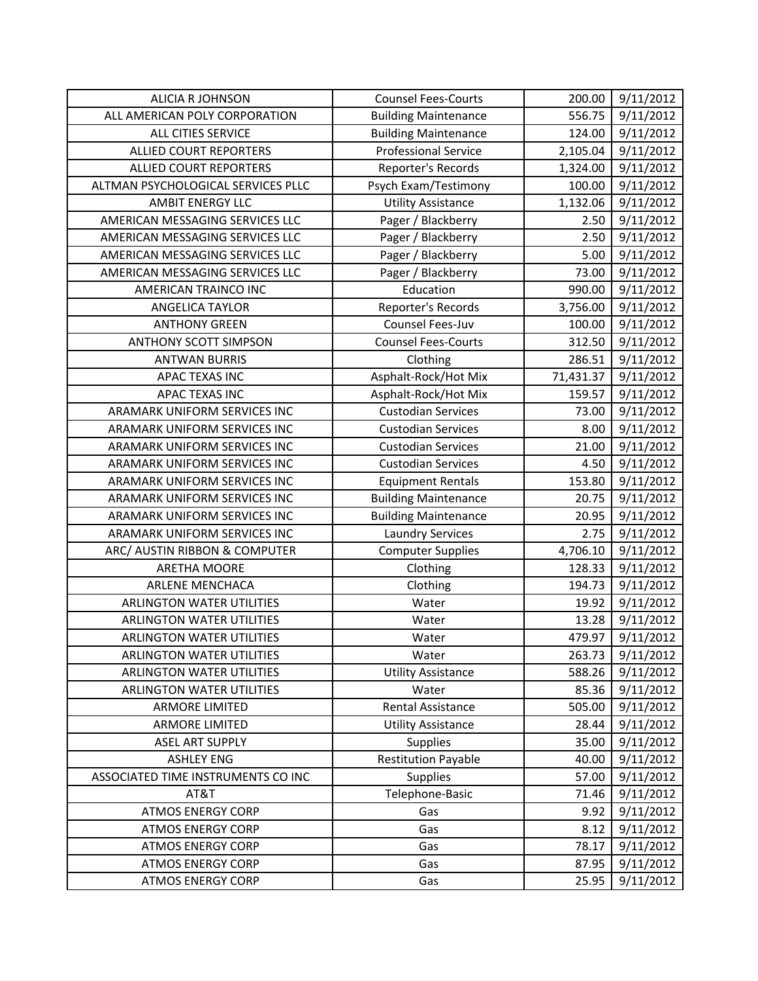| <b>ALICIA R JOHNSON</b>            | <b>Counsel Fees-Courts</b>  | 200.00    | 9/11/2012 |
|------------------------------------|-----------------------------|-----------|-----------|
| ALL AMERICAN POLY CORPORATION      | <b>Building Maintenance</b> | 556.75    | 9/11/2012 |
| ALL CITIES SERVICE                 | <b>Building Maintenance</b> | 124.00    | 9/11/2012 |
| <b>ALLIED COURT REPORTERS</b>      | <b>Professional Service</b> | 2,105.04  | 9/11/2012 |
| <b>ALLIED COURT REPORTERS</b>      | Reporter's Records          | 1,324.00  | 9/11/2012 |
| ALTMAN PSYCHOLOGICAL SERVICES PLLC | Psych Exam/Testimony        | 100.00    | 9/11/2012 |
| <b>AMBIT ENERGY LLC</b>            | <b>Utility Assistance</b>   | 1,132.06  | 9/11/2012 |
| AMERICAN MESSAGING SERVICES LLC    | Pager / Blackberry          | 2.50      | 9/11/2012 |
| AMERICAN MESSAGING SERVICES LLC    | Pager / Blackberry          | 2.50      | 9/11/2012 |
| AMERICAN MESSAGING SERVICES LLC    | Pager / Blackberry          | 5.00      | 9/11/2012 |
| AMERICAN MESSAGING SERVICES LLC    | Pager / Blackberry          | 73.00     | 9/11/2012 |
| AMERICAN TRAINCO INC               | Education                   | 990.00    | 9/11/2012 |
| ANGELICA TAYLOR                    | Reporter's Records          | 3,756.00  | 9/11/2012 |
| <b>ANTHONY GREEN</b>               | Counsel Fees-Juv            | 100.00    | 9/11/2012 |
| <b>ANTHONY SCOTT SIMPSON</b>       | <b>Counsel Fees-Courts</b>  | 312.50    | 9/11/2012 |
| <b>ANTWAN BURRIS</b>               | Clothing                    | 286.51    | 9/11/2012 |
| APAC TEXAS INC                     | Asphalt-Rock/Hot Mix        | 71,431.37 | 9/11/2012 |
| <b>APAC TEXAS INC</b>              | Asphalt-Rock/Hot Mix        | 159.57    | 9/11/2012 |
| ARAMARK UNIFORM SERVICES INC       | <b>Custodian Services</b>   | 73.00     | 9/11/2012 |
| ARAMARK UNIFORM SERVICES INC       | <b>Custodian Services</b>   | 8.00      | 9/11/2012 |
| ARAMARK UNIFORM SERVICES INC       | <b>Custodian Services</b>   | 21.00     | 9/11/2012 |
| ARAMARK UNIFORM SERVICES INC       | <b>Custodian Services</b>   | 4.50      | 9/11/2012 |
| ARAMARK UNIFORM SERVICES INC       | <b>Equipment Rentals</b>    | 153.80    | 9/11/2012 |
| ARAMARK UNIFORM SERVICES INC       | <b>Building Maintenance</b> | 20.75     | 9/11/2012 |
| ARAMARK UNIFORM SERVICES INC       | <b>Building Maintenance</b> | 20.95     | 9/11/2012 |
| ARAMARK UNIFORM SERVICES INC       | <b>Laundry Services</b>     | 2.75      | 9/11/2012 |
| ARC/ AUSTIN RIBBON & COMPUTER      | <b>Computer Supplies</b>    | 4,706.10  | 9/11/2012 |
| <b>ARETHA MOORE</b>                | Clothing                    | 128.33    | 9/11/2012 |
| <b>ARLENE MENCHACA</b>             | Clothing                    | 194.73    | 9/11/2012 |
| <b>ARLINGTON WATER UTILITIES</b>   | Water                       | 19.92     | 9/11/2012 |
| <b>ARLINGTON WATER UTILITIES</b>   | Water                       | 13.28     | 9/11/2012 |
| <b>ARLINGTON WATER UTILITIES</b>   | Water                       | 479.97    | 9/11/2012 |
| <b>ARLINGTON WATER UTILITIES</b>   | Water                       | 263.73    | 9/11/2012 |
| <b>ARLINGTON WATER UTILITIES</b>   | <b>Utility Assistance</b>   | 588.26    | 9/11/2012 |
| <b>ARLINGTON WATER UTILITIES</b>   | Water                       | 85.36     | 9/11/2012 |
| <b>ARMORE LIMITED</b>              | Rental Assistance           | 505.00    | 9/11/2012 |
| <b>ARMORE LIMITED</b>              | <b>Utility Assistance</b>   | 28.44     | 9/11/2012 |
| <b>ASEL ART SUPPLY</b>             | <b>Supplies</b>             | 35.00     | 9/11/2012 |
| <b>ASHLEY ENG</b>                  | <b>Restitution Payable</b>  | 40.00     | 9/11/2012 |
| ASSOCIATED TIME INSTRUMENTS CO INC | <b>Supplies</b>             | 57.00     | 9/11/2012 |
| AT&T                               | Telephone-Basic             | 71.46     | 9/11/2012 |
| <b>ATMOS ENERGY CORP</b>           | Gas                         | 9.92      | 9/11/2012 |
| <b>ATMOS ENERGY CORP</b>           | Gas                         | 8.12      | 9/11/2012 |
| <b>ATMOS ENERGY CORP</b>           | Gas                         | 78.17     | 9/11/2012 |
| <b>ATMOS ENERGY CORP</b>           | Gas                         | 87.95     | 9/11/2012 |
| <b>ATMOS ENERGY CORP</b>           | Gas                         | 25.95     | 9/11/2012 |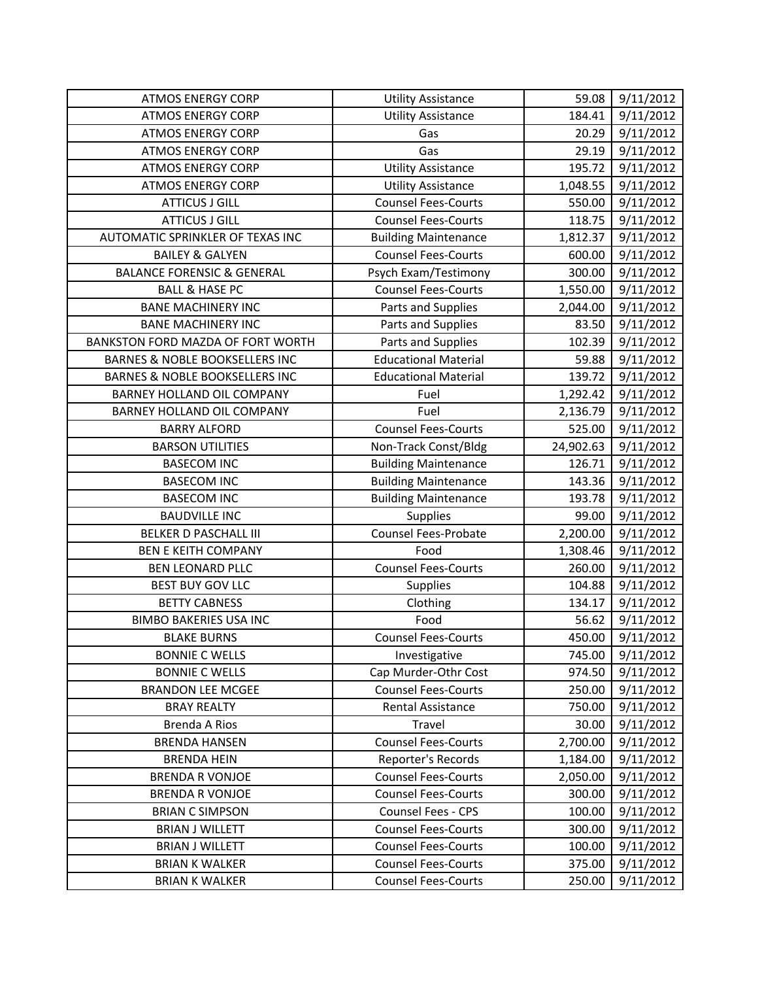| <b>ATMOS ENERGY CORP</b>                  | <b>Utility Assistance</b>   | 59.08     | 9/11/2012 |
|-------------------------------------------|-----------------------------|-----------|-----------|
| <b>ATMOS ENERGY CORP</b>                  | <b>Utility Assistance</b>   | 184.41    | 9/11/2012 |
| <b>ATMOS ENERGY CORP</b>                  | Gas                         | 20.29     | 9/11/2012 |
| <b>ATMOS ENERGY CORP</b>                  | Gas                         | 29.19     | 9/11/2012 |
| <b>ATMOS ENERGY CORP</b>                  | <b>Utility Assistance</b>   | 195.72    | 9/11/2012 |
| <b>ATMOS ENERGY CORP</b>                  | <b>Utility Assistance</b>   | 1,048.55  | 9/11/2012 |
| <b>ATTICUS J GILL</b>                     | <b>Counsel Fees-Courts</b>  | 550.00    | 9/11/2012 |
| <b>ATTICUS J GILL</b>                     | <b>Counsel Fees-Courts</b>  | 118.75    | 9/11/2012 |
| AUTOMATIC SPRINKLER OF TEXAS INC          | <b>Building Maintenance</b> | 1,812.37  | 9/11/2012 |
| <b>BAILEY &amp; GALYEN</b>                | <b>Counsel Fees-Courts</b>  | 600.00    | 9/11/2012 |
| <b>BALANCE FORENSIC &amp; GENERAL</b>     | Psych Exam/Testimony        | 300.00    | 9/11/2012 |
| <b>BALL &amp; HASE PC</b>                 | <b>Counsel Fees-Courts</b>  | 1,550.00  | 9/11/2012 |
| <b>BANE MACHINERY INC</b>                 | Parts and Supplies          | 2,044.00  | 9/11/2012 |
| <b>BANE MACHINERY INC</b>                 | Parts and Supplies          | 83.50     | 9/11/2012 |
| BANKSTON FORD MAZDA OF FORT WORTH         | Parts and Supplies          | 102.39    | 9/11/2012 |
| <b>BARNES &amp; NOBLE BOOKSELLERS INC</b> | <b>Educational Material</b> | 59.88     | 9/11/2012 |
| <b>BARNES &amp; NOBLE BOOKSELLERS INC</b> | <b>Educational Material</b> | 139.72    | 9/11/2012 |
| BARNEY HOLLAND OIL COMPANY                | Fuel                        | 1,292.42  | 9/11/2012 |
| BARNEY HOLLAND OIL COMPANY                | Fuel                        | 2,136.79  | 9/11/2012 |
| <b>BARRY ALFORD</b>                       | <b>Counsel Fees-Courts</b>  | 525.00    | 9/11/2012 |
| <b>BARSON UTILITIES</b>                   | Non-Track Const/Bldg        | 24,902.63 | 9/11/2012 |
| <b>BASECOM INC</b>                        | <b>Building Maintenance</b> | 126.71    | 9/11/2012 |
| <b>BASECOM INC</b>                        | <b>Building Maintenance</b> | 143.36    | 9/11/2012 |
| <b>BASECOM INC</b>                        | <b>Building Maintenance</b> | 193.78    | 9/11/2012 |
| <b>BAUDVILLE INC</b>                      | <b>Supplies</b>             | 99.00     | 9/11/2012 |
| <b>BELKER D PASCHALL III</b>              | <b>Counsel Fees-Probate</b> | 2,200.00  | 9/11/2012 |
| <b>BEN E KEITH COMPANY</b>                | Food                        | 1,308.46  | 9/11/2012 |
| <b>BEN LEONARD PLLC</b>                   | <b>Counsel Fees-Courts</b>  | 260.00    | 9/11/2012 |
| <b>BEST BUY GOV LLC</b>                   | Supplies                    | 104.88    | 9/11/2012 |
| <b>BETTY CABNESS</b>                      | Clothing                    | 134.17    | 9/11/2012 |
| <b>BIMBO BAKERIES USA INC</b>             | Food                        | 56.62     | 9/11/2012 |
| <b>BLAKE BURNS</b>                        | <b>Counsel Fees-Courts</b>  | 450.00    | 9/11/2012 |
| <b>BONNIE C WELLS</b>                     | Investigative               | 745.00    | 9/11/2012 |
| <b>BONNIE C WELLS</b>                     | Cap Murder-Othr Cost        | 974.50    | 9/11/2012 |
| <b>BRANDON LEE MCGEE</b>                  | <b>Counsel Fees-Courts</b>  | 250.00    | 9/11/2012 |
| <b>BRAY REALTY</b>                        | Rental Assistance           | 750.00    | 9/11/2012 |
| <b>Brenda A Rios</b>                      | Travel                      | 30.00     | 9/11/2012 |
| <b>BRENDA HANSEN</b>                      | <b>Counsel Fees-Courts</b>  | 2,700.00  | 9/11/2012 |
| <b>BRENDA HEIN</b>                        | Reporter's Records          | 1,184.00  | 9/11/2012 |
| <b>BRENDA R VONJOE</b>                    | <b>Counsel Fees-Courts</b>  | 2,050.00  | 9/11/2012 |
| <b>BRENDA R VONJOE</b>                    | <b>Counsel Fees-Courts</b>  | 300.00    | 9/11/2012 |
| <b>BRIAN C SIMPSON</b>                    | Counsel Fees - CPS          | 100.00    | 9/11/2012 |
| <b>BRIAN J WILLETT</b>                    | <b>Counsel Fees-Courts</b>  | 300.00    | 9/11/2012 |
| <b>BRIAN J WILLETT</b>                    | <b>Counsel Fees-Courts</b>  | 100.00    | 9/11/2012 |
| <b>BRIAN K WALKER</b>                     | <b>Counsel Fees-Courts</b>  | 375.00    | 9/11/2012 |
| <b>BRIAN K WALKER</b>                     | <b>Counsel Fees-Courts</b>  | 250.00    | 9/11/2012 |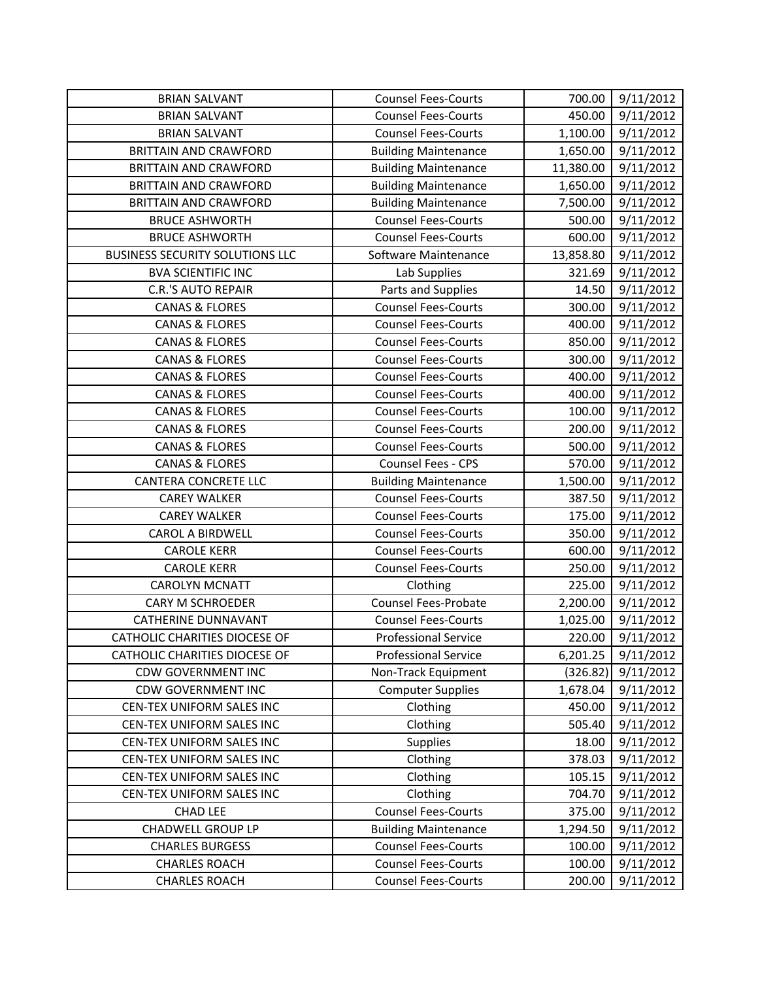| <b>BRIAN SALVANT</b>                   | <b>Counsel Fees-Courts</b>  | 700.00    | 9/11/2012 |
|----------------------------------------|-----------------------------|-----------|-----------|
| <b>BRIAN SALVANT</b>                   | <b>Counsel Fees-Courts</b>  | 450.00    | 9/11/2012 |
| <b>BRIAN SALVANT</b>                   | <b>Counsel Fees-Courts</b>  | 1,100.00  | 9/11/2012 |
| <b>BRITTAIN AND CRAWFORD</b>           | <b>Building Maintenance</b> | 1,650.00  | 9/11/2012 |
| <b>BRITTAIN AND CRAWFORD</b>           | <b>Building Maintenance</b> | 11,380.00 | 9/11/2012 |
| <b>BRITTAIN AND CRAWFORD</b>           | <b>Building Maintenance</b> | 1,650.00  | 9/11/2012 |
| <b>BRITTAIN AND CRAWFORD</b>           | <b>Building Maintenance</b> | 7,500.00  | 9/11/2012 |
| <b>BRUCE ASHWORTH</b>                  | <b>Counsel Fees-Courts</b>  | 500.00    | 9/11/2012 |
| <b>BRUCE ASHWORTH</b>                  | <b>Counsel Fees-Courts</b>  | 600.00    | 9/11/2012 |
| <b>BUSINESS SECURITY SOLUTIONS LLC</b> | Software Maintenance        | 13,858.80 | 9/11/2012 |
| <b>BVA SCIENTIFIC INC</b>              | Lab Supplies                | 321.69    | 9/11/2012 |
| <b>C.R.'S AUTO REPAIR</b>              | Parts and Supplies          | 14.50     | 9/11/2012 |
| <b>CANAS &amp; FLORES</b>              | <b>Counsel Fees-Courts</b>  | 300.00    | 9/11/2012 |
| <b>CANAS &amp; FLORES</b>              | <b>Counsel Fees-Courts</b>  | 400.00    | 9/11/2012 |
| <b>CANAS &amp; FLORES</b>              | <b>Counsel Fees-Courts</b>  | 850.00    | 9/11/2012 |
| <b>CANAS &amp; FLORES</b>              | <b>Counsel Fees-Courts</b>  | 300.00    | 9/11/2012 |
| <b>CANAS &amp; FLORES</b>              | <b>Counsel Fees-Courts</b>  | 400.00    | 9/11/2012 |
| <b>CANAS &amp; FLORES</b>              | <b>Counsel Fees-Courts</b>  | 400.00    | 9/11/2012 |
| <b>CANAS &amp; FLORES</b>              | <b>Counsel Fees-Courts</b>  | 100.00    | 9/11/2012 |
| <b>CANAS &amp; FLORES</b>              | <b>Counsel Fees-Courts</b>  | 200.00    | 9/11/2012 |
| <b>CANAS &amp; FLORES</b>              | <b>Counsel Fees-Courts</b>  | 500.00    | 9/11/2012 |
| <b>CANAS &amp; FLORES</b>              | Counsel Fees - CPS          | 570.00    | 9/11/2012 |
| CANTERA CONCRETE LLC                   | <b>Building Maintenance</b> | 1,500.00  | 9/11/2012 |
| <b>CAREY WALKER</b>                    | <b>Counsel Fees-Courts</b>  | 387.50    | 9/11/2012 |
| <b>CAREY WALKER</b>                    | <b>Counsel Fees-Courts</b>  | 175.00    | 9/11/2012 |
| <b>CAROL A BIRDWELL</b>                | <b>Counsel Fees-Courts</b>  | 350.00    | 9/11/2012 |
| <b>CAROLE KERR</b>                     | <b>Counsel Fees-Courts</b>  | 600.00    | 9/11/2012 |
| <b>CAROLE KERR</b>                     | <b>Counsel Fees-Courts</b>  | 250.00    | 9/11/2012 |
| <b>CAROLYN MCNATT</b>                  | Clothing                    | 225.00    | 9/11/2012 |
| <b>CARY M SCHROEDER</b>                | <b>Counsel Fees-Probate</b> | 2,200.00  | 9/11/2012 |
| <b>CATHERINE DUNNAVANT</b>             | <b>Counsel Fees-Courts</b>  | 1,025.00  | 9/11/2012 |
| <b>CATHOLIC CHARITIES DIOCESE OF</b>   | <b>Professional Service</b> | 220.00    | 9/11/2012 |
| CATHOLIC CHARITIES DIOCESE OF          | <b>Professional Service</b> | 6,201.25  | 9/11/2012 |
| <b>CDW GOVERNMENT INC</b>              | Non-Track Equipment         | (326.82)  | 9/11/2012 |
| <b>CDW GOVERNMENT INC</b>              | <b>Computer Supplies</b>    | 1,678.04  | 9/11/2012 |
| CEN-TEX UNIFORM SALES INC              | Clothing                    | 450.00    | 9/11/2012 |
| <b>CEN-TEX UNIFORM SALES INC</b>       | Clothing                    | 505.40    | 9/11/2012 |
| CEN-TEX UNIFORM SALES INC              | Supplies                    | 18.00     | 9/11/2012 |
| CEN-TEX UNIFORM SALES INC              | Clothing                    | 378.03    | 9/11/2012 |
| CEN-TEX UNIFORM SALES INC              | Clothing                    | 105.15    | 9/11/2012 |
| CEN-TEX UNIFORM SALES INC              | Clothing                    | 704.70    | 9/11/2012 |
| CHAD LEE                               | <b>Counsel Fees-Courts</b>  | 375.00    | 9/11/2012 |
| <b>CHADWELL GROUP LP</b>               | <b>Building Maintenance</b> | 1,294.50  | 9/11/2012 |
| <b>CHARLES BURGESS</b>                 | <b>Counsel Fees-Courts</b>  | 100.00    | 9/11/2012 |
| <b>CHARLES ROACH</b>                   | <b>Counsel Fees-Courts</b>  | 100.00    | 9/11/2012 |
| <b>CHARLES ROACH</b>                   | <b>Counsel Fees-Courts</b>  | 200.00    | 9/11/2012 |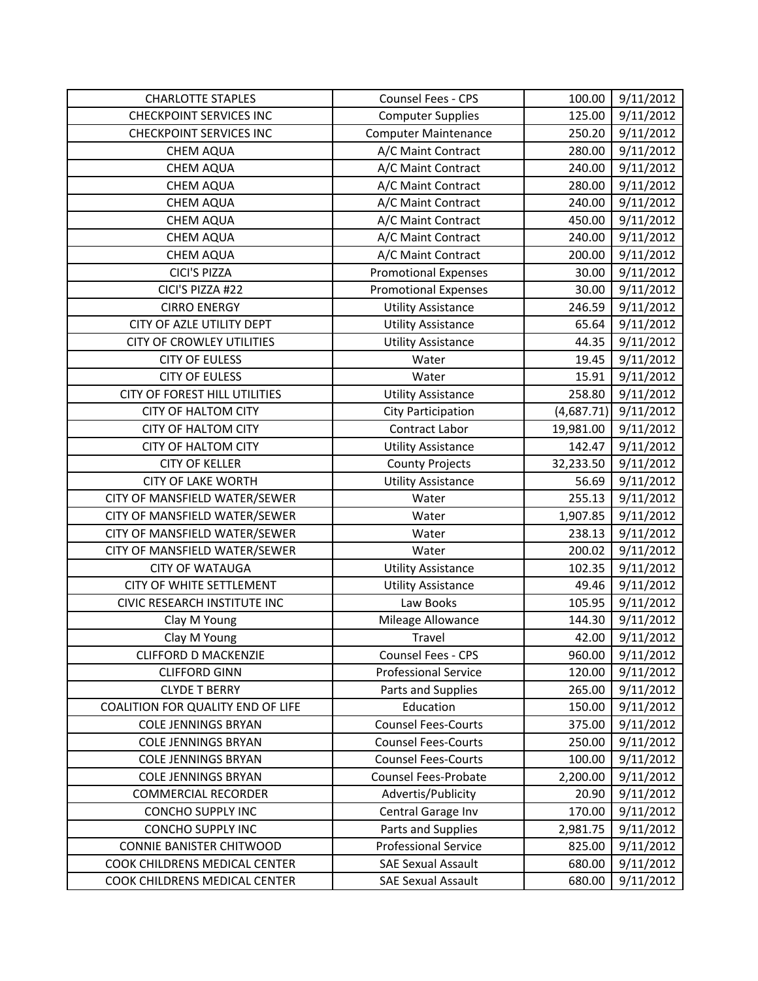| <b>CHARLOTTE STAPLES</b>          | Counsel Fees - CPS          | 100.00     | 9/11/2012 |
|-----------------------------------|-----------------------------|------------|-----------|
| <b>CHECKPOINT SERVICES INC</b>    | <b>Computer Supplies</b>    | 125.00     | 9/11/2012 |
| <b>CHECKPOINT SERVICES INC</b>    | <b>Computer Maintenance</b> | 250.20     | 9/11/2012 |
| CHEM AQUA                         | A/C Maint Contract          | 280.00     | 9/11/2012 |
| <b>CHEM AQUA</b>                  | A/C Maint Contract          | 240.00     | 9/11/2012 |
| CHEM AQUA                         | A/C Maint Contract          | 280.00     | 9/11/2012 |
| <b>CHEM AQUA</b>                  | A/C Maint Contract          | 240.00     | 9/11/2012 |
| CHEM AQUA                         | A/C Maint Contract          | 450.00     | 9/11/2012 |
| CHEM AQUA                         | A/C Maint Contract          | 240.00     | 9/11/2012 |
| CHEM AQUA                         | A/C Maint Contract          | 200.00     | 9/11/2012 |
| <b>CICI'S PIZZA</b>               | <b>Promotional Expenses</b> | 30.00      | 9/11/2012 |
| CICI'S PIZZA #22                  | <b>Promotional Expenses</b> | 30.00      | 9/11/2012 |
| <b>CIRRO ENERGY</b>               | <b>Utility Assistance</b>   | 246.59     | 9/11/2012 |
| CITY OF AZLE UTILITY DEPT         | <b>Utility Assistance</b>   | 65.64      | 9/11/2012 |
| <b>CITY OF CROWLEY UTILITIES</b>  | <b>Utility Assistance</b>   | 44.35      | 9/11/2012 |
| <b>CITY OF EULESS</b>             | Water                       | 19.45      | 9/11/2012 |
| <b>CITY OF EULESS</b>             | Water                       | 15.91      | 9/11/2012 |
| CITY OF FOREST HILL UTILITIES     | <b>Utility Assistance</b>   | 258.80     | 9/11/2012 |
| <b>CITY OF HALTOM CITY</b>        | <b>City Participation</b>   | (4,687.71) | 9/11/2012 |
| <b>CITY OF HALTOM CITY</b>        | Contract Labor              | 19,981.00  | 9/11/2012 |
| <b>CITY OF HALTOM CITY</b>        | <b>Utility Assistance</b>   | 142.47     | 9/11/2012 |
| <b>CITY OF KELLER</b>             | <b>County Projects</b>      | 32,233.50  | 9/11/2012 |
| <b>CITY OF LAKE WORTH</b>         | <b>Utility Assistance</b>   | 56.69      | 9/11/2012 |
| CITY OF MANSFIELD WATER/SEWER     | Water                       | 255.13     | 9/11/2012 |
| CITY OF MANSFIELD WATER/SEWER     | Water                       | 1,907.85   | 9/11/2012 |
| CITY OF MANSFIELD WATER/SEWER     | Water                       | 238.13     | 9/11/2012 |
| CITY OF MANSFIELD WATER/SEWER     | Water                       | 200.02     | 9/11/2012 |
| <b>CITY OF WATAUGA</b>            | <b>Utility Assistance</b>   | 102.35     | 9/11/2012 |
| <b>CITY OF WHITE SETTLEMENT</b>   | <b>Utility Assistance</b>   | 49.46      | 9/11/2012 |
| CIVIC RESEARCH INSTITUTE INC      | Law Books                   | 105.95     | 9/11/2012 |
| Clay M Young                      | Mileage Allowance           | 144.30     | 9/11/2012 |
| Clay M Young                      | Travel                      | 42.00      | 9/11/2012 |
| <b>CLIFFORD D MACKENZIE</b>       | Counsel Fees - CPS          | 960.00     | 9/11/2012 |
| <b>CLIFFORD GINN</b>              | <b>Professional Service</b> | 120.00     | 9/11/2012 |
| <b>CLYDE T BERRY</b>              | Parts and Supplies          | 265.00     | 9/11/2012 |
| COALITION FOR QUALITY END OF LIFE | Education                   | 150.00     | 9/11/2012 |
| <b>COLE JENNINGS BRYAN</b>        | <b>Counsel Fees-Courts</b>  | 375.00     | 9/11/2012 |
| <b>COLE JENNINGS BRYAN</b>        | <b>Counsel Fees-Courts</b>  | 250.00     | 9/11/2012 |
| <b>COLE JENNINGS BRYAN</b>        | <b>Counsel Fees-Courts</b>  | 100.00     | 9/11/2012 |
| <b>COLE JENNINGS BRYAN</b>        | Counsel Fees-Probate        | 2,200.00   | 9/11/2012 |
| <b>COMMERCIAL RECORDER</b>        | Advertis/Publicity          | 20.90      | 9/11/2012 |
| <b>CONCHO SUPPLY INC</b>          | Central Garage Inv          | 170.00     | 9/11/2012 |
| <b>CONCHO SUPPLY INC</b>          | Parts and Supplies          | 2,981.75   | 9/11/2012 |
| <b>CONNIE BANISTER CHITWOOD</b>   | <b>Professional Service</b> | 825.00     | 9/11/2012 |
| COOK CHILDRENS MEDICAL CENTER     | <b>SAE Sexual Assault</b>   | 680.00     | 9/11/2012 |
| COOK CHILDRENS MEDICAL CENTER     | <b>SAE Sexual Assault</b>   | 680.00     | 9/11/2012 |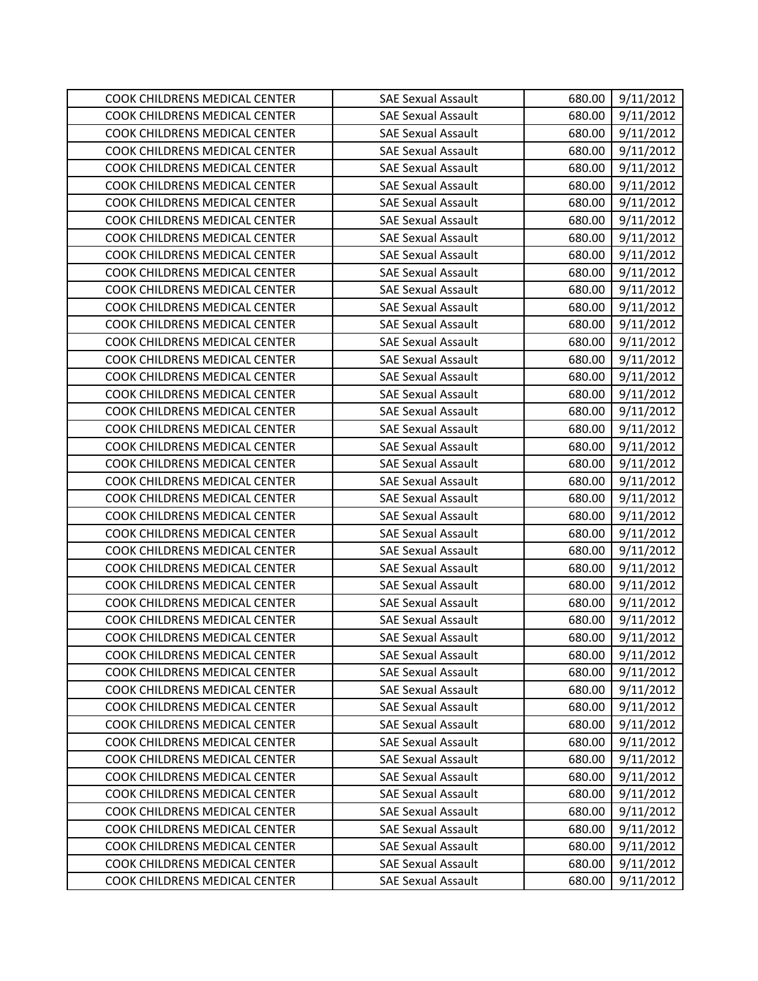| COOK CHILDRENS MEDICAL CENTER | <b>SAE Sexual Assault</b> | 680.00 | 9/11/2012 |
|-------------------------------|---------------------------|--------|-----------|
| COOK CHILDRENS MEDICAL CENTER | <b>SAE Sexual Assault</b> | 680.00 | 9/11/2012 |
| COOK CHILDRENS MEDICAL CENTER | <b>SAE Sexual Assault</b> | 680.00 | 9/11/2012 |
| COOK CHILDRENS MEDICAL CENTER | <b>SAE Sexual Assault</b> | 680.00 | 9/11/2012 |
| COOK CHILDRENS MEDICAL CENTER | <b>SAE Sexual Assault</b> | 680.00 | 9/11/2012 |
| COOK CHILDRENS MEDICAL CENTER | <b>SAE Sexual Assault</b> | 680.00 | 9/11/2012 |
| COOK CHILDRENS MEDICAL CENTER | <b>SAE Sexual Assault</b> | 680.00 | 9/11/2012 |
| COOK CHILDRENS MEDICAL CENTER | <b>SAE Sexual Assault</b> | 680.00 | 9/11/2012 |
| COOK CHILDRENS MEDICAL CENTER | <b>SAE Sexual Assault</b> | 680.00 | 9/11/2012 |
| COOK CHILDRENS MEDICAL CENTER | <b>SAE Sexual Assault</b> | 680.00 | 9/11/2012 |
| COOK CHILDRENS MEDICAL CENTER | <b>SAE Sexual Assault</b> | 680.00 | 9/11/2012 |
| COOK CHILDRENS MEDICAL CENTER | <b>SAE Sexual Assault</b> | 680.00 | 9/11/2012 |
| COOK CHILDRENS MEDICAL CENTER | <b>SAE Sexual Assault</b> | 680.00 | 9/11/2012 |
| COOK CHILDRENS MEDICAL CENTER | <b>SAE Sexual Assault</b> | 680.00 | 9/11/2012 |
| COOK CHILDRENS MEDICAL CENTER | <b>SAE Sexual Assault</b> | 680.00 | 9/11/2012 |
| COOK CHILDRENS MEDICAL CENTER | <b>SAE Sexual Assault</b> | 680.00 | 9/11/2012 |
| COOK CHILDRENS MEDICAL CENTER | <b>SAE Sexual Assault</b> | 680.00 | 9/11/2012 |
| COOK CHILDRENS MEDICAL CENTER | <b>SAE Sexual Assault</b> | 680.00 | 9/11/2012 |
| COOK CHILDRENS MEDICAL CENTER | <b>SAE Sexual Assault</b> | 680.00 | 9/11/2012 |
| COOK CHILDRENS MEDICAL CENTER | <b>SAE Sexual Assault</b> | 680.00 | 9/11/2012 |
| COOK CHILDRENS MEDICAL CENTER | <b>SAE Sexual Assault</b> | 680.00 | 9/11/2012 |
| COOK CHILDRENS MEDICAL CENTER | <b>SAE Sexual Assault</b> | 680.00 | 9/11/2012 |
| COOK CHILDRENS MEDICAL CENTER | <b>SAE Sexual Assault</b> | 680.00 | 9/11/2012 |
| COOK CHILDRENS MEDICAL CENTER | <b>SAE Sexual Assault</b> | 680.00 | 9/11/2012 |
| COOK CHILDRENS MEDICAL CENTER | <b>SAE Sexual Assault</b> | 680.00 | 9/11/2012 |
| COOK CHILDRENS MEDICAL CENTER | <b>SAE Sexual Assault</b> | 680.00 | 9/11/2012 |
| COOK CHILDRENS MEDICAL CENTER | <b>SAE Sexual Assault</b> | 680.00 | 9/11/2012 |
| COOK CHILDRENS MEDICAL CENTER | <b>SAE Sexual Assault</b> | 680.00 | 9/11/2012 |
| COOK CHILDRENS MEDICAL CENTER | <b>SAE Sexual Assault</b> | 680.00 | 9/11/2012 |
| COOK CHILDRENS MEDICAL CENTER | <b>SAE Sexual Assault</b> | 680.00 | 9/11/2012 |
| COOK CHILDRENS MEDICAL CENTER | <b>SAE Sexual Assault</b> | 680.00 | 9/11/2012 |
| COOK CHILDRENS MEDICAL CENTER | <b>SAE Sexual Assault</b> | 680.00 | 9/11/2012 |
| COOK CHILDRENS MEDICAL CENTER | <b>SAE Sexual Assault</b> | 680.00 | 9/11/2012 |
| COOK CHILDRENS MEDICAL CENTER | <b>SAE Sexual Assault</b> | 680.00 | 9/11/2012 |
| COOK CHILDRENS MEDICAL CENTER | <b>SAE Sexual Assault</b> | 680.00 | 9/11/2012 |
| COOK CHILDRENS MEDICAL CENTER | <b>SAE Sexual Assault</b> | 680.00 | 9/11/2012 |
| COOK CHILDRENS MEDICAL CENTER | <b>SAE Sexual Assault</b> | 680.00 | 9/11/2012 |
| COOK CHILDRENS MEDICAL CENTER | <b>SAE Sexual Assault</b> | 680.00 | 9/11/2012 |
| COOK CHILDRENS MEDICAL CENTER | <b>SAE Sexual Assault</b> | 680.00 | 9/11/2012 |
| COOK CHILDRENS MEDICAL CENTER | <b>SAE Sexual Assault</b> | 680.00 | 9/11/2012 |
| COOK CHILDRENS MEDICAL CENTER | <b>SAE Sexual Assault</b> | 680.00 | 9/11/2012 |
| COOK CHILDRENS MEDICAL CENTER | <b>SAE Sexual Assault</b> | 680.00 | 9/11/2012 |
| COOK CHILDRENS MEDICAL CENTER | <b>SAE Sexual Assault</b> | 680.00 | 9/11/2012 |
| COOK CHILDRENS MEDICAL CENTER | <b>SAE Sexual Assault</b> | 680.00 | 9/11/2012 |
| COOK CHILDRENS MEDICAL CENTER | <b>SAE Sexual Assault</b> | 680.00 | 9/11/2012 |
| COOK CHILDRENS MEDICAL CENTER | <b>SAE Sexual Assault</b> | 680.00 | 9/11/2012 |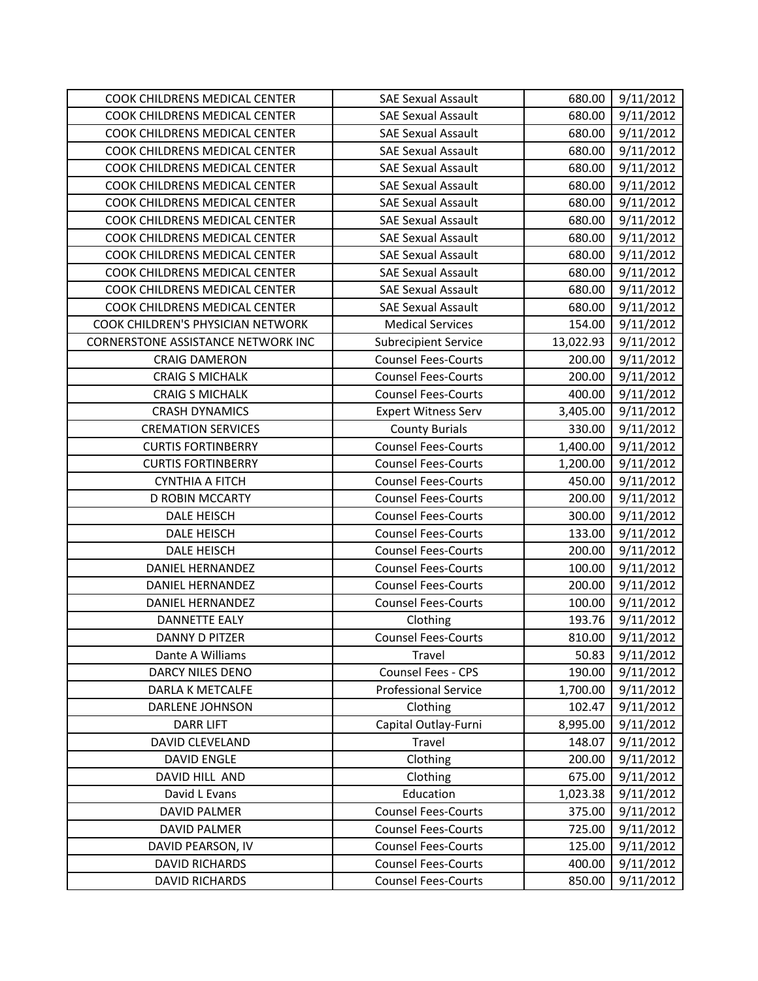| COOK CHILDRENS MEDICAL CENTER      | <b>SAE Sexual Assault</b>   | 680.00    | 9/11/2012 |
|------------------------------------|-----------------------------|-----------|-----------|
| COOK CHILDRENS MEDICAL CENTER      | <b>SAE Sexual Assault</b>   | 680.00    | 9/11/2012 |
| COOK CHILDRENS MEDICAL CENTER      | <b>SAE Sexual Assault</b>   | 680.00    | 9/11/2012 |
| COOK CHILDRENS MEDICAL CENTER      | <b>SAE Sexual Assault</b>   | 680.00    | 9/11/2012 |
| COOK CHILDRENS MEDICAL CENTER      | <b>SAE Sexual Assault</b>   | 680.00    | 9/11/2012 |
| COOK CHILDRENS MEDICAL CENTER      | <b>SAE Sexual Assault</b>   | 680.00    | 9/11/2012 |
| COOK CHILDRENS MEDICAL CENTER      | <b>SAE Sexual Assault</b>   | 680.00    | 9/11/2012 |
| COOK CHILDRENS MEDICAL CENTER      | <b>SAE Sexual Assault</b>   | 680.00    | 9/11/2012 |
| COOK CHILDRENS MEDICAL CENTER      | <b>SAE Sexual Assault</b>   | 680.00    | 9/11/2012 |
| COOK CHILDRENS MEDICAL CENTER      | <b>SAE Sexual Assault</b>   | 680.00    | 9/11/2012 |
| COOK CHILDRENS MEDICAL CENTER      | <b>SAE Sexual Assault</b>   | 680.00    | 9/11/2012 |
| COOK CHILDRENS MEDICAL CENTER      | <b>SAE Sexual Assault</b>   | 680.00    | 9/11/2012 |
| COOK CHILDRENS MEDICAL CENTER      | <b>SAE Sexual Assault</b>   | 680.00    | 9/11/2012 |
| COOK CHILDREN'S PHYSICIAN NETWORK  | <b>Medical Services</b>     | 154.00    | 9/11/2012 |
| CORNERSTONE ASSISTANCE NETWORK INC | <b>Subrecipient Service</b> | 13,022.93 | 9/11/2012 |
| <b>CRAIG DAMERON</b>               | <b>Counsel Fees-Courts</b>  | 200.00    | 9/11/2012 |
| <b>CRAIG S MICHALK</b>             | <b>Counsel Fees-Courts</b>  | 200.00    | 9/11/2012 |
| <b>CRAIG S MICHALK</b>             | <b>Counsel Fees-Courts</b>  | 400.00    | 9/11/2012 |
| <b>CRASH DYNAMICS</b>              | <b>Expert Witness Serv</b>  | 3,405.00  | 9/11/2012 |
| <b>CREMATION SERVICES</b>          | <b>County Burials</b>       | 330.00    | 9/11/2012 |
| <b>CURTIS FORTINBERRY</b>          | <b>Counsel Fees-Courts</b>  | 1,400.00  | 9/11/2012 |
| <b>CURTIS FORTINBERRY</b>          | <b>Counsel Fees-Courts</b>  | 1,200.00  | 9/11/2012 |
| <b>CYNTHIA A FITCH</b>             | <b>Counsel Fees-Courts</b>  | 450.00    | 9/11/2012 |
| <b>D ROBIN MCCARTY</b>             | <b>Counsel Fees-Courts</b>  | 200.00    | 9/11/2012 |
| DALE HEISCH                        | <b>Counsel Fees-Courts</b>  | 300.00    | 9/11/2012 |
| DALE HEISCH                        | <b>Counsel Fees-Courts</b>  | 133.00    | 9/11/2012 |
| DALE HEISCH                        | <b>Counsel Fees-Courts</b>  | 200.00    | 9/11/2012 |
| <b>DANIEL HERNANDEZ</b>            | <b>Counsel Fees-Courts</b>  | 100.00    | 9/11/2012 |
| <b>DANIEL HERNANDEZ</b>            | <b>Counsel Fees-Courts</b>  | 200.00    | 9/11/2012 |
| <b>DANIEL HERNANDEZ</b>            | <b>Counsel Fees-Courts</b>  | 100.00    | 9/11/2012 |
| <b>DANNETTE EALY</b>               | Clothing                    | 193.76    | 9/11/2012 |
| <b>DANNY D PITZER</b>              | <b>Counsel Fees-Courts</b>  | 810.00    | 9/11/2012 |
| Dante A Williams                   | Travel                      | 50.83     | 9/11/2012 |
| DARCY NILES DENO                   | Counsel Fees - CPS          | 190.00    | 9/11/2012 |
| DARLA K METCALFE                   | <b>Professional Service</b> | 1,700.00  | 9/11/2012 |
| DARLENE JOHNSON                    | Clothing                    | 102.47    | 9/11/2012 |
| <b>DARR LIFT</b>                   | Capital Outlay-Furni        | 8,995.00  | 9/11/2012 |
| DAVID CLEVELAND                    | Travel                      | 148.07    | 9/11/2012 |
| <b>DAVID ENGLE</b>                 | Clothing                    | 200.00    | 9/11/2012 |
| DAVID HILL AND                     | Clothing                    | 675.00    | 9/11/2012 |
| David L Evans                      | Education                   | 1,023.38  | 9/11/2012 |
| <b>DAVID PALMER</b>                | <b>Counsel Fees-Courts</b>  | 375.00    | 9/11/2012 |
| <b>DAVID PALMER</b>                | <b>Counsel Fees-Courts</b>  | 725.00    | 9/11/2012 |
| DAVID PEARSON, IV                  | <b>Counsel Fees-Courts</b>  | 125.00    | 9/11/2012 |
| <b>DAVID RICHARDS</b>              | <b>Counsel Fees-Courts</b>  | 400.00    | 9/11/2012 |
| <b>DAVID RICHARDS</b>              | <b>Counsel Fees-Courts</b>  | 850.00    | 9/11/2012 |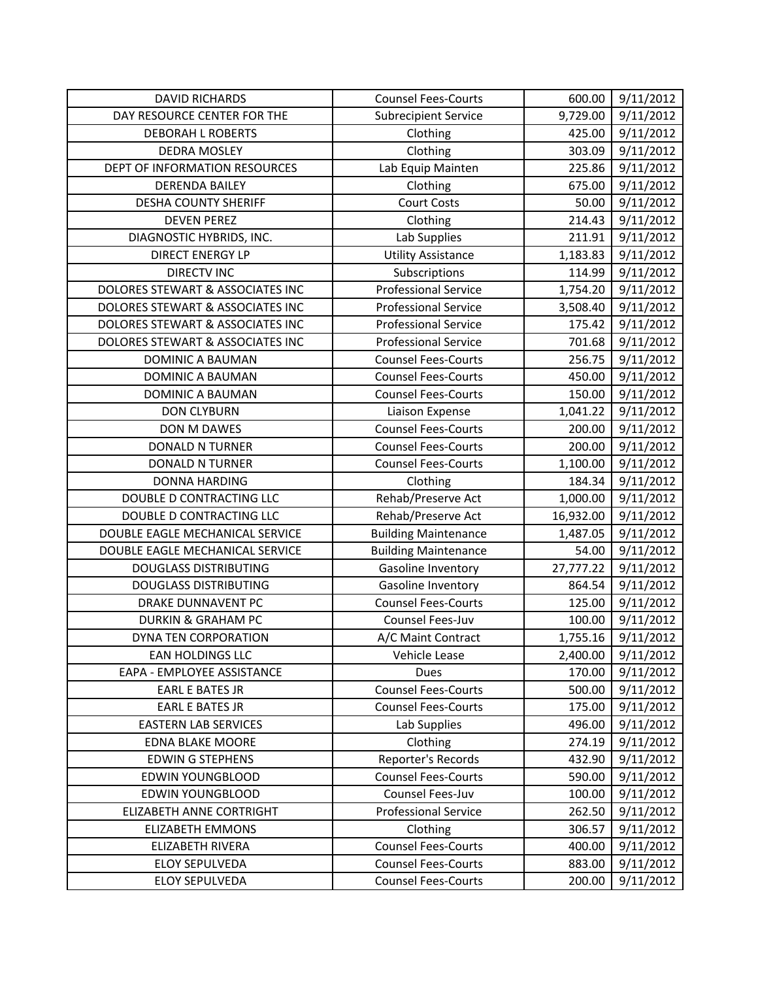| <b>DAVID RICHARDS</b>            | <b>Counsel Fees-Courts</b>  | 600.00    | 9/11/2012 |
|----------------------------------|-----------------------------|-----------|-----------|
| DAY RESOURCE CENTER FOR THE      | <b>Subrecipient Service</b> | 9,729.00  | 9/11/2012 |
| <b>DEBORAH L ROBERTS</b>         | Clothing                    | 425.00    | 9/11/2012 |
| <b>DEDRA MOSLEY</b>              | Clothing                    | 303.09    | 9/11/2012 |
| DEPT OF INFORMATION RESOURCES    | Lab Equip Mainten           | 225.86    | 9/11/2012 |
| <b>DERENDA BAILEY</b>            | Clothing                    | 675.00    | 9/11/2012 |
| <b>DESHA COUNTY SHERIFF</b>      | <b>Court Costs</b>          | 50.00     | 9/11/2012 |
| <b>DEVEN PEREZ</b>               | Clothing                    | 214.43    | 9/11/2012 |
| DIAGNOSTIC HYBRIDS, INC.         | Lab Supplies                | 211.91    | 9/11/2012 |
| <b>DIRECT ENERGY LP</b>          | <b>Utility Assistance</b>   | 1,183.83  | 9/11/2012 |
| <b>DIRECTV INC</b>               | Subscriptions               | 114.99    | 9/11/2012 |
| DOLORES STEWART & ASSOCIATES INC | <b>Professional Service</b> | 1,754.20  | 9/11/2012 |
| DOLORES STEWART & ASSOCIATES INC | <b>Professional Service</b> | 3,508.40  | 9/11/2012 |
| DOLORES STEWART & ASSOCIATES INC | <b>Professional Service</b> | 175.42    | 9/11/2012 |
| DOLORES STEWART & ASSOCIATES INC | <b>Professional Service</b> | 701.68    | 9/11/2012 |
| DOMINIC A BAUMAN                 | <b>Counsel Fees-Courts</b>  | 256.75    | 9/11/2012 |
| DOMINIC A BAUMAN                 | <b>Counsel Fees-Courts</b>  | 450.00    | 9/11/2012 |
| DOMINIC A BAUMAN                 | <b>Counsel Fees-Courts</b>  | 150.00    | 9/11/2012 |
| <b>DON CLYBURN</b>               | Liaison Expense             | 1,041.22  | 9/11/2012 |
| <b>DON M DAWES</b>               | <b>Counsel Fees-Courts</b>  | 200.00    | 9/11/2012 |
| DONALD N TURNER                  | <b>Counsel Fees-Courts</b>  | 200.00    | 9/11/2012 |
| <b>DONALD N TURNER</b>           | <b>Counsel Fees-Courts</b>  | 1,100.00  | 9/11/2012 |
| <b>DONNA HARDING</b>             | Clothing                    | 184.34    | 9/11/2012 |
| DOUBLE D CONTRACTING LLC         | Rehab/Preserve Act          | 1,000.00  | 9/11/2012 |
| DOUBLE D CONTRACTING LLC         | Rehab/Preserve Act          | 16,932.00 | 9/11/2012 |
| DOUBLE EAGLE MECHANICAL SERVICE  | <b>Building Maintenance</b> | 1,487.05  | 9/11/2012 |
| DOUBLE EAGLE MECHANICAL SERVICE  | <b>Building Maintenance</b> | 54.00     | 9/11/2012 |
| <b>DOUGLASS DISTRIBUTING</b>     | Gasoline Inventory          | 27,777.22 | 9/11/2012 |
| <b>DOUGLASS DISTRIBUTING</b>     | Gasoline Inventory          | 864.54    | 9/11/2012 |
| <b>DRAKE DUNNAVENT PC</b>        | <b>Counsel Fees-Courts</b>  | 125.00    | 9/11/2012 |
| <b>DURKIN &amp; GRAHAM PC</b>    | Counsel Fees-Juv            | 100.00    | 9/11/2012 |
| DYNA TEN CORPORATION             | A/C Maint Contract          | 1,755.16  | 9/11/2012 |
| <b>EAN HOLDINGS LLC</b>          | Vehicle Lease               | 2,400.00  | 9/11/2012 |
| EAPA - EMPLOYEE ASSISTANCE       | <b>Dues</b>                 | 170.00    | 9/11/2012 |
| <b>EARL E BATES JR</b>           | <b>Counsel Fees-Courts</b>  | 500.00    | 9/11/2012 |
| <b>EARL E BATES JR</b>           | <b>Counsel Fees-Courts</b>  | 175.00    | 9/11/2012 |
| <b>EASTERN LAB SERVICES</b>      | Lab Supplies                | 496.00    | 9/11/2012 |
| <b>EDNA BLAKE MOORE</b>          | Clothing                    | 274.19    | 9/11/2012 |
| <b>EDWIN G STEPHENS</b>          | Reporter's Records          | 432.90    | 9/11/2012 |
| <b>EDWIN YOUNGBLOOD</b>          | <b>Counsel Fees-Courts</b>  | 590.00    | 9/11/2012 |
| <b>EDWIN YOUNGBLOOD</b>          | Counsel Fees-Juv            | 100.00    | 9/11/2012 |
| ELIZABETH ANNE CORTRIGHT         | <b>Professional Service</b> | 262.50    | 9/11/2012 |
| <b>ELIZABETH EMMONS</b>          | Clothing                    | 306.57    | 9/11/2012 |
| ELIZABETH RIVERA                 | <b>Counsel Fees-Courts</b>  | 400.00    | 9/11/2012 |
| <b>ELOY SEPULVEDA</b>            | <b>Counsel Fees-Courts</b>  | 883.00    | 9/11/2012 |
| <b>ELOY SEPULVEDA</b>            | <b>Counsel Fees-Courts</b>  | 200.00    | 9/11/2012 |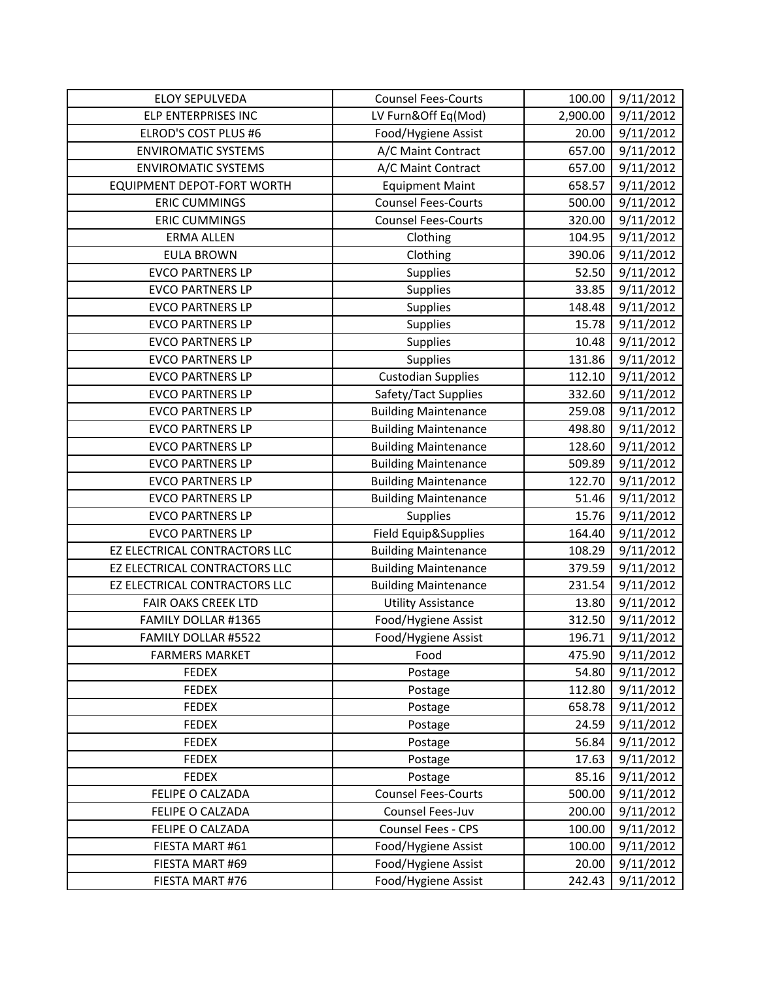| <b>ELOY SEPULVEDA</b>             | <b>Counsel Fees-Courts</b>  | 100.00   | 9/11/2012 |
|-----------------------------------|-----------------------------|----------|-----------|
| ELP ENTERPRISES INC               | LV Furn&Off Eq(Mod)         | 2,900.00 | 9/11/2012 |
| ELROD'S COST PLUS #6              | Food/Hygiene Assist         | 20.00    | 9/11/2012 |
| <b>ENVIROMATIC SYSTEMS</b>        | A/C Maint Contract          | 657.00   | 9/11/2012 |
| <b>ENVIROMATIC SYSTEMS</b>        | A/C Maint Contract          | 657.00   | 9/11/2012 |
| <b>EQUIPMENT DEPOT-FORT WORTH</b> | <b>Equipment Maint</b>      | 658.57   | 9/11/2012 |
| <b>ERIC CUMMINGS</b>              | <b>Counsel Fees-Courts</b>  | 500.00   | 9/11/2012 |
| <b>ERIC CUMMINGS</b>              | <b>Counsel Fees-Courts</b>  | 320.00   | 9/11/2012 |
| <b>ERMA ALLEN</b>                 | Clothing                    | 104.95   | 9/11/2012 |
| <b>EULA BROWN</b>                 | Clothing                    | 390.06   | 9/11/2012 |
| <b>EVCO PARTNERS LP</b>           | Supplies                    | 52.50    | 9/11/2012 |
| <b>EVCO PARTNERS LP</b>           | Supplies                    | 33.85    | 9/11/2012 |
| <b>EVCO PARTNERS LP</b>           | Supplies                    | 148.48   | 9/11/2012 |
| <b>EVCO PARTNERS LP</b>           | Supplies                    | 15.78    | 9/11/2012 |
| <b>EVCO PARTNERS LP</b>           | <b>Supplies</b>             | 10.48    | 9/11/2012 |
| <b>EVCO PARTNERS LP</b>           | Supplies                    | 131.86   | 9/11/2012 |
| <b>EVCO PARTNERS LP</b>           | <b>Custodian Supplies</b>   | 112.10   | 9/11/2012 |
| <b>EVCO PARTNERS LP</b>           | Safety/Tact Supplies        | 332.60   | 9/11/2012 |
| <b>EVCO PARTNERS LP</b>           | <b>Building Maintenance</b> | 259.08   | 9/11/2012 |
| <b>EVCO PARTNERS LP</b>           | <b>Building Maintenance</b> | 498.80   | 9/11/2012 |
| <b>EVCO PARTNERS LP</b>           | <b>Building Maintenance</b> | 128.60   | 9/11/2012 |
| <b>EVCO PARTNERS LP</b>           | <b>Building Maintenance</b> | 509.89   | 9/11/2012 |
| <b>EVCO PARTNERS LP</b>           | <b>Building Maintenance</b> | 122.70   | 9/11/2012 |
| <b>EVCO PARTNERS LP</b>           | <b>Building Maintenance</b> | 51.46    | 9/11/2012 |
| <b>EVCO PARTNERS LP</b>           | <b>Supplies</b>             | 15.76    | 9/11/2012 |
| <b>EVCO PARTNERS LP</b>           | Field Equip&Supplies        | 164.40   | 9/11/2012 |
| EZ ELECTRICAL CONTRACTORS LLC     | <b>Building Maintenance</b> | 108.29   | 9/11/2012 |
| EZ ELECTRICAL CONTRACTORS LLC     | <b>Building Maintenance</b> | 379.59   | 9/11/2012 |
| EZ ELECTRICAL CONTRACTORS LLC     | <b>Building Maintenance</b> | 231.54   | 9/11/2012 |
| <b>FAIR OAKS CREEK LTD</b>        | <b>Utility Assistance</b>   | 13.80    | 9/11/2012 |
| FAMILY DOLLAR #1365               | Food/Hygiene Assist         | 312.50   | 9/11/2012 |
| FAMILY DOLLAR #5522               | Food/Hygiene Assist         | 196.71   | 9/11/2012 |
| <b>FARMERS MARKET</b>             | Food                        | 475.90   | 9/11/2012 |
| <b>FEDEX</b>                      | Postage                     | 54.80    | 9/11/2012 |
| <b>FEDEX</b>                      | Postage                     | 112.80   | 9/11/2012 |
| <b>FEDEX</b>                      | Postage                     | 658.78   | 9/11/2012 |
| <b>FEDEX</b>                      | Postage                     | 24.59    | 9/11/2012 |
| <b>FEDEX</b>                      | Postage                     | 56.84    | 9/11/2012 |
| <b>FEDEX</b>                      | Postage                     | 17.63    | 9/11/2012 |
| <b>FEDEX</b>                      | Postage                     | 85.16    | 9/11/2012 |
| FELIPE O CALZADA                  | <b>Counsel Fees-Courts</b>  | 500.00   | 9/11/2012 |
| FELIPE O CALZADA                  | Counsel Fees-Juv            | 200.00   | 9/11/2012 |
| FELIPE O CALZADA                  | Counsel Fees - CPS          | 100.00   | 9/11/2012 |
| FIESTA MART #61                   | Food/Hygiene Assist         | 100.00   | 9/11/2012 |
| FIESTA MART #69                   | Food/Hygiene Assist         | 20.00    | 9/11/2012 |
| FIESTA MART #76                   | Food/Hygiene Assist         | 242.43   | 9/11/2012 |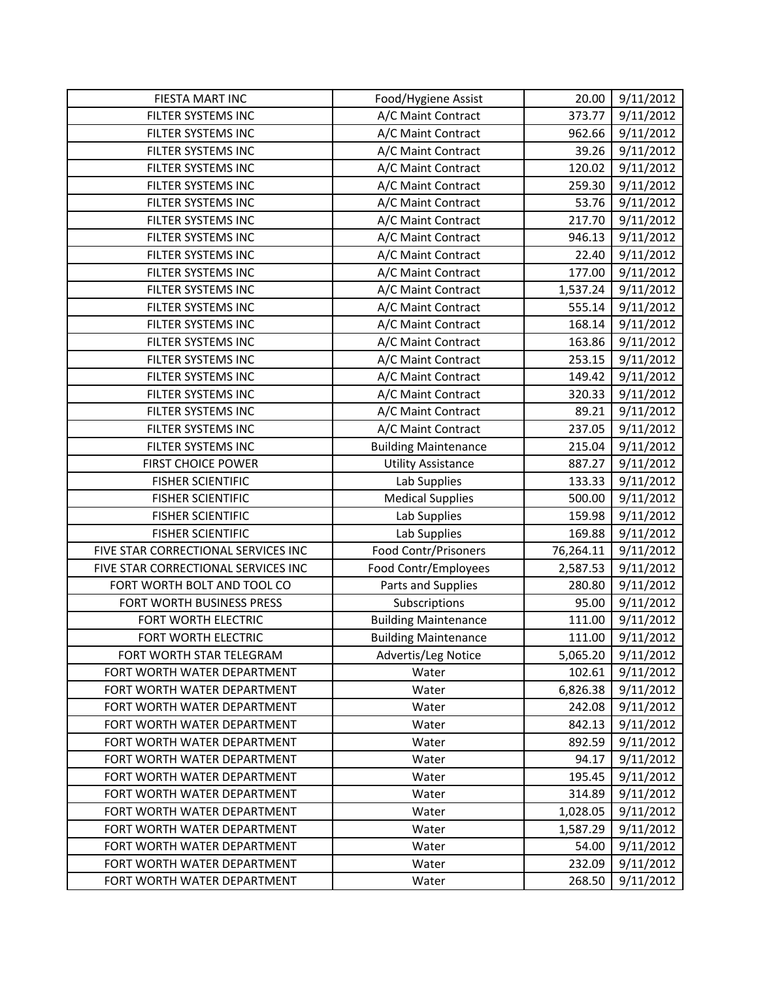| FIESTA MART INC                     | Food/Hygiene Assist         | 20.00     | 9/11/2012 |
|-------------------------------------|-----------------------------|-----------|-----------|
| FILTER SYSTEMS INC                  | A/C Maint Contract          | 373.77    | 9/11/2012 |
| FILTER SYSTEMS INC                  | A/C Maint Contract          | 962.66    | 9/11/2012 |
| FILTER SYSTEMS INC                  | A/C Maint Contract          | 39.26     | 9/11/2012 |
| FILTER SYSTEMS INC                  | A/C Maint Contract          | 120.02    | 9/11/2012 |
| FILTER SYSTEMS INC                  | A/C Maint Contract          | 259.30    | 9/11/2012 |
| FILTER SYSTEMS INC                  | A/C Maint Contract          | 53.76     | 9/11/2012 |
| FILTER SYSTEMS INC                  | A/C Maint Contract          | 217.70    | 9/11/2012 |
| FILTER SYSTEMS INC                  | A/C Maint Contract          | 946.13    | 9/11/2012 |
| FILTER SYSTEMS INC                  | A/C Maint Contract          | 22.40     | 9/11/2012 |
| FILTER SYSTEMS INC                  | A/C Maint Contract          | 177.00    | 9/11/2012 |
| FILTER SYSTEMS INC                  | A/C Maint Contract          | 1,537.24  | 9/11/2012 |
| FILTER SYSTEMS INC                  | A/C Maint Contract          | 555.14    | 9/11/2012 |
| FILTER SYSTEMS INC                  | A/C Maint Contract          | 168.14    | 9/11/2012 |
| FILTER SYSTEMS INC                  | A/C Maint Contract          | 163.86    | 9/11/2012 |
| FILTER SYSTEMS INC                  | A/C Maint Contract          | 253.15    | 9/11/2012 |
| FILTER SYSTEMS INC                  | A/C Maint Contract          | 149.42    | 9/11/2012 |
| FILTER SYSTEMS INC                  | A/C Maint Contract          | 320.33    | 9/11/2012 |
| FILTER SYSTEMS INC                  | A/C Maint Contract          | 89.21     | 9/11/2012 |
| FILTER SYSTEMS INC                  | A/C Maint Contract          | 237.05    | 9/11/2012 |
| FILTER SYSTEMS INC                  | <b>Building Maintenance</b> | 215.04    | 9/11/2012 |
| <b>FIRST CHOICE POWER</b>           | <b>Utility Assistance</b>   | 887.27    | 9/11/2012 |
| <b>FISHER SCIENTIFIC</b>            | Lab Supplies                | 133.33    | 9/11/2012 |
| <b>FISHER SCIENTIFIC</b>            | <b>Medical Supplies</b>     | 500.00    | 9/11/2012 |
| <b>FISHER SCIENTIFIC</b>            | Lab Supplies                | 159.98    | 9/11/2012 |
| <b>FISHER SCIENTIFIC</b>            | Lab Supplies                | 169.88    | 9/11/2012 |
| FIVE STAR CORRECTIONAL SERVICES INC | Food Contr/Prisoners        | 76,264.11 | 9/11/2012 |
| FIVE STAR CORRECTIONAL SERVICES INC | Food Contr/Employees        | 2,587.53  | 9/11/2012 |
| FORT WORTH BOLT AND TOOL CO         | Parts and Supplies          | 280.80    | 9/11/2012 |
| FORT WORTH BUSINESS PRESS           | Subscriptions               | 95.00     | 9/11/2012 |
| FORT WORTH ELECTRIC                 | <b>Building Maintenance</b> | 111.00    | 9/11/2012 |
| FORT WORTH ELECTRIC                 | <b>Building Maintenance</b> | 111.00    | 9/11/2012 |
| FORT WORTH STAR TELEGRAM            | Advertis/Leg Notice         | 5,065.20  | 9/11/2012 |
| FORT WORTH WATER DEPARTMENT         | Water                       | 102.61    | 9/11/2012 |
| FORT WORTH WATER DEPARTMENT         | Water                       | 6,826.38  | 9/11/2012 |
| FORT WORTH WATER DEPARTMENT         | Water                       | 242.08    | 9/11/2012 |
| FORT WORTH WATER DEPARTMENT         | Water                       | 842.13    | 9/11/2012 |
| FORT WORTH WATER DEPARTMENT         | Water                       | 892.59    | 9/11/2012 |
| FORT WORTH WATER DEPARTMENT         | Water                       | 94.17     | 9/11/2012 |
| FORT WORTH WATER DEPARTMENT         | Water                       | 195.45    | 9/11/2012 |
| FORT WORTH WATER DEPARTMENT         | Water                       | 314.89    | 9/11/2012 |
| FORT WORTH WATER DEPARTMENT         | Water                       | 1,028.05  | 9/11/2012 |
| FORT WORTH WATER DEPARTMENT         | Water                       | 1,587.29  | 9/11/2012 |
| FORT WORTH WATER DEPARTMENT         | Water                       | 54.00     | 9/11/2012 |
| FORT WORTH WATER DEPARTMENT         | Water                       | 232.09    | 9/11/2012 |
| FORT WORTH WATER DEPARTMENT         | Water                       | 268.50    | 9/11/2012 |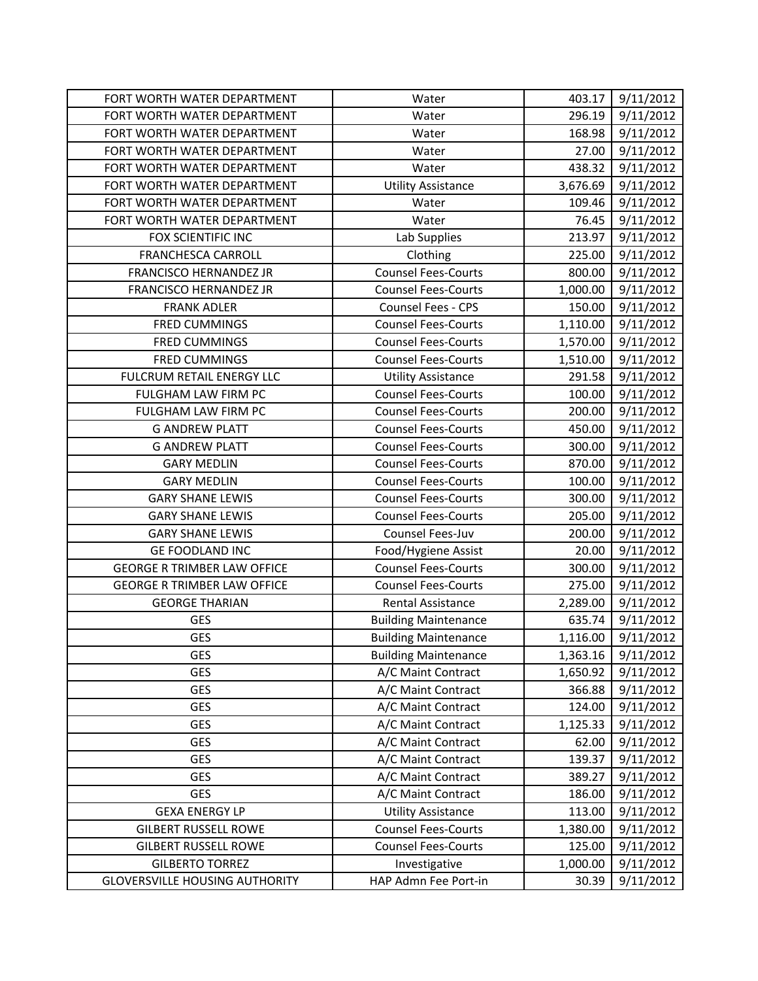| FORT WORTH WATER DEPARTMENT           | Water                       | 403.17   | 9/11/2012 |
|---------------------------------------|-----------------------------|----------|-----------|
| FORT WORTH WATER DEPARTMENT           | Water                       | 296.19   | 9/11/2012 |
| FORT WORTH WATER DEPARTMENT           | Water                       | 168.98   | 9/11/2012 |
| FORT WORTH WATER DEPARTMENT           | Water                       | 27.00    | 9/11/2012 |
| FORT WORTH WATER DEPARTMENT           | Water                       | 438.32   | 9/11/2012 |
| FORT WORTH WATER DEPARTMENT           | <b>Utility Assistance</b>   | 3,676.69 | 9/11/2012 |
| FORT WORTH WATER DEPARTMENT           | Water                       | 109.46   | 9/11/2012 |
| FORT WORTH WATER DEPARTMENT           | Water                       | 76.45    | 9/11/2012 |
| FOX SCIENTIFIC INC                    | Lab Supplies                | 213.97   | 9/11/2012 |
| <b>FRANCHESCA CARROLL</b>             | Clothing                    | 225.00   | 9/11/2012 |
| <b>FRANCISCO HERNANDEZ JR</b>         | <b>Counsel Fees-Courts</b>  | 800.00   | 9/11/2012 |
| <b>FRANCISCO HERNANDEZ JR</b>         | <b>Counsel Fees-Courts</b>  | 1,000.00 | 9/11/2012 |
| <b>FRANK ADLER</b>                    | Counsel Fees - CPS          | 150.00   | 9/11/2012 |
| <b>FRED CUMMINGS</b>                  | <b>Counsel Fees-Courts</b>  | 1,110.00 | 9/11/2012 |
| <b>FRED CUMMINGS</b>                  | <b>Counsel Fees-Courts</b>  | 1,570.00 | 9/11/2012 |
| <b>FRED CUMMINGS</b>                  | <b>Counsel Fees-Courts</b>  | 1,510.00 | 9/11/2012 |
| FULCRUM RETAIL ENERGY LLC             | <b>Utility Assistance</b>   | 291.58   | 9/11/2012 |
| FULGHAM LAW FIRM PC                   | <b>Counsel Fees-Courts</b>  | 100.00   | 9/11/2012 |
| FULGHAM LAW FIRM PC                   | <b>Counsel Fees-Courts</b>  | 200.00   | 9/11/2012 |
| <b>G ANDREW PLATT</b>                 | <b>Counsel Fees-Courts</b>  | 450.00   | 9/11/2012 |
| <b>G ANDREW PLATT</b>                 | <b>Counsel Fees-Courts</b>  | 300.00   | 9/11/2012 |
| <b>GARY MEDLIN</b>                    | <b>Counsel Fees-Courts</b>  | 870.00   | 9/11/2012 |
| <b>GARY MEDLIN</b>                    | <b>Counsel Fees-Courts</b>  | 100.00   | 9/11/2012 |
| <b>GARY SHANE LEWIS</b>               | <b>Counsel Fees-Courts</b>  | 300.00   | 9/11/2012 |
| <b>GARY SHANE LEWIS</b>               | <b>Counsel Fees-Courts</b>  | 205.00   | 9/11/2012 |
| <b>GARY SHANE LEWIS</b>               | Counsel Fees-Juv            | 200.00   | 9/11/2012 |
| <b>GE FOODLAND INC</b>                | Food/Hygiene Assist         | 20.00    | 9/11/2012 |
| <b>GEORGE R TRIMBER LAW OFFICE</b>    | <b>Counsel Fees-Courts</b>  | 300.00   | 9/11/2012 |
| <b>GEORGE R TRIMBER LAW OFFICE</b>    | <b>Counsel Fees-Courts</b>  | 275.00   | 9/11/2012 |
| <b>GEORGE THARIAN</b>                 | <b>Rental Assistance</b>    | 2,289.00 | 9/11/2012 |
| GES                                   | <b>Building Maintenance</b> | 635.74   | 9/11/2012 |
| GES                                   | <b>Building Maintenance</b> | 1,116.00 | 9/11/2012 |
| <b>GES</b>                            | <b>Building Maintenance</b> | 1,363.16 | 9/11/2012 |
| <b>GES</b>                            | A/C Maint Contract          | 1,650.92 | 9/11/2012 |
| <b>GES</b>                            | A/C Maint Contract          | 366.88   | 9/11/2012 |
| <b>GES</b>                            | A/C Maint Contract          | 124.00   | 9/11/2012 |
| <b>GES</b>                            | A/C Maint Contract          | 1,125.33 | 9/11/2012 |
| <b>GES</b>                            | A/C Maint Contract          | 62.00    | 9/11/2012 |
| <b>GES</b>                            | A/C Maint Contract          | 139.37   | 9/11/2012 |
| <b>GES</b>                            | A/C Maint Contract          | 389.27   | 9/11/2012 |
| <b>GES</b>                            | A/C Maint Contract          | 186.00   | 9/11/2012 |
| <b>GEXA ENERGY LP</b>                 | <b>Utility Assistance</b>   | 113.00   | 9/11/2012 |
| <b>GILBERT RUSSELL ROWE</b>           | <b>Counsel Fees-Courts</b>  | 1,380.00 | 9/11/2012 |
| <b>GILBERT RUSSELL ROWE</b>           | <b>Counsel Fees-Courts</b>  | 125.00   | 9/11/2012 |
| <b>GILBERTO TORREZ</b>                | Investigative               | 1,000.00 | 9/11/2012 |
| <b>GLOVERSVILLE HOUSING AUTHORITY</b> | HAP Admn Fee Port-in        | 30.39    | 9/11/2012 |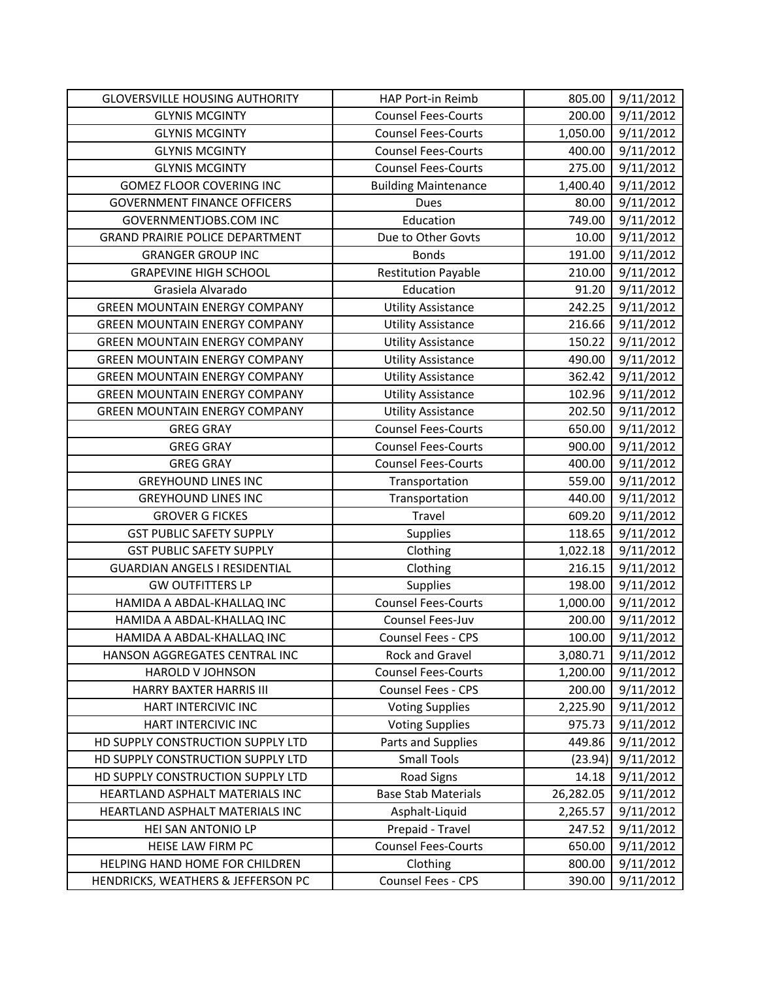| <b>GLOVERSVILLE HOUSING AUTHORITY</b>  | HAP Port-in Reimb           | 805.00    | 9/11/2012 |
|----------------------------------------|-----------------------------|-----------|-----------|
| <b>GLYNIS MCGINTY</b>                  | <b>Counsel Fees-Courts</b>  | 200.00    | 9/11/2012 |
| <b>GLYNIS MCGINTY</b>                  | <b>Counsel Fees-Courts</b>  | 1,050.00  | 9/11/2012 |
| <b>GLYNIS MCGINTY</b>                  | <b>Counsel Fees-Courts</b>  | 400.00    | 9/11/2012 |
| <b>GLYNIS MCGINTY</b>                  | <b>Counsel Fees-Courts</b>  | 275.00    | 9/11/2012 |
| <b>GOMEZ FLOOR COVERING INC</b>        | <b>Building Maintenance</b> | 1,400.40  | 9/11/2012 |
| <b>GOVERNMENT FINANCE OFFICERS</b>     | <b>Dues</b>                 | 80.00     | 9/11/2012 |
| GOVERNMENTJOBS.COM INC                 | Education                   | 749.00    | 9/11/2012 |
| <b>GRAND PRAIRIE POLICE DEPARTMENT</b> | Due to Other Govts          | 10.00     | 9/11/2012 |
| <b>GRANGER GROUP INC</b>               | <b>Bonds</b>                | 191.00    | 9/11/2012 |
| <b>GRAPEVINE HIGH SCHOOL</b>           | <b>Restitution Payable</b>  | 210.00    | 9/11/2012 |
| Grasiela Alvarado                      | Education                   | 91.20     | 9/11/2012 |
| <b>GREEN MOUNTAIN ENERGY COMPANY</b>   | <b>Utility Assistance</b>   | 242.25    | 9/11/2012 |
| <b>GREEN MOUNTAIN ENERGY COMPANY</b>   | <b>Utility Assistance</b>   | 216.66    | 9/11/2012 |
| <b>GREEN MOUNTAIN ENERGY COMPANY</b>   | <b>Utility Assistance</b>   | 150.22    | 9/11/2012 |
| <b>GREEN MOUNTAIN ENERGY COMPANY</b>   | <b>Utility Assistance</b>   | 490.00    | 9/11/2012 |
| <b>GREEN MOUNTAIN ENERGY COMPANY</b>   | <b>Utility Assistance</b>   | 362.42    | 9/11/2012 |
| <b>GREEN MOUNTAIN ENERGY COMPANY</b>   | <b>Utility Assistance</b>   | 102.96    | 9/11/2012 |
| <b>GREEN MOUNTAIN ENERGY COMPANY</b>   | <b>Utility Assistance</b>   | 202.50    | 9/11/2012 |
| <b>GREG GRAY</b>                       | <b>Counsel Fees-Courts</b>  | 650.00    | 9/11/2012 |
| <b>GREG GRAY</b>                       | <b>Counsel Fees-Courts</b>  | 900.00    | 9/11/2012 |
| <b>GREG GRAY</b>                       | <b>Counsel Fees-Courts</b>  | 400.00    | 9/11/2012 |
| <b>GREYHOUND LINES INC</b>             | Transportation              | 559.00    | 9/11/2012 |
| <b>GREYHOUND LINES INC</b>             | Transportation              | 440.00    | 9/11/2012 |
| <b>GROVER G FICKES</b>                 | Travel                      | 609.20    | 9/11/2012 |
| <b>GST PUBLIC SAFETY SUPPLY</b>        | Supplies                    | 118.65    | 9/11/2012 |
| <b>GST PUBLIC SAFETY SUPPLY</b>        | Clothing                    | 1,022.18  | 9/11/2012 |
| <b>GUARDIAN ANGELS I RESIDENTIAL</b>   | Clothing                    | 216.15    | 9/11/2012 |
| <b>GW OUTFITTERS LP</b>                | Supplies                    | 198.00    | 9/11/2012 |
| HAMIDA A ABDAL-KHALLAQ INC             | <b>Counsel Fees-Courts</b>  | 1,000.00  | 9/11/2012 |
| HAMIDA A ABDAL-KHALLAQ INC             | Counsel Fees-Juv            | 200.00    | 9/11/2012 |
| HAMIDA A ABDAL-KHALLAQ INC             | <b>Counsel Fees - CPS</b>   | 100.00    | 9/11/2012 |
| HANSON AGGREGATES CENTRAL INC          | Rock and Gravel             | 3,080.71  | 9/11/2012 |
| HAROLD V JOHNSON                       | <b>Counsel Fees-Courts</b>  | 1,200.00  | 9/11/2012 |
| HARRY BAXTER HARRIS III                | Counsel Fees - CPS          | 200.00    | 9/11/2012 |
| HART INTERCIVIC INC                    | <b>Voting Supplies</b>      | 2,225.90  | 9/11/2012 |
| HART INTERCIVIC INC                    | <b>Voting Supplies</b>      | 975.73    | 9/11/2012 |
| HD SUPPLY CONSTRUCTION SUPPLY LTD      | Parts and Supplies          | 449.86    | 9/11/2012 |
| HD SUPPLY CONSTRUCTION SUPPLY LTD      | <b>Small Tools</b>          | (23.94)   | 9/11/2012 |
| HD SUPPLY CONSTRUCTION SUPPLY LTD      | <b>Road Signs</b>           | 14.18     | 9/11/2012 |
| HEARTLAND ASPHALT MATERIALS INC        | <b>Base Stab Materials</b>  | 26,282.05 | 9/11/2012 |
| HEARTLAND ASPHALT MATERIALS INC        | Asphalt-Liquid              | 2,265.57  | 9/11/2012 |
| HEI SAN ANTONIO LP                     | Prepaid - Travel            | 247.52    | 9/11/2012 |
| HEISE LAW FIRM PC                      | <b>Counsel Fees-Courts</b>  | 650.00    | 9/11/2012 |
| HELPING HAND HOME FOR CHILDREN         | Clothing                    | 800.00    | 9/11/2012 |
| HENDRICKS, WEATHERS & JEFFERSON PC     | Counsel Fees - CPS          | 390.00    | 9/11/2012 |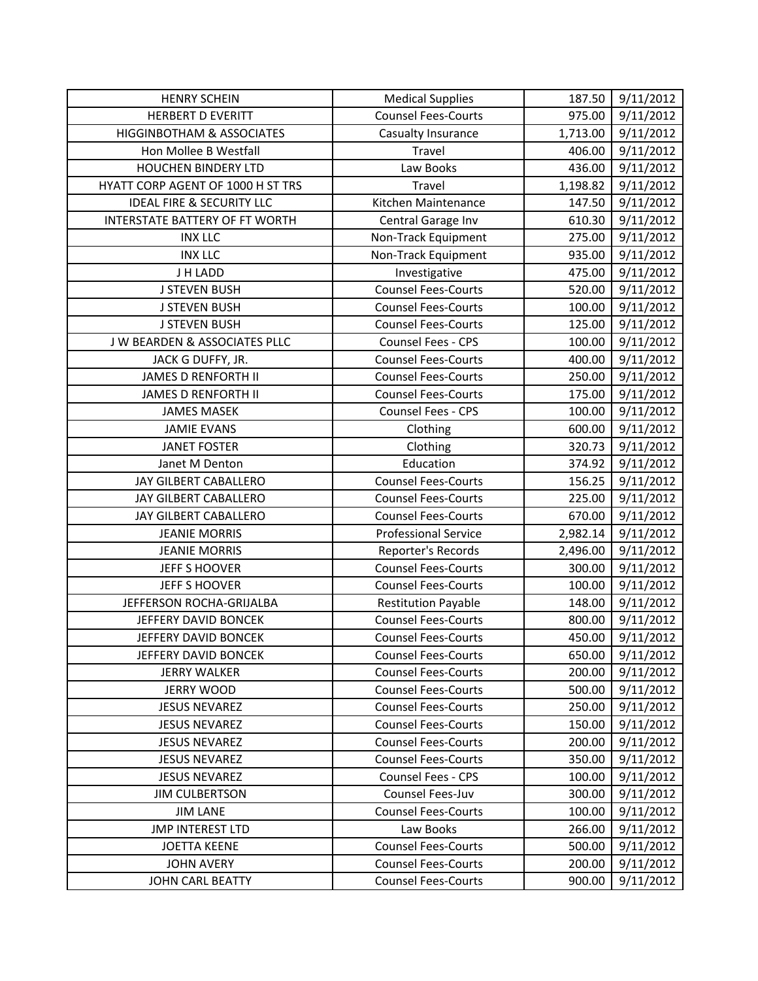| <b>HENRY SCHEIN</b>                  | <b>Medical Supplies</b>     | 187.50   | 9/11/2012 |
|--------------------------------------|-----------------------------|----------|-----------|
| <b>HERBERT D EVERITT</b>             | <b>Counsel Fees-Courts</b>  | 975.00   | 9/11/2012 |
| <b>HIGGINBOTHAM &amp; ASSOCIATES</b> | Casualty Insurance          | 1,713.00 | 9/11/2012 |
| Hon Mollee B Westfall                | Travel                      | 406.00   | 9/11/2012 |
| <b>HOUCHEN BINDERY LTD</b>           | Law Books                   | 436.00   | 9/11/2012 |
| HYATT CORP AGENT OF 1000 H ST TRS    | Travel                      | 1,198.82 | 9/11/2012 |
| <b>IDEAL FIRE &amp; SECURITY LLC</b> | Kitchen Maintenance         | 147.50   | 9/11/2012 |
| INTERSTATE BATTERY OF FT WORTH       | Central Garage Inv          | 610.30   | 9/11/2012 |
| <b>INX LLC</b>                       | Non-Track Equipment         | 275.00   | 9/11/2012 |
| <b>INX LLC</b>                       | Non-Track Equipment         | 935.00   | 9/11/2012 |
| J H LADD                             | Investigative               | 475.00   | 9/11/2012 |
| <b>J STEVEN BUSH</b>                 | <b>Counsel Fees-Courts</b>  | 520.00   | 9/11/2012 |
| <b>J STEVEN BUSH</b>                 | <b>Counsel Fees-Courts</b>  | 100.00   | 9/11/2012 |
| <b>J STEVEN BUSH</b>                 | <b>Counsel Fees-Courts</b>  | 125.00   | 9/11/2012 |
| J W BEARDEN & ASSOCIATES PLLC        | Counsel Fees - CPS          | 100.00   | 9/11/2012 |
| JACK G DUFFY, JR.                    | <b>Counsel Fees-Courts</b>  | 400.00   | 9/11/2012 |
| <b>JAMES D RENFORTH II</b>           | <b>Counsel Fees-Courts</b>  | 250.00   | 9/11/2012 |
| <b>JAMES D RENFORTH II</b>           | <b>Counsel Fees-Courts</b>  | 175.00   | 9/11/2012 |
| <b>JAMES MASEK</b>                   | <b>Counsel Fees - CPS</b>   | 100.00   | 9/11/2012 |
| <b>JAMIE EVANS</b>                   | Clothing                    | 600.00   | 9/11/2012 |
| <b>JANET FOSTER</b>                  | Clothing                    | 320.73   | 9/11/2012 |
| Janet M Denton                       | Education                   | 374.92   | 9/11/2012 |
| JAY GILBERT CABALLERO                | <b>Counsel Fees-Courts</b>  | 156.25   | 9/11/2012 |
| JAY GILBERT CABALLERO                | <b>Counsel Fees-Courts</b>  | 225.00   | 9/11/2012 |
| JAY GILBERT CABALLERO                | <b>Counsel Fees-Courts</b>  | 670.00   | 9/11/2012 |
| <b>JEANIE MORRIS</b>                 | <b>Professional Service</b> | 2,982.14 | 9/11/2012 |
| <b>JEANIE MORRIS</b>                 | Reporter's Records          | 2,496.00 | 9/11/2012 |
| <b>JEFF S HOOVER</b>                 | <b>Counsel Fees-Courts</b>  | 300.00   | 9/11/2012 |
| <b>JEFF S HOOVER</b>                 | <b>Counsel Fees-Courts</b>  | 100.00   | 9/11/2012 |
| JEFFERSON ROCHA-GRIJALBA             | <b>Restitution Payable</b>  | 148.00   | 9/11/2012 |
| JEFFERY DAVID BONCEK                 | <b>Counsel Fees-Courts</b>  | 800.00   | 9/11/2012 |
| JEFFERY DAVID BONCEK                 | <b>Counsel Fees-Courts</b>  | 450.00   | 9/11/2012 |
| JEFFERY DAVID BONCEK                 | <b>Counsel Fees-Courts</b>  | 650.00   | 9/11/2012 |
| <b>JERRY WALKER</b>                  | <b>Counsel Fees-Courts</b>  | 200.00   | 9/11/2012 |
| <b>JERRY WOOD</b>                    | <b>Counsel Fees-Courts</b>  | 500.00   | 9/11/2012 |
| <b>JESUS NEVAREZ</b>                 | <b>Counsel Fees-Courts</b>  | 250.00   | 9/11/2012 |
| <b>JESUS NEVAREZ</b>                 | <b>Counsel Fees-Courts</b>  | 150.00   | 9/11/2012 |
| <b>JESUS NEVAREZ</b>                 | <b>Counsel Fees-Courts</b>  | 200.00   | 9/11/2012 |
| <b>JESUS NEVAREZ</b>                 | <b>Counsel Fees-Courts</b>  | 350.00   | 9/11/2012 |
| <b>JESUS NEVAREZ</b>                 | <b>Counsel Fees - CPS</b>   | 100.00   | 9/11/2012 |
| <b>JIM CULBERTSON</b>                | Counsel Fees-Juv            | 300.00   | 9/11/2012 |
| <b>JIM LANE</b>                      | <b>Counsel Fees-Courts</b>  | 100.00   | 9/11/2012 |
| <b>JMP INTEREST LTD</b>              | Law Books                   | 266.00   | 9/11/2012 |
| <b>JOETTA KEENE</b>                  | <b>Counsel Fees-Courts</b>  | 500.00   | 9/11/2012 |
| <b>JOHN AVERY</b>                    | <b>Counsel Fees-Courts</b>  | 200.00   | 9/11/2012 |
| JOHN CARL BEATTY                     | <b>Counsel Fees-Courts</b>  | 900.00   | 9/11/2012 |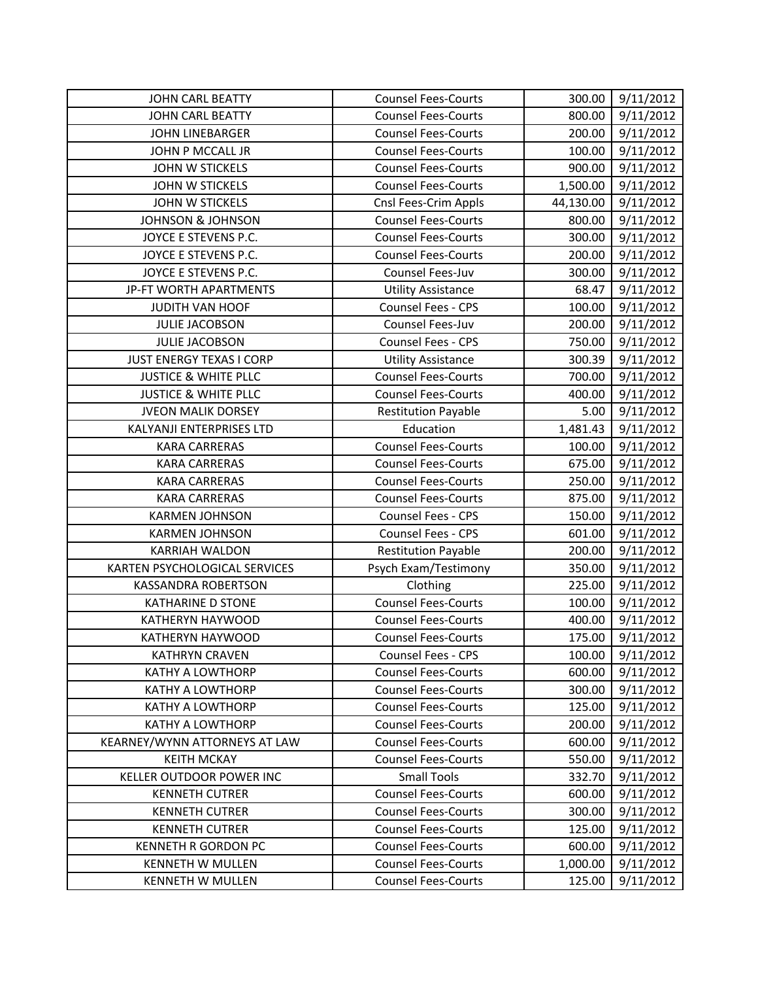| <b>JOHN CARL BEATTY</b>         | <b>Counsel Fees-Courts</b> | 300.00    | 9/11/2012 |
|---------------------------------|----------------------------|-----------|-----------|
| <b>JOHN CARL BEATTY</b>         | <b>Counsel Fees-Courts</b> | 800.00    | 9/11/2012 |
| <b>JOHN LINEBARGER</b>          | <b>Counsel Fees-Courts</b> | 200.00    | 9/11/2012 |
| JOHN P MCCALL JR                | <b>Counsel Fees-Courts</b> | 100.00    | 9/11/2012 |
| <b>JOHN W STICKELS</b>          | <b>Counsel Fees-Courts</b> | 900.00    | 9/11/2012 |
| <b>JOHN W STICKELS</b>          | <b>Counsel Fees-Courts</b> | 1,500.00  | 9/11/2012 |
| <b>JOHN W STICKELS</b>          | Cnsl Fees-Crim Appls       | 44,130.00 | 9/11/2012 |
| <b>JOHNSON &amp; JOHNSON</b>    | <b>Counsel Fees-Courts</b> | 800.00    | 9/11/2012 |
| JOYCE E STEVENS P.C.            | <b>Counsel Fees-Courts</b> | 300.00    | 9/11/2012 |
| JOYCE E STEVENS P.C.            | <b>Counsel Fees-Courts</b> | 200.00    | 9/11/2012 |
| JOYCE E STEVENS P.C.            | Counsel Fees-Juv           | 300.00    | 9/11/2012 |
| JP-FT WORTH APARTMENTS          | <b>Utility Assistance</b>  | 68.47     | 9/11/2012 |
| <b>JUDITH VAN HOOF</b>          | Counsel Fees - CPS         | 100.00    | 9/11/2012 |
| <b>JULIE JACOBSON</b>           | Counsel Fees-Juv           | 200.00    | 9/11/2012 |
| <b>JULIE JACOBSON</b>           | Counsel Fees - CPS         | 750.00    | 9/11/2012 |
| JUST ENERGY TEXAS I CORP        | <b>Utility Assistance</b>  | 300.39    | 9/11/2012 |
| <b>JUSTICE &amp; WHITE PLLC</b> | <b>Counsel Fees-Courts</b> | 700.00    | 9/11/2012 |
| <b>JUSTICE &amp; WHITE PLLC</b> | <b>Counsel Fees-Courts</b> | 400.00    | 9/11/2012 |
| <b>JVEON MALIK DORSEY</b>       | <b>Restitution Payable</b> | 5.00      | 9/11/2012 |
| KALYANJI ENTERPRISES LTD        | Education                  | 1,481.43  | 9/11/2012 |
| <b>KARA CARRERAS</b>            | <b>Counsel Fees-Courts</b> | 100.00    | 9/11/2012 |
| <b>KARA CARRERAS</b>            | <b>Counsel Fees-Courts</b> | 675.00    | 9/11/2012 |
| <b>KARA CARRERAS</b>            | <b>Counsel Fees-Courts</b> | 250.00    | 9/11/2012 |
| <b>KARA CARRERAS</b>            | <b>Counsel Fees-Courts</b> | 875.00    | 9/11/2012 |
| <b>KARMEN JOHNSON</b>           | Counsel Fees - CPS         | 150.00    | 9/11/2012 |
| <b>KARMEN JOHNSON</b>           | Counsel Fees - CPS         | 601.00    | 9/11/2012 |
| <b>KARRIAH WALDON</b>           | <b>Restitution Payable</b> | 200.00    | 9/11/2012 |
| KARTEN PSYCHOLOGICAL SERVICES   | Psych Exam/Testimony       | 350.00    | 9/11/2012 |
| <b>KASSANDRA ROBERTSON</b>      | Clothing                   | 225.00    | 9/11/2012 |
| <b>KATHARINE D STONE</b>        | <b>Counsel Fees-Courts</b> | 100.00    | 9/11/2012 |
| KATHERYN HAYWOOD                | <b>Counsel Fees-Courts</b> | 400.00    | 9/11/2012 |
| <b>KATHERYN HAYWOOD</b>         | <b>Counsel Fees-Courts</b> | 175.00    | 9/11/2012 |
| <b>KATHRYN CRAVEN</b>           | <b>Counsel Fees - CPS</b>  | 100.00    | 9/11/2012 |
| KATHY A LOWTHORP                | <b>Counsel Fees-Courts</b> | 600.00    | 9/11/2012 |
| <b>KATHY A LOWTHORP</b>         | <b>Counsel Fees-Courts</b> | 300.00    | 9/11/2012 |
| <b>KATHY A LOWTHORP</b>         | <b>Counsel Fees-Courts</b> | 125.00    | 9/11/2012 |
| <b>KATHY A LOWTHORP</b>         | <b>Counsel Fees-Courts</b> | 200.00    | 9/11/2012 |
| KEARNEY/WYNN ATTORNEYS AT LAW   | <b>Counsel Fees-Courts</b> | 600.00    | 9/11/2012 |
| <b>KEITH MCKAY</b>              | <b>Counsel Fees-Courts</b> | 550.00    | 9/11/2012 |
| <b>KELLER OUTDOOR POWER INC</b> | <b>Small Tools</b>         | 332.70    | 9/11/2012 |
| <b>KENNETH CUTRER</b>           | <b>Counsel Fees-Courts</b> | 600.00    | 9/11/2012 |
| <b>KENNETH CUTRER</b>           | <b>Counsel Fees-Courts</b> | 300.00    | 9/11/2012 |
| <b>KENNETH CUTRER</b>           | <b>Counsel Fees-Courts</b> | 125.00    | 9/11/2012 |
| <b>KENNETH R GORDON PC</b>      | <b>Counsel Fees-Courts</b> | 600.00    | 9/11/2012 |
| <b>KENNETH W MULLEN</b>         | <b>Counsel Fees-Courts</b> | 1,000.00  | 9/11/2012 |
| <b>KENNETH W MULLEN</b>         | <b>Counsel Fees-Courts</b> | 125.00    | 9/11/2012 |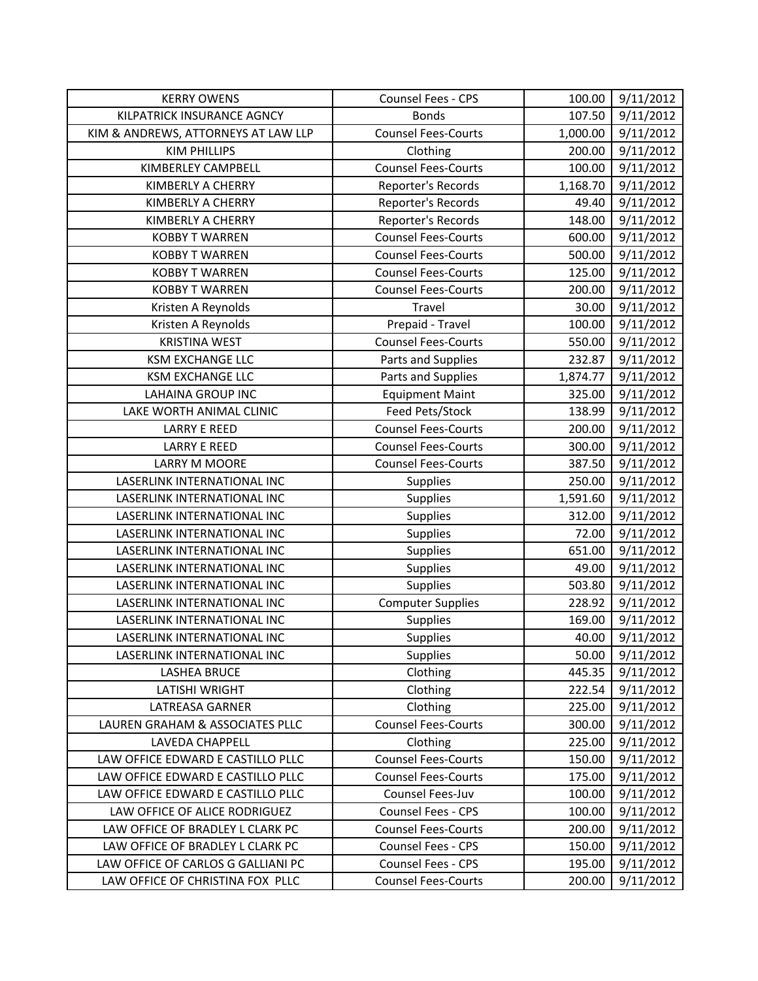| <b>KERRY OWENS</b>                  | Counsel Fees - CPS         | 100.00   | 9/11/2012 |
|-------------------------------------|----------------------------|----------|-----------|
| KILPATRICK INSURANCE AGNCY          | <b>Bonds</b>               | 107.50   | 9/11/2012 |
| KIM & ANDREWS, ATTORNEYS AT LAW LLP | <b>Counsel Fees-Courts</b> | 1,000.00 | 9/11/2012 |
| <b>KIM PHILLIPS</b>                 | Clothing                   | 200.00   | 9/11/2012 |
| <b>KIMBERLEY CAMPBELL</b>           | <b>Counsel Fees-Courts</b> | 100.00   | 9/11/2012 |
| KIMBERLY A CHERRY                   | Reporter's Records         | 1,168.70 | 9/11/2012 |
| KIMBERLY A CHERRY                   | Reporter's Records         | 49.40    | 9/11/2012 |
| KIMBERLY A CHERRY                   | Reporter's Records         | 148.00   | 9/11/2012 |
| <b>KOBBY T WARREN</b>               | <b>Counsel Fees-Courts</b> | 600.00   | 9/11/2012 |
| <b>KOBBY T WARREN</b>               | <b>Counsel Fees-Courts</b> | 500.00   | 9/11/2012 |
| <b>KOBBY T WARREN</b>               | <b>Counsel Fees-Courts</b> | 125.00   | 9/11/2012 |
| <b>KOBBY T WARREN</b>               | <b>Counsel Fees-Courts</b> | 200.00   | 9/11/2012 |
| Kristen A Reynolds                  | Travel                     | 30.00    | 9/11/2012 |
| Kristen A Reynolds                  | Prepaid - Travel           | 100.00   | 9/11/2012 |
| <b>KRISTINA WEST</b>                | <b>Counsel Fees-Courts</b> | 550.00   | 9/11/2012 |
| <b>KSM EXCHANGE LLC</b>             | Parts and Supplies         | 232.87   | 9/11/2012 |
| <b>KSM EXCHANGE LLC</b>             | Parts and Supplies         | 1,874.77 | 9/11/2012 |
| <b>LAHAINA GROUP INC</b>            | <b>Equipment Maint</b>     | 325.00   | 9/11/2012 |
| LAKE WORTH ANIMAL CLINIC            | Feed Pets/Stock            | 138.99   | 9/11/2012 |
| <b>LARRY E REED</b>                 | <b>Counsel Fees-Courts</b> | 200.00   | 9/11/2012 |
| <b>LARRY E REED</b>                 | <b>Counsel Fees-Courts</b> | 300.00   | 9/11/2012 |
| LARRY M MOORE                       | <b>Counsel Fees-Courts</b> | 387.50   | 9/11/2012 |
| LASERLINK INTERNATIONAL INC         | Supplies                   | 250.00   | 9/11/2012 |
| LASERLINK INTERNATIONAL INC         | <b>Supplies</b>            | 1,591.60 | 9/11/2012 |
| LASERLINK INTERNATIONAL INC         | <b>Supplies</b>            | 312.00   | 9/11/2012 |
| LASERLINK INTERNATIONAL INC         | Supplies                   | 72.00    | 9/11/2012 |
| LASERLINK INTERNATIONAL INC         | Supplies                   | 651.00   | 9/11/2012 |
| LASERLINK INTERNATIONAL INC         | Supplies                   | 49.00    | 9/11/2012 |
| LASERLINK INTERNATIONAL INC         | Supplies                   | 503.80   | 9/11/2012 |
| LASERLINK INTERNATIONAL INC         | <b>Computer Supplies</b>   | 228.92   | 9/11/2012 |
| LASERLINK INTERNATIONAL INC         | Supplies                   | 169.00   | 9/11/2012 |
| LASERLINK INTERNATIONAL INC         | Supplies                   | 40.00    | 9/11/2012 |
| LASERLINK INTERNATIONAL INC         | Supplies                   | 50.00    | 9/11/2012 |
| <b>LASHEA BRUCE</b>                 | Clothing                   | 445.35   | 9/11/2012 |
| <b>LATISHI WRIGHT</b>               | Clothing                   | 222.54   | 9/11/2012 |
| LATREASA GARNER                     | Clothing                   | 225.00   | 9/11/2012 |
| LAUREN GRAHAM & ASSOCIATES PLLC     | <b>Counsel Fees-Courts</b> | 300.00   | 9/11/2012 |
| LAVEDA CHAPPELL                     | Clothing                   | 225.00   | 9/11/2012 |
| LAW OFFICE EDWARD E CASTILLO PLLC   | <b>Counsel Fees-Courts</b> | 150.00   | 9/11/2012 |
| LAW OFFICE EDWARD E CASTILLO PLLC   | <b>Counsel Fees-Courts</b> | 175.00   | 9/11/2012 |
| LAW OFFICE EDWARD E CASTILLO PLLC   | Counsel Fees-Juv           | 100.00   | 9/11/2012 |
| LAW OFFICE OF ALICE RODRIGUEZ       | Counsel Fees - CPS         | 100.00   | 9/11/2012 |
| LAW OFFICE OF BRADLEY L CLARK PC    | <b>Counsel Fees-Courts</b> | 200.00   | 9/11/2012 |
| LAW OFFICE OF BRADLEY L CLARK PC    | Counsel Fees - CPS         | 150.00   | 9/11/2012 |
| LAW OFFICE OF CARLOS G GALLIANI PC  | Counsel Fees - CPS         | 195.00   | 9/11/2012 |
| LAW OFFICE OF CHRISTINA FOX PLLC    | <b>Counsel Fees-Courts</b> | 200.00   | 9/11/2012 |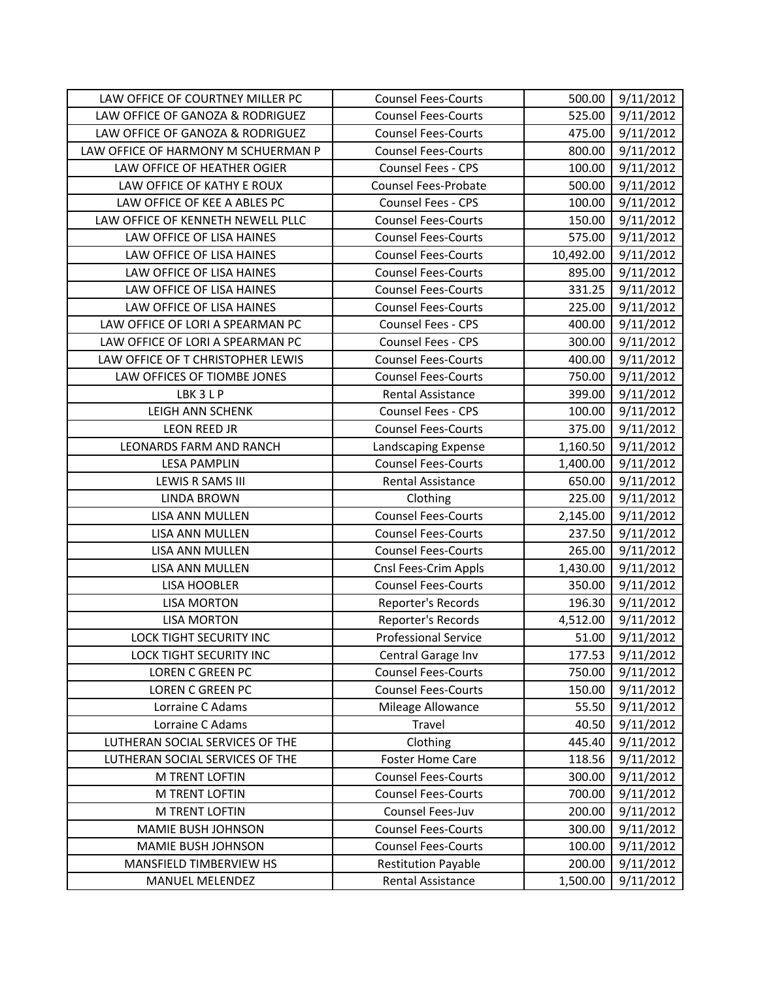| LAW OFFICE OF COURTNEY MILLER PC    | <b>Counsel Fees-Courts</b>  | 500.00    | 9/11/2012 |
|-------------------------------------|-----------------------------|-----------|-----------|
| LAW OFFICE OF GANOZA & RODRIGUEZ    | <b>Counsel Fees-Courts</b>  | 525.00    | 9/11/2012 |
| LAW OFFICE OF GANOZA & RODRIGUEZ    | <b>Counsel Fees-Courts</b>  | 475.00    | 9/11/2012 |
| LAW OFFICE OF HARMONY M SCHUERMAN P | <b>Counsel Fees-Courts</b>  | 800.00    | 9/11/2012 |
| LAW OFFICE OF HEATHER OGIER         | Counsel Fees - CPS          | 100.00    | 9/11/2012 |
| LAW OFFICE OF KATHY E ROUX          | <b>Counsel Fees-Probate</b> | 500.00    | 9/11/2012 |
| LAW OFFICE OF KEE A ABLES PC        | Counsel Fees - CPS          | 100.00    | 9/11/2012 |
| LAW OFFICE OF KENNETH NEWELL PLLC   | <b>Counsel Fees-Courts</b>  | 150.00    | 9/11/2012 |
| LAW OFFICE OF LISA HAINES           | <b>Counsel Fees-Courts</b>  | 575.00    | 9/11/2012 |
| LAW OFFICE OF LISA HAINES           | <b>Counsel Fees-Courts</b>  | 10,492.00 | 9/11/2012 |
| LAW OFFICE OF LISA HAINES           | <b>Counsel Fees-Courts</b>  | 895.00    | 9/11/2012 |
| LAW OFFICE OF LISA HAINES           | <b>Counsel Fees-Courts</b>  | 331.25    | 9/11/2012 |
| LAW OFFICE OF LISA HAINES           | <b>Counsel Fees-Courts</b>  | 225.00    | 9/11/2012 |
| LAW OFFICE OF LORI A SPEARMAN PC    | Counsel Fees - CPS          | 400.00    | 9/11/2012 |
| LAW OFFICE OF LORI A SPEARMAN PC    | Counsel Fees - CPS          | 300.00    | 9/11/2012 |
| LAW OFFICE OF T CHRISTOPHER LEWIS   | <b>Counsel Fees-Courts</b>  | 400.00    | 9/11/2012 |
| LAW OFFICES OF TIOMBE JONES         | <b>Counsel Fees-Courts</b>  | 750.00    | 9/11/2012 |
| LBK 3 L P                           | Rental Assistance           | 399.00    | 9/11/2012 |
| LEIGH ANN SCHENK                    | Counsel Fees - CPS          | 100.00    | 9/11/2012 |
| <b>LEON REED JR</b>                 | <b>Counsel Fees-Courts</b>  | 375.00    | 9/11/2012 |
| LEONARDS FARM AND RANCH             | Landscaping Expense         | 1,160.50  | 9/11/2012 |
| <b>LESA PAMPLIN</b>                 | <b>Counsel Fees-Courts</b>  | 1,400.00  | 9/11/2012 |
| LEWIS R SAMS III                    | Rental Assistance           | 650.00    | 9/11/2012 |
| <b>LINDA BROWN</b>                  | Clothing                    | 225.00    | 9/11/2012 |
| LISA ANN MULLEN                     | <b>Counsel Fees-Courts</b>  | 2,145.00  | 9/11/2012 |
| LISA ANN MULLEN                     | <b>Counsel Fees-Courts</b>  | 237.50    | 9/11/2012 |
| LISA ANN MULLEN                     | <b>Counsel Fees-Courts</b>  | 265.00    | 9/11/2012 |
| LISA ANN MULLEN                     | Cnsl Fees-Crim Appls        | 1,430.00  | 9/11/2012 |
| <b>LISA HOOBLER</b>                 | <b>Counsel Fees-Courts</b>  | 350.00    | 9/11/2012 |
| <b>LISA MORTON</b>                  | Reporter's Records          | 196.30    | 9/11/2012 |
| <b>LISA MORTON</b>                  | Reporter's Records          | 4,512.00  | 9/11/2012 |
| <b>LOCK TIGHT SECURITY INC</b>      | <b>Professional Service</b> | 51.00     | 9/11/2012 |
| LOCK TIGHT SECURITY INC             | Central Garage Inv          | 177.53    | 9/11/2012 |
| LOREN C GREEN PC                    | <b>Counsel Fees-Courts</b>  | 750.00    | 9/11/2012 |
| LOREN C GREEN PC                    | <b>Counsel Fees-Courts</b>  | 150.00    | 9/11/2012 |
| Lorraine C Adams                    | Mileage Allowance           | 55.50     | 9/11/2012 |
| Lorraine C Adams                    | Travel                      | 40.50     | 9/11/2012 |
| LUTHERAN SOCIAL SERVICES OF THE     | Clothing                    | 445.40    | 9/11/2012 |
| LUTHERAN SOCIAL SERVICES OF THE     | <b>Foster Home Care</b>     | 118.56    | 9/11/2012 |
| M TRENT LOFTIN                      | <b>Counsel Fees-Courts</b>  | 300.00    | 9/11/2012 |
| M TRENT LOFTIN                      | <b>Counsel Fees-Courts</b>  | 700.00    | 9/11/2012 |
| M TRENT LOFTIN                      | Counsel Fees-Juv            | 200.00    | 9/11/2012 |
| MAMIE BUSH JOHNSON                  | <b>Counsel Fees-Courts</b>  | 300.00    | 9/11/2012 |
| MAMIE BUSH JOHNSON                  | <b>Counsel Fees-Courts</b>  | 100.00    | 9/11/2012 |
| MANSFIELD TIMBERVIEW HS             | <b>Restitution Payable</b>  | 200.00    | 9/11/2012 |
| MANUEL MELENDEZ                     | Rental Assistance           | 1,500.00  | 9/11/2012 |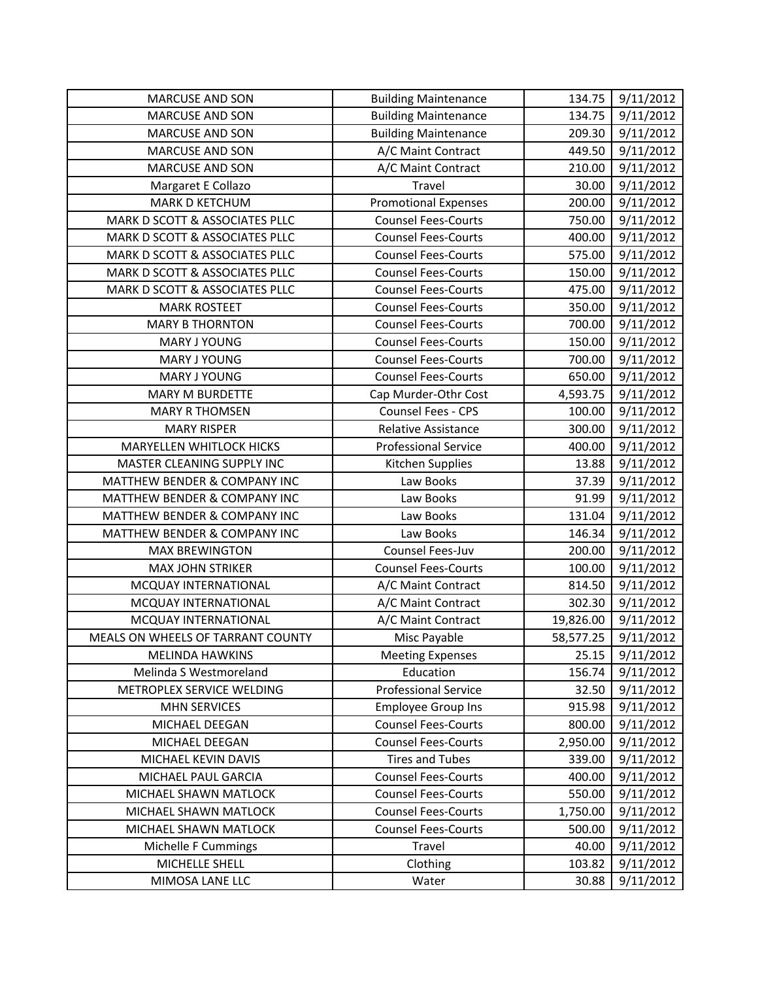| MARCUSE AND SON                   | <b>Building Maintenance</b> | 134.75    | 9/11/2012 |
|-----------------------------------|-----------------------------|-----------|-----------|
| <b>MARCUSE AND SON</b>            | <b>Building Maintenance</b> | 134.75    | 9/11/2012 |
| <b>MARCUSE AND SON</b>            | <b>Building Maintenance</b> | 209.30    | 9/11/2012 |
| <b>MARCUSE AND SON</b>            | A/C Maint Contract          | 449.50    | 9/11/2012 |
| <b>MARCUSE AND SON</b>            | A/C Maint Contract          | 210.00    | 9/11/2012 |
| Margaret E Collazo                | Travel                      | 30.00     | 9/11/2012 |
| <b>MARK D KETCHUM</b>             | <b>Promotional Expenses</b> | 200.00    | 9/11/2012 |
| MARK D SCOTT & ASSOCIATES PLLC    | <b>Counsel Fees-Courts</b>  | 750.00    | 9/11/2012 |
| MARK D SCOTT & ASSOCIATES PLLC    | <b>Counsel Fees-Courts</b>  | 400.00    | 9/11/2012 |
| MARK D SCOTT & ASSOCIATES PLLC    | <b>Counsel Fees-Courts</b>  | 575.00    | 9/11/2012 |
| MARK D SCOTT & ASSOCIATES PLLC    | <b>Counsel Fees-Courts</b>  | 150.00    | 9/11/2012 |
| MARK D SCOTT & ASSOCIATES PLLC    | <b>Counsel Fees-Courts</b>  | 475.00    | 9/11/2012 |
| <b>MARK ROSTEET</b>               | <b>Counsel Fees-Courts</b>  | 350.00    | 9/11/2012 |
| <b>MARY B THORNTON</b>            | <b>Counsel Fees-Courts</b>  | 700.00    | 9/11/2012 |
| <b>MARY J YOUNG</b>               | <b>Counsel Fees-Courts</b>  | 150.00    | 9/11/2012 |
| MARY J YOUNG                      | <b>Counsel Fees-Courts</b>  | 700.00    | 9/11/2012 |
| MARY J YOUNG                      | <b>Counsel Fees-Courts</b>  | 650.00    | 9/11/2012 |
| <b>MARY M BURDETTE</b>            | Cap Murder-Othr Cost        | 4,593.75  | 9/11/2012 |
| <b>MARY R THOMSEN</b>             | <b>Counsel Fees - CPS</b>   | 100.00    | 9/11/2012 |
| <b>MARY RISPER</b>                | Relative Assistance         | 300.00    | 9/11/2012 |
| <b>MARYELLEN WHITLOCK HICKS</b>   | <b>Professional Service</b> | 400.00    | 9/11/2012 |
| MASTER CLEANING SUPPLY INC        | Kitchen Supplies            | 13.88     | 9/11/2012 |
| MATTHEW BENDER & COMPANY INC      | Law Books                   | 37.39     | 9/11/2012 |
| MATTHEW BENDER & COMPANY INC      | Law Books                   | 91.99     | 9/11/2012 |
| MATTHEW BENDER & COMPANY INC      | Law Books                   | 131.04    | 9/11/2012 |
| MATTHEW BENDER & COMPANY INC      | Law Books                   | 146.34    | 9/11/2012 |
| <b>MAX BREWINGTON</b>             | Counsel Fees-Juv            | 200.00    | 9/11/2012 |
| <b>MAX JOHN STRIKER</b>           | <b>Counsel Fees-Courts</b>  | 100.00    | 9/11/2012 |
| MCQUAY INTERNATIONAL              | A/C Maint Contract          | 814.50    | 9/11/2012 |
| MCQUAY INTERNATIONAL              | A/C Maint Contract          | 302.30    | 9/11/2012 |
| MCQUAY INTERNATIONAL              | A/C Maint Contract          | 19,826.00 | 9/11/2012 |
| MEALS ON WHEELS OF TARRANT COUNTY | Misc Payable                | 58,577.25 | 9/11/2012 |
| <b>MELINDA HAWKINS</b>            | <b>Meeting Expenses</b>     | 25.15     | 9/11/2012 |
| Melinda S Westmoreland            | Education                   | 156.74    | 9/11/2012 |
| METROPLEX SERVICE WELDING         | <b>Professional Service</b> | 32.50     | 9/11/2012 |
| <b>MHN SERVICES</b>               | <b>Employee Group Ins</b>   | 915.98    | 9/11/2012 |
| MICHAEL DEEGAN                    | <b>Counsel Fees-Courts</b>  | 800.00    | 9/11/2012 |
| MICHAEL DEEGAN                    | <b>Counsel Fees-Courts</b>  | 2,950.00  | 9/11/2012 |
| MICHAEL KEVIN DAVIS               | <b>Tires and Tubes</b>      | 339.00    | 9/11/2012 |
| MICHAEL PAUL GARCIA               | <b>Counsel Fees-Courts</b>  | 400.00    | 9/11/2012 |
| MICHAEL SHAWN MATLOCK             | <b>Counsel Fees-Courts</b>  | 550.00    | 9/11/2012 |
| MICHAEL SHAWN MATLOCK             | <b>Counsel Fees-Courts</b>  | 1,750.00  | 9/11/2012 |
| MICHAEL SHAWN MATLOCK             | <b>Counsel Fees-Courts</b>  | 500.00    | 9/11/2012 |
| Michelle F Cummings               | Travel                      | 40.00     | 9/11/2012 |
| MICHELLE SHELL                    | Clothing                    | 103.82    | 9/11/2012 |
| MIMOSA LANE LLC                   | Water                       | 30.88     | 9/11/2012 |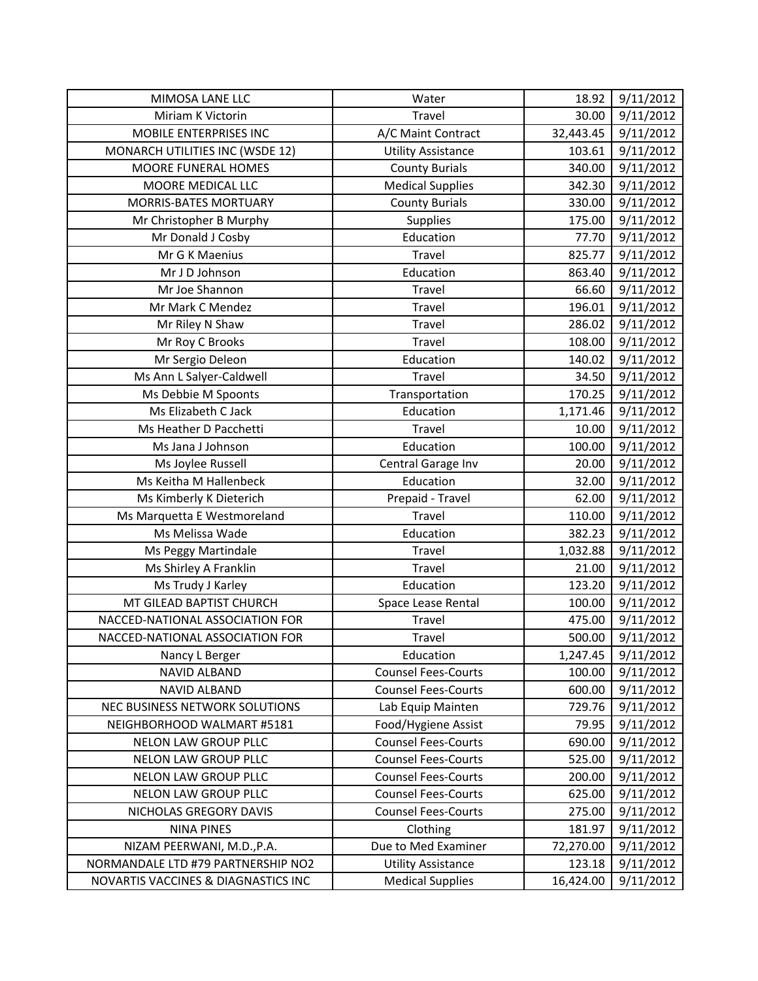| MIMOSA LANE LLC                     | Water                      | 18.92     | 9/11/2012 |
|-------------------------------------|----------------------------|-----------|-----------|
| Miriam K Victorin                   | Travel                     | 30.00     | 9/11/2012 |
| MOBILE ENTERPRISES INC              | A/C Maint Contract         | 32,443.45 | 9/11/2012 |
| MONARCH UTILITIES INC (WSDE 12)     | <b>Utility Assistance</b>  | 103.61    | 9/11/2012 |
| MOORE FUNERAL HOMES                 | <b>County Burials</b>      | 340.00    | 9/11/2012 |
| MOORE MEDICAL LLC                   | <b>Medical Supplies</b>    | 342.30    | 9/11/2012 |
| <b>MORRIS-BATES MORTUARY</b>        | <b>County Burials</b>      | 330.00    | 9/11/2012 |
| Mr Christopher B Murphy             | Supplies                   | 175.00    | 9/11/2012 |
| Mr Donald J Cosby                   | Education                  | 77.70     | 9/11/2012 |
| Mr G K Maenius                      | Travel                     | 825.77    | 9/11/2012 |
| Mr J D Johnson                      | Education                  | 863.40    | 9/11/2012 |
| Mr Joe Shannon                      | Travel                     | 66.60     | 9/11/2012 |
| Mr Mark C Mendez                    | Travel                     | 196.01    | 9/11/2012 |
| Mr Riley N Shaw                     | Travel                     | 286.02    | 9/11/2012 |
| Mr Roy C Brooks                     | Travel                     | 108.00    | 9/11/2012 |
| Mr Sergio Deleon                    | Education                  | 140.02    | 9/11/2012 |
| Ms Ann L Salyer-Caldwell            | Travel                     | 34.50     | 9/11/2012 |
| Ms Debbie M Spoonts                 | Transportation             | 170.25    | 9/11/2012 |
| Ms Elizabeth C Jack                 | Education                  | 1,171.46  | 9/11/2012 |
| Ms Heather D Pacchetti              | Travel                     | 10.00     | 9/11/2012 |
| Ms Jana J Johnson                   | Education                  | 100.00    | 9/11/2012 |
| Ms Joylee Russell                   | Central Garage Inv         | 20.00     | 9/11/2012 |
| Ms Keitha M Hallenbeck              | Education                  | 32.00     | 9/11/2012 |
| Ms Kimberly K Dieterich             | Prepaid - Travel           | 62.00     | 9/11/2012 |
| Ms Marquetta E Westmoreland         | Travel                     | 110.00    | 9/11/2012 |
| Ms Melissa Wade                     | Education                  | 382.23    | 9/11/2012 |
| Ms Peggy Martindale                 | Travel                     | 1,032.88  | 9/11/2012 |
| Ms Shirley A Franklin               | Travel                     | 21.00     | 9/11/2012 |
| Ms Trudy J Karley                   | Education                  | 123.20    | 9/11/2012 |
| MT GILEAD BAPTIST CHURCH            | Space Lease Rental         | 100.00    | 9/11/2012 |
| NACCED-NATIONAL ASSOCIATION FOR     | Travel                     | 475.00    | 9/11/2012 |
| NACCED-NATIONAL ASSOCIATION FOR     | Travel                     | 500.00    | 9/11/2012 |
| Nancy L Berger                      | Education                  | 1,247.45  | 9/11/2012 |
| <b>NAVID ALBAND</b>                 | <b>Counsel Fees-Courts</b> | 100.00    | 9/11/2012 |
| <b>NAVID ALBAND</b>                 | <b>Counsel Fees-Courts</b> | 600.00    | 9/11/2012 |
| NEC BUSINESS NETWORK SOLUTIONS      | Lab Equip Mainten          | 729.76    | 9/11/2012 |
| NEIGHBORHOOD WALMART #5181          | Food/Hygiene Assist        | 79.95     | 9/11/2012 |
| <b>NELON LAW GROUP PLLC</b>         | <b>Counsel Fees-Courts</b> | 690.00    | 9/11/2012 |
| <b>NELON LAW GROUP PLLC</b>         | <b>Counsel Fees-Courts</b> | 525.00    | 9/11/2012 |
| NELON LAW GROUP PLLC                | <b>Counsel Fees-Courts</b> | 200.00    | 9/11/2012 |
| NELON LAW GROUP PLLC                | <b>Counsel Fees-Courts</b> | 625.00    | 9/11/2012 |
| NICHOLAS GREGORY DAVIS              | <b>Counsel Fees-Courts</b> | 275.00    | 9/11/2012 |
| <b>NINA PINES</b>                   | Clothing                   | 181.97    | 9/11/2012 |
| NIZAM PEERWANI, M.D., P.A.          | Due to Med Examiner        | 72,270.00 | 9/11/2012 |
| NORMANDALE LTD #79 PARTNERSHIP NO2  | <b>Utility Assistance</b>  | 123.18    | 9/11/2012 |
| NOVARTIS VACCINES & DIAGNASTICS INC | <b>Medical Supplies</b>    | 16,424.00 | 9/11/2012 |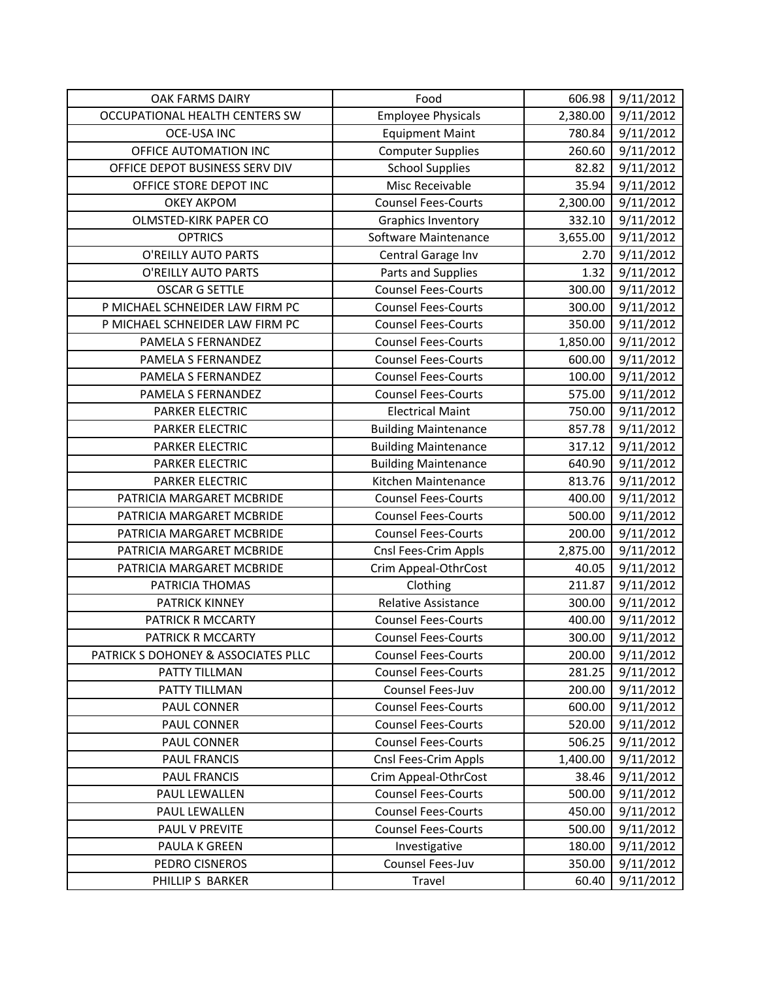| OAK FARMS DAIRY                     | Food                        | 606.98   | 9/11/2012 |
|-------------------------------------|-----------------------------|----------|-----------|
| OCCUPATIONAL HEALTH CENTERS SW      | <b>Employee Physicals</b>   | 2,380.00 | 9/11/2012 |
| <b>OCE-USA INC</b>                  | <b>Equipment Maint</b>      | 780.84   | 9/11/2012 |
| OFFICE AUTOMATION INC               | <b>Computer Supplies</b>    | 260.60   | 9/11/2012 |
| OFFICE DEPOT BUSINESS SERV DIV      | <b>School Supplies</b>      | 82.82    | 9/11/2012 |
| OFFICE STORE DEPOT INC              | Misc Receivable             | 35.94    | 9/11/2012 |
| <b>OKEY AKPOM</b>                   | <b>Counsel Fees-Courts</b>  | 2,300.00 | 9/11/2012 |
| OLMSTED-KIRK PAPER CO               | Graphics Inventory          | 332.10   | 9/11/2012 |
| <b>OPTRICS</b>                      | Software Maintenance        | 3,655.00 | 9/11/2012 |
| O'REILLY AUTO PARTS                 | Central Garage Inv          | 2.70     | 9/11/2012 |
| O'REILLY AUTO PARTS                 | Parts and Supplies          | 1.32     | 9/11/2012 |
| <b>OSCAR G SETTLE</b>               | <b>Counsel Fees-Courts</b>  | 300.00   | 9/11/2012 |
| P MICHAEL SCHNEIDER LAW FIRM PC     | <b>Counsel Fees-Courts</b>  | 300.00   | 9/11/2012 |
| P MICHAEL SCHNEIDER LAW FIRM PC     | <b>Counsel Fees-Courts</b>  | 350.00   | 9/11/2012 |
| PAMELA S FERNANDEZ                  | <b>Counsel Fees-Courts</b>  | 1,850.00 | 9/11/2012 |
| PAMELA S FERNANDEZ                  | <b>Counsel Fees-Courts</b>  | 600.00   | 9/11/2012 |
| PAMELA S FERNANDEZ                  | <b>Counsel Fees-Courts</b>  | 100.00   | 9/11/2012 |
| PAMELA S FERNANDEZ                  | <b>Counsel Fees-Courts</b>  | 575.00   | 9/11/2012 |
| <b>PARKER ELECTRIC</b>              | <b>Electrical Maint</b>     | 750.00   | 9/11/2012 |
| PARKER ELECTRIC                     | <b>Building Maintenance</b> | 857.78   | 9/11/2012 |
| <b>PARKER ELECTRIC</b>              | <b>Building Maintenance</b> | 317.12   | 9/11/2012 |
| <b>PARKER ELECTRIC</b>              | <b>Building Maintenance</b> | 640.90   | 9/11/2012 |
| <b>PARKER ELECTRIC</b>              | Kitchen Maintenance         | 813.76   | 9/11/2012 |
| PATRICIA MARGARET MCBRIDE           | <b>Counsel Fees-Courts</b>  | 400.00   | 9/11/2012 |
| PATRICIA MARGARET MCBRIDE           | <b>Counsel Fees-Courts</b>  | 500.00   | 9/11/2012 |
| PATRICIA MARGARET MCBRIDE           | <b>Counsel Fees-Courts</b>  | 200.00   | 9/11/2012 |
| PATRICIA MARGARET MCBRIDE           | Cnsl Fees-Crim Appls        | 2,875.00 | 9/11/2012 |
| PATRICIA MARGARET MCBRIDE           | Crim Appeal-OthrCost        | 40.05    | 9/11/2012 |
| PATRICIA THOMAS                     | Clothing                    | 211.87   | 9/11/2012 |
| <b>PATRICK KINNEY</b>               | Relative Assistance         | 300.00   | 9/11/2012 |
| PATRICK R MCCARTY                   | <b>Counsel Fees-Courts</b>  | 400.00   | 9/11/2012 |
| PATRICK R MCCARTY                   | <b>Counsel Fees-Courts</b>  | 300.00   | 9/11/2012 |
| PATRICK S DOHONEY & ASSOCIATES PLLC | <b>Counsel Fees-Courts</b>  | 200.00   | 9/11/2012 |
| PATTY TILLMAN                       | <b>Counsel Fees-Courts</b>  | 281.25   | 9/11/2012 |
| PATTY TILLMAN                       | Counsel Fees-Juv            | 200.00   | 9/11/2012 |
| PAUL CONNER                         | <b>Counsel Fees-Courts</b>  | 600.00   | 9/11/2012 |
| <b>PAUL CONNER</b>                  | <b>Counsel Fees-Courts</b>  | 520.00   | 9/11/2012 |
| PAUL CONNER                         | <b>Counsel Fees-Courts</b>  | 506.25   | 9/11/2012 |
| <b>PAUL FRANCIS</b>                 | Cnsl Fees-Crim Appls        | 1,400.00 | 9/11/2012 |
| PAUL FRANCIS                        | Crim Appeal-OthrCost        | 38.46    | 9/11/2012 |
| PAUL LEWALLEN                       | <b>Counsel Fees-Courts</b>  | 500.00   | 9/11/2012 |
| PAUL LEWALLEN                       | <b>Counsel Fees-Courts</b>  | 450.00   | 9/11/2012 |
| PAUL V PREVITE                      | <b>Counsel Fees-Courts</b>  | 500.00   | 9/11/2012 |
| PAULA K GREEN                       | Investigative               | 180.00   | 9/11/2012 |
| PEDRO CISNEROS                      | Counsel Fees-Juv            | 350.00   | 9/11/2012 |
| PHILLIP S BARKER                    | Travel                      | 60.40    | 9/11/2012 |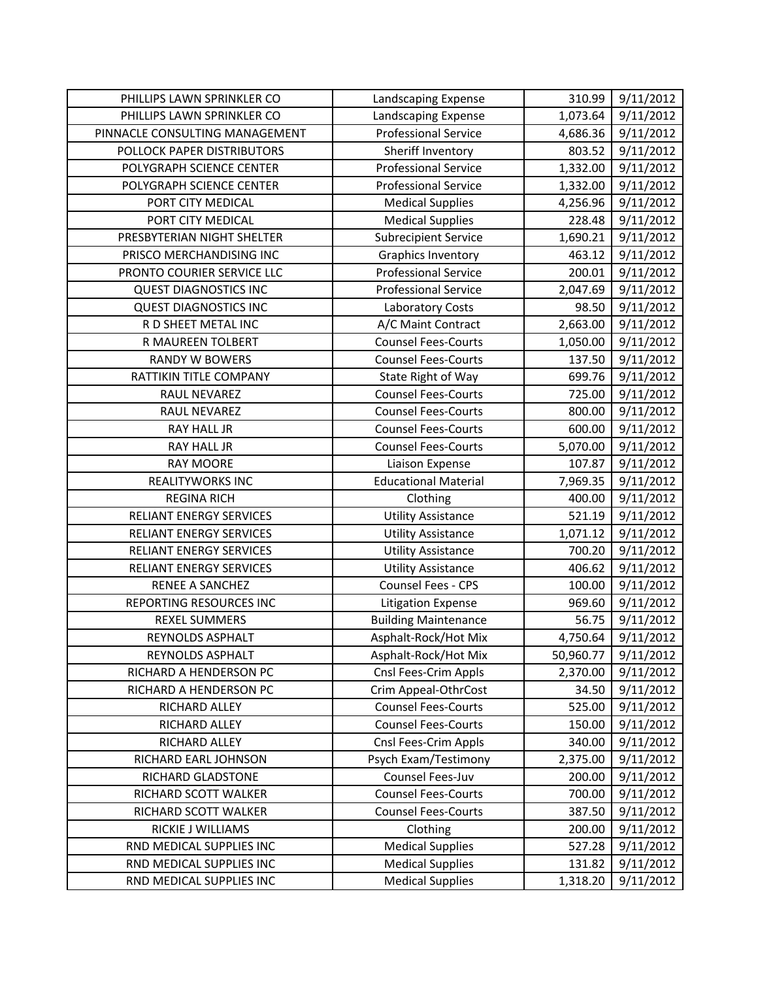| PHILLIPS LAWN SPRINKLER CO     | Landscaping Expense         | 310.99    | 9/11/2012 |
|--------------------------------|-----------------------------|-----------|-----------|
| PHILLIPS LAWN SPRINKLER CO     | Landscaping Expense         | 1,073.64  | 9/11/2012 |
| PINNACLE CONSULTING MANAGEMENT | <b>Professional Service</b> | 4,686.36  | 9/11/2012 |
| POLLOCK PAPER DISTRIBUTORS     | Sheriff Inventory           | 803.52    | 9/11/2012 |
| POLYGRAPH SCIENCE CENTER       | <b>Professional Service</b> | 1,332.00  | 9/11/2012 |
| POLYGRAPH SCIENCE CENTER       | <b>Professional Service</b> | 1,332.00  | 9/11/2012 |
| PORT CITY MEDICAL              | <b>Medical Supplies</b>     | 4,256.96  | 9/11/2012 |
| PORT CITY MEDICAL              | <b>Medical Supplies</b>     | 228.48    | 9/11/2012 |
| PRESBYTERIAN NIGHT SHELTER     | <b>Subrecipient Service</b> | 1,690.21  | 9/11/2012 |
| PRISCO MERCHANDISING INC       | <b>Graphics Inventory</b>   | 463.12    | 9/11/2012 |
| PRONTO COURIER SERVICE LLC     | <b>Professional Service</b> | 200.01    | 9/11/2012 |
| <b>QUEST DIAGNOSTICS INC</b>   | <b>Professional Service</b> | 2,047.69  | 9/11/2012 |
| <b>QUEST DIAGNOSTICS INC</b>   | Laboratory Costs            | 98.50     | 9/11/2012 |
| R D SHEET METAL INC            | A/C Maint Contract          | 2,663.00  | 9/11/2012 |
| R MAUREEN TOLBERT              | <b>Counsel Fees-Courts</b>  | 1,050.00  | 9/11/2012 |
| <b>RANDY W BOWERS</b>          | <b>Counsel Fees-Courts</b>  | 137.50    | 9/11/2012 |
| RATTIKIN TITLE COMPANY         | State Right of Way          | 699.76    | 9/11/2012 |
| RAUL NEVAREZ                   | <b>Counsel Fees-Courts</b>  | 725.00    | 9/11/2012 |
| RAUL NEVAREZ                   | <b>Counsel Fees-Courts</b>  | 800.00    | 9/11/2012 |
| RAY HALL JR                    | <b>Counsel Fees-Courts</b>  | 600.00    | 9/11/2012 |
| RAY HALL JR                    | <b>Counsel Fees-Courts</b>  | 5,070.00  | 9/11/2012 |
| <b>RAY MOORE</b>               | Liaison Expense             | 107.87    | 9/11/2012 |
| <b>REALITYWORKS INC</b>        | <b>Educational Material</b> | 7,969.35  | 9/11/2012 |
| <b>REGINA RICH</b>             | Clothing                    | 400.00    | 9/11/2012 |
| RELIANT ENERGY SERVICES        | <b>Utility Assistance</b>   | 521.19    | 9/11/2012 |
| RELIANT ENERGY SERVICES        | <b>Utility Assistance</b>   | 1,071.12  | 9/11/2012 |
| RELIANT ENERGY SERVICES        | <b>Utility Assistance</b>   | 700.20    | 9/11/2012 |
| <b>RELIANT ENERGY SERVICES</b> | <b>Utility Assistance</b>   | 406.62    | 9/11/2012 |
| <b>RENEE A SANCHEZ</b>         | Counsel Fees - CPS          | 100.00    | 9/11/2012 |
| REPORTING RESOURCES INC        | Litigation Expense          | 969.60    | 9/11/2012 |
| <b>REXEL SUMMERS</b>           | <b>Building Maintenance</b> | 56.75     | 9/11/2012 |
| REYNOLDS ASPHALT               | Asphalt-Rock/Hot Mix        | 4,750.64  | 9/11/2012 |
| REYNOLDS ASPHALT               | Asphalt-Rock/Hot Mix        | 50,960.77 | 9/11/2012 |
| RICHARD A HENDERSON PC         | Cnsl Fees-Crim Appls        | 2,370.00  | 9/11/2012 |
| RICHARD A HENDERSON PC         | Crim Appeal-OthrCost        | 34.50     | 9/11/2012 |
| RICHARD ALLEY                  | <b>Counsel Fees-Courts</b>  | 525.00    | 9/11/2012 |
| RICHARD ALLEY                  | <b>Counsel Fees-Courts</b>  | 150.00    | 9/11/2012 |
| RICHARD ALLEY                  | Cnsl Fees-Crim Appls        | 340.00    | 9/11/2012 |
| RICHARD EARL JOHNSON           | Psych Exam/Testimony        | 2,375.00  | 9/11/2012 |
| RICHARD GLADSTONE              | Counsel Fees-Juv            | 200.00    | 9/11/2012 |
| RICHARD SCOTT WALKER           | <b>Counsel Fees-Courts</b>  | 700.00    | 9/11/2012 |
| RICHARD SCOTT WALKER           | <b>Counsel Fees-Courts</b>  | 387.50    | 9/11/2012 |
| RICKIE J WILLIAMS              | Clothing                    | 200.00    | 9/11/2012 |
| RND MEDICAL SUPPLIES INC       | <b>Medical Supplies</b>     | 527.28    | 9/11/2012 |
| RND MEDICAL SUPPLIES INC       | <b>Medical Supplies</b>     | 131.82    | 9/11/2012 |
| RND MEDICAL SUPPLIES INC       | <b>Medical Supplies</b>     | 1,318.20  | 9/11/2012 |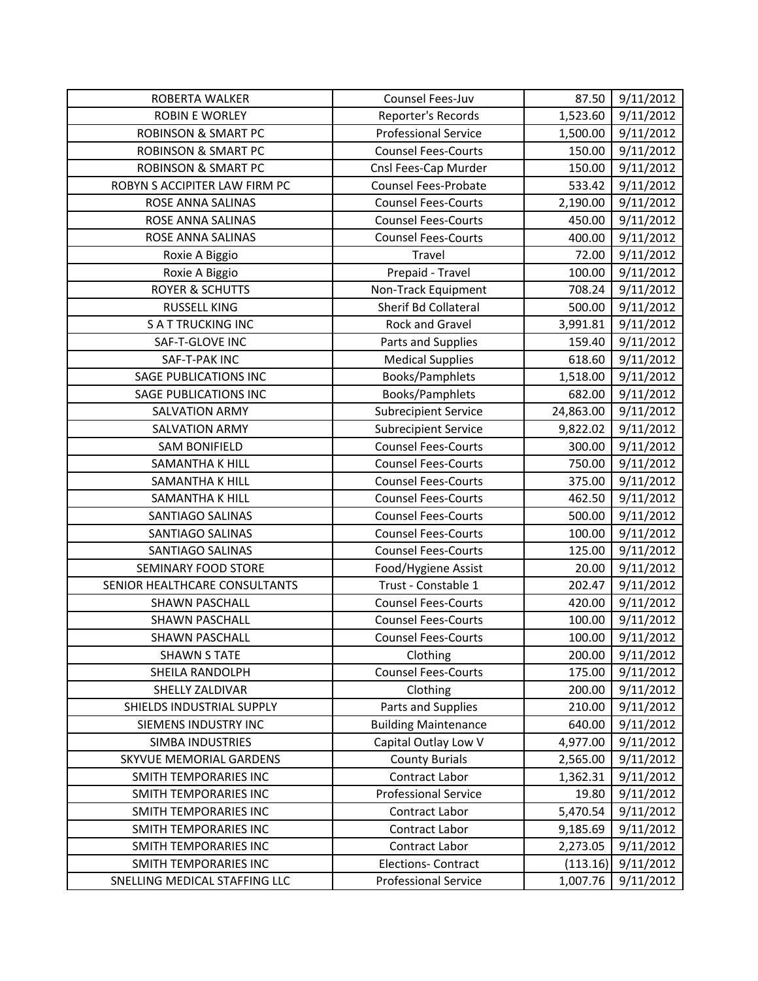| ROBERTA WALKER                 | Counsel Fees-Juv            | 87.50     | 9/11/2012 |
|--------------------------------|-----------------------------|-----------|-----------|
| ROBIN E WORLEY                 | Reporter's Records          | 1,523.60  | 9/11/2012 |
| <b>ROBINSON &amp; SMART PC</b> | <b>Professional Service</b> | 1,500.00  | 9/11/2012 |
| <b>ROBINSON &amp; SMART PC</b> | <b>Counsel Fees-Courts</b>  | 150.00    | 9/11/2012 |
| <b>ROBINSON &amp; SMART PC</b> | Cnsl Fees-Cap Murder        | 150.00    | 9/11/2012 |
| ROBYN S ACCIPITER LAW FIRM PC  | <b>Counsel Fees-Probate</b> | 533.42    | 9/11/2012 |
| ROSE ANNA SALINAS              | <b>Counsel Fees-Courts</b>  | 2,190.00  | 9/11/2012 |
| ROSE ANNA SALINAS              | <b>Counsel Fees-Courts</b>  | 450.00    | 9/11/2012 |
| ROSE ANNA SALINAS              | <b>Counsel Fees-Courts</b>  | 400.00    | 9/11/2012 |
| Roxie A Biggio                 | Travel                      | 72.00     | 9/11/2012 |
| Roxie A Biggio                 | Prepaid - Travel            | 100.00    | 9/11/2012 |
| <b>ROYER &amp; SCHUTTS</b>     | Non-Track Equipment         | 708.24    | 9/11/2012 |
| <b>RUSSELL KING</b>            | Sherif Bd Collateral        | 500.00    | 9/11/2012 |
| <b>SATTRUCKING INC</b>         | Rock and Gravel             | 3,991.81  | 9/11/2012 |
| SAF-T-GLOVE INC                | Parts and Supplies          | 159.40    | 9/11/2012 |
| SAF-T-PAK INC                  | <b>Medical Supplies</b>     | 618.60    | 9/11/2012 |
| <b>SAGE PUBLICATIONS INC</b>   | Books/Pamphlets             | 1,518.00  | 9/11/2012 |
| <b>SAGE PUBLICATIONS INC</b>   | Books/Pamphlets             | 682.00    | 9/11/2012 |
| <b>SALVATION ARMY</b>          | <b>Subrecipient Service</b> | 24,863.00 | 9/11/2012 |
| <b>SALVATION ARMY</b>          | <b>Subrecipient Service</b> | 9,822.02  | 9/11/2012 |
| <b>SAM BONIFIELD</b>           | <b>Counsel Fees-Courts</b>  | 300.00    | 9/11/2012 |
| SAMANTHA K HILL                | <b>Counsel Fees-Courts</b>  | 750.00    | 9/11/2012 |
| <b>SAMANTHA K HILL</b>         | <b>Counsel Fees-Courts</b>  | 375.00    | 9/11/2012 |
| <b>SAMANTHA K HILL</b>         | <b>Counsel Fees-Courts</b>  | 462.50    | 9/11/2012 |
| SANTIAGO SALINAS               | <b>Counsel Fees-Courts</b>  | 500.00    | 9/11/2012 |
| SANTIAGO SALINAS               | <b>Counsel Fees-Courts</b>  | 100.00    | 9/11/2012 |
| SANTIAGO SALINAS               | <b>Counsel Fees-Courts</b>  | 125.00    | 9/11/2012 |
| <b>SEMINARY FOOD STORE</b>     | Food/Hygiene Assist         | 20.00     | 9/11/2012 |
| SENIOR HEALTHCARE CONSULTANTS  | Trust - Constable 1         | 202.47    | 9/11/2012 |
| <b>SHAWN PASCHALL</b>          | <b>Counsel Fees-Courts</b>  | 420.00    | 9/11/2012 |
| <b>SHAWN PASCHALL</b>          | <b>Counsel Fees-Courts</b>  | 100.00    | 9/11/2012 |
| <b>SHAWN PASCHALL</b>          | <b>Counsel Fees-Courts</b>  | 100.00    | 9/11/2012 |
| <b>SHAWN S TATE</b>            | Clothing                    | 200.00    | 9/11/2012 |
| SHEILA RANDOLPH                | <b>Counsel Fees-Courts</b>  | 175.00    | 9/11/2012 |
| SHELLY ZALDIVAR                | Clothing                    | 200.00    | 9/11/2012 |
| SHIELDS INDUSTRIAL SUPPLY      | Parts and Supplies          | 210.00    | 9/11/2012 |
| SIEMENS INDUSTRY INC           | <b>Building Maintenance</b> | 640.00    | 9/11/2012 |
| <b>SIMBA INDUSTRIES</b>        | Capital Outlay Low V        | 4,977.00  | 9/11/2012 |
| SKYVUE MEMORIAL GARDENS        | <b>County Burials</b>       | 2,565.00  | 9/11/2012 |
| SMITH TEMPORARIES INC          | Contract Labor              | 1,362.31  | 9/11/2012 |
| SMITH TEMPORARIES INC          | <b>Professional Service</b> | 19.80     | 9/11/2012 |
| SMITH TEMPORARIES INC          | Contract Labor              | 5,470.54  | 9/11/2012 |
| SMITH TEMPORARIES INC          | Contract Labor              | 9,185.69  | 9/11/2012 |
| SMITH TEMPORARIES INC          | Contract Labor              | 2,273.05  | 9/11/2012 |
| SMITH TEMPORARIES INC          | <b>Elections- Contract</b>  | (113.16)  | 9/11/2012 |
| SNELLING MEDICAL STAFFING LLC  | <b>Professional Service</b> | 1,007.76  | 9/11/2012 |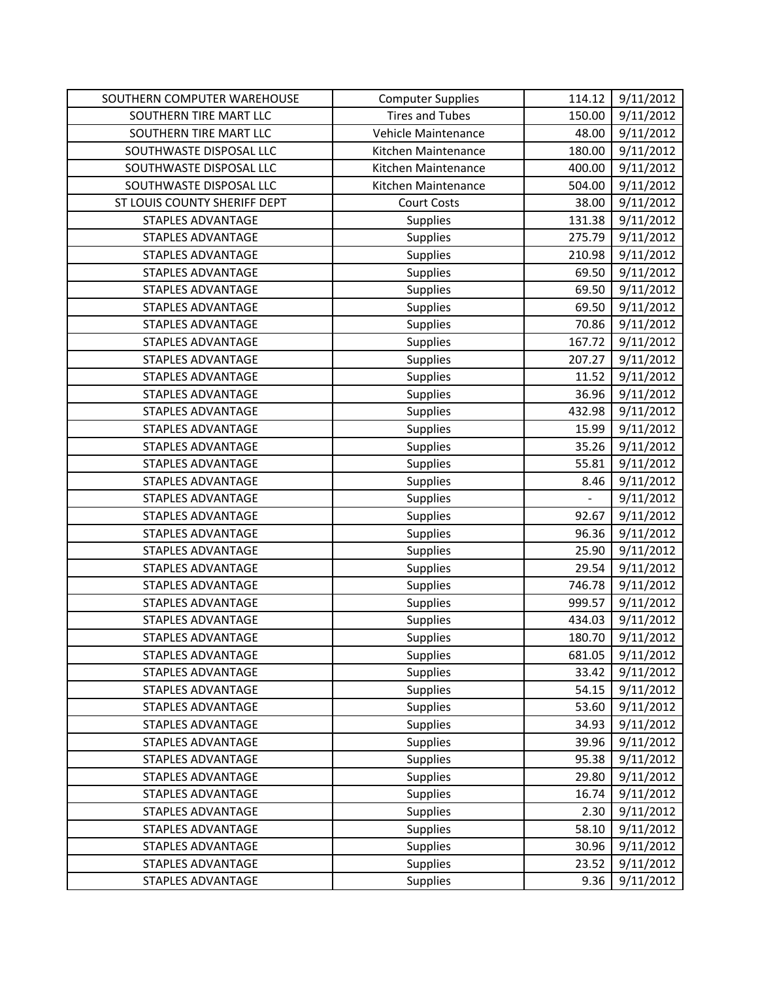| SOUTHERN COMPUTER WAREHOUSE  | <b>Computer Supplies</b> | 114.12 | 9/11/2012 |
|------------------------------|--------------------------|--------|-----------|
| SOUTHERN TIRE MART LLC       | <b>Tires and Tubes</b>   | 150.00 | 9/11/2012 |
| SOUTHERN TIRE MART LLC       | Vehicle Maintenance      | 48.00  | 9/11/2012 |
| SOUTHWASTE DISPOSAL LLC      | Kitchen Maintenance      | 180.00 | 9/11/2012 |
| SOUTHWASTE DISPOSAL LLC      | Kitchen Maintenance      | 400.00 | 9/11/2012 |
| SOUTHWASTE DISPOSAL LLC      | Kitchen Maintenance      | 504.00 | 9/11/2012 |
| ST LOUIS COUNTY SHERIFF DEPT | <b>Court Costs</b>       | 38.00  | 9/11/2012 |
| STAPLES ADVANTAGE            | Supplies                 | 131.38 | 9/11/2012 |
| <b>STAPLES ADVANTAGE</b>     | Supplies                 | 275.79 | 9/11/2012 |
| <b>STAPLES ADVANTAGE</b>     | Supplies                 | 210.98 | 9/11/2012 |
| <b>STAPLES ADVANTAGE</b>     | Supplies                 | 69.50  | 9/11/2012 |
| <b>STAPLES ADVANTAGE</b>     | Supplies                 | 69.50  | 9/11/2012 |
| <b>STAPLES ADVANTAGE</b>     | Supplies                 | 69.50  | 9/11/2012 |
| <b>STAPLES ADVANTAGE</b>     | Supplies                 | 70.86  | 9/11/2012 |
| <b>STAPLES ADVANTAGE</b>     | Supplies                 | 167.72 | 9/11/2012 |
| STAPLES ADVANTAGE            | Supplies                 | 207.27 | 9/11/2012 |
| <b>STAPLES ADVANTAGE</b>     | Supplies                 | 11.52  | 9/11/2012 |
| <b>STAPLES ADVANTAGE</b>     | Supplies                 | 36.96  | 9/11/2012 |
| STAPLES ADVANTAGE            | <b>Supplies</b>          | 432.98 | 9/11/2012 |
| <b>STAPLES ADVANTAGE</b>     | <b>Supplies</b>          | 15.99  | 9/11/2012 |
| <b>STAPLES ADVANTAGE</b>     | <b>Supplies</b>          | 35.26  | 9/11/2012 |
| STAPLES ADVANTAGE            | Supplies                 | 55.81  | 9/11/2012 |
| <b>STAPLES ADVANTAGE</b>     | Supplies                 | 8.46   | 9/11/2012 |
| <b>STAPLES ADVANTAGE</b>     | Supplies                 |        | 9/11/2012 |
| STAPLES ADVANTAGE            | <b>Supplies</b>          | 92.67  | 9/11/2012 |
| <b>STAPLES ADVANTAGE</b>     | Supplies                 | 96.36  | 9/11/2012 |
| <b>STAPLES ADVANTAGE</b>     | Supplies                 | 25.90  | 9/11/2012 |
| STAPLES ADVANTAGE            | Supplies                 | 29.54  | 9/11/2012 |
| <b>STAPLES ADVANTAGE</b>     | Supplies                 | 746.78 | 9/11/2012 |
| <b>STAPLES ADVANTAGE</b>     | Supplies                 | 999.57 | 9/11/2012 |
| <b>STAPLES ADVANTAGE</b>     | <b>Supplies</b>          | 434.03 | 9/11/2012 |
| <b>STAPLES ADVANTAGE</b>     | <b>Supplies</b>          | 180.70 | 9/11/2012 |
| STAPLES ADVANTAGE            | Supplies                 | 681.05 | 9/11/2012 |
| <b>STAPLES ADVANTAGE</b>     | Supplies                 | 33.42  | 9/11/2012 |
| <b>STAPLES ADVANTAGE</b>     | <b>Supplies</b>          | 54.15  | 9/11/2012 |
| <b>STAPLES ADVANTAGE</b>     | <b>Supplies</b>          | 53.60  | 9/11/2012 |
| <b>STAPLES ADVANTAGE</b>     | Supplies                 | 34.93  | 9/11/2012 |
| <b>STAPLES ADVANTAGE</b>     | <b>Supplies</b>          | 39.96  | 9/11/2012 |
| <b>STAPLES ADVANTAGE</b>     | <b>Supplies</b>          | 95.38  | 9/11/2012 |
| <b>STAPLES ADVANTAGE</b>     | Supplies                 | 29.80  | 9/11/2012 |
| <b>STAPLES ADVANTAGE</b>     | <b>Supplies</b>          | 16.74  | 9/11/2012 |
| <b>STAPLES ADVANTAGE</b>     | <b>Supplies</b>          | 2.30   | 9/11/2012 |
| <b>STAPLES ADVANTAGE</b>     | Supplies                 | 58.10  | 9/11/2012 |
| <b>STAPLES ADVANTAGE</b>     | Supplies                 | 30.96  | 9/11/2012 |
| STAPLES ADVANTAGE            | <b>Supplies</b>          | 23.52  | 9/11/2012 |
| <b>STAPLES ADVANTAGE</b>     | <b>Supplies</b>          | 9.36   | 9/11/2012 |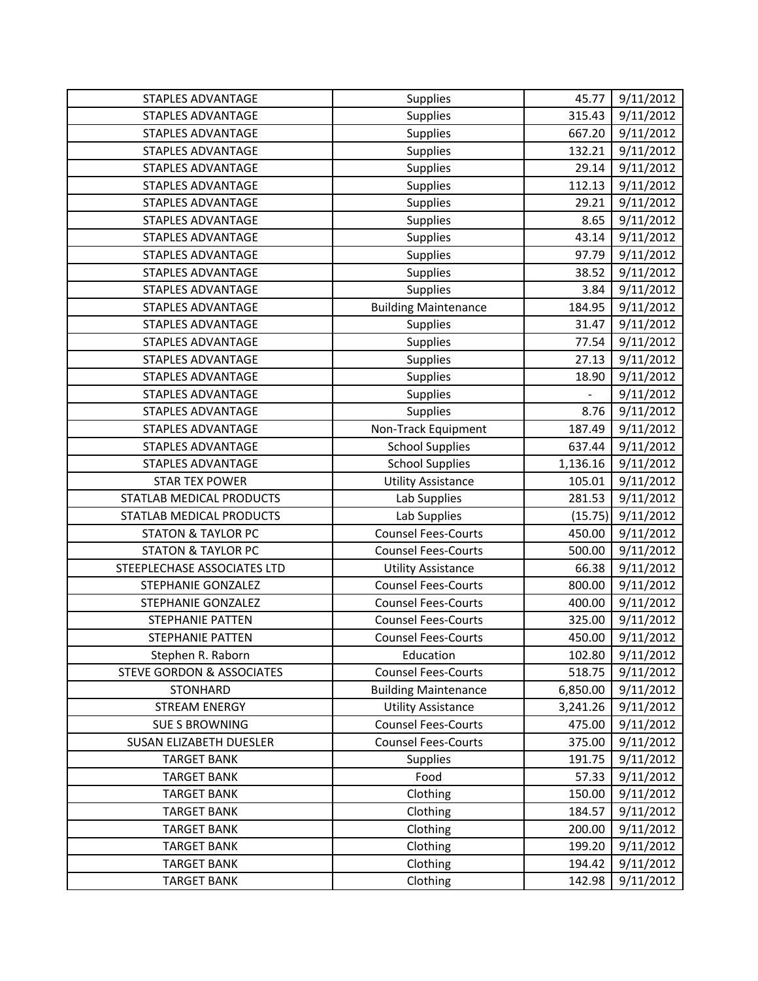| <b>STAPLES ADVANTAGE</b>             | Supplies                    | 45.77    | 9/11/2012 |
|--------------------------------------|-----------------------------|----------|-----------|
| <b>STAPLES ADVANTAGE</b>             | Supplies                    | 315.43   | 9/11/2012 |
| <b>STAPLES ADVANTAGE</b>             | Supplies                    | 667.20   | 9/11/2012 |
| STAPLES ADVANTAGE                    | Supplies                    | 132.21   | 9/11/2012 |
| <b>STAPLES ADVANTAGE</b>             | Supplies                    | 29.14    | 9/11/2012 |
| <b>STAPLES ADVANTAGE</b>             | Supplies                    | 112.13   | 9/11/2012 |
| STAPLES ADVANTAGE                    | Supplies                    | 29.21    | 9/11/2012 |
| STAPLES ADVANTAGE                    | Supplies                    | 8.65     | 9/11/2012 |
| STAPLES ADVANTAGE                    | Supplies                    | 43.14    | 9/11/2012 |
| STAPLES ADVANTAGE                    | Supplies                    | 97.79    | 9/11/2012 |
| <b>STAPLES ADVANTAGE</b>             | Supplies                    | 38.52    | 9/11/2012 |
| <b>STAPLES ADVANTAGE</b>             | Supplies                    | 3.84     | 9/11/2012 |
| STAPLES ADVANTAGE                    | <b>Building Maintenance</b> | 184.95   | 9/11/2012 |
| STAPLES ADVANTAGE                    | Supplies                    | 31.47    | 9/11/2012 |
| <b>STAPLES ADVANTAGE</b>             | Supplies                    | 77.54    | 9/11/2012 |
| STAPLES ADVANTAGE                    | Supplies                    | 27.13    | 9/11/2012 |
| <b>STAPLES ADVANTAGE</b>             | Supplies                    | 18.90    | 9/11/2012 |
| <b>STAPLES ADVANTAGE</b>             | Supplies                    |          | 9/11/2012 |
| <b>STAPLES ADVANTAGE</b>             | <b>Supplies</b>             | 8.76     | 9/11/2012 |
| STAPLES ADVANTAGE                    | Non-Track Equipment         | 187.49   | 9/11/2012 |
| <b>STAPLES ADVANTAGE</b>             | <b>School Supplies</b>      | 637.44   | 9/11/2012 |
| <b>STAPLES ADVANTAGE</b>             | <b>School Supplies</b>      | 1,136.16 | 9/11/2012 |
| <b>STAR TEX POWER</b>                | <b>Utility Assistance</b>   | 105.01   | 9/11/2012 |
| STATLAB MEDICAL PRODUCTS             | Lab Supplies                | 281.53   | 9/11/2012 |
| STATLAB MEDICAL PRODUCTS             | Lab Supplies                | (15.75)  | 9/11/2012 |
| <b>STATON &amp; TAYLOR PC</b>        | <b>Counsel Fees-Courts</b>  | 450.00   | 9/11/2012 |
| <b>STATON &amp; TAYLOR PC</b>        | <b>Counsel Fees-Courts</b>  | 500.00   | 9/11/2012 |
| STEEPLECHASE ASSOCIATES LTD          | <b>Utility Assistance</b>   | 66.38    | 9/11/2012 |
| STEPHANIE GONZALEZ                   | <b>Counsel Fees-Courts</b>  | 800.00   | 9/11/2012 |
| STEPHANIE GONZALEZ                   | <b>Counsel Fees-Courts</b>  | 400.00   | 9/11/2012 |
| <b>STEPHANIE PATTEN</b>              | <b>Counsel Fees-Courts</b>  | 325.00   | 9/11/2012 |
| <b>STEPHANIE PATTEN</b>              | <b>Counsel Fees-Courts</b>  | 450.00   | 9/11/2012 |
| Stephen R. Raborn                    | Education                   | 102.80   | 9/11/2012 |
| <b>STEVE GORDON &amp; ASSOCIATES</b> | <b>Counsel Fees-Courts</b>  | 518.75   | 9/11/2012 |
| <b>STONHARD</b>                      | <b>Building Maintenance</b> | 6,850.00 | 9/11/2012 |
| <b>STREAM ENERGY</b>                 | <b>Utility Assistance</b>   | 3,241.26 | 9/11/2012 |
| <b>SUE S BROWNING</b>                | <b>Counsel Fees-Courts</b>  | 475.00   | 9/11/2012 |
| <b>SUSAN ELIZABETH DUESLER</b>       | <b>Counsel Fees-Courts</b>  | 375.00   | 9/11/2012 |
| <b>TARGET BANK</b>                   | <b>Supplies</b>             | 191.75   | 9/11/2012 |
| <b>TARGET BANK</b>                   | Food                        | 57.33    | 9/11/2012 |
| <b>TARGET BANK</b>                   | Clothing                    | 150.00   | 9/11/2012 |
| <b>TARGET BANK</b>                   | Clothing                    | 184.57   | 9/11/2012 |
| <b>TARGET BANK</b>                   | Clothing                    | 200.00   | 9/11/2012 |
| <b>TARGET BANK</b>                   | Clothing                    | 199.20   | 9/11/2012 |
| <b>TARGET BANK</b>                   | Clothing                    | 194.42   | 9/11/2012 |
| <b>TARGET BANK</b>                   | Clothing                    | 142.98   | 9/11/2012 |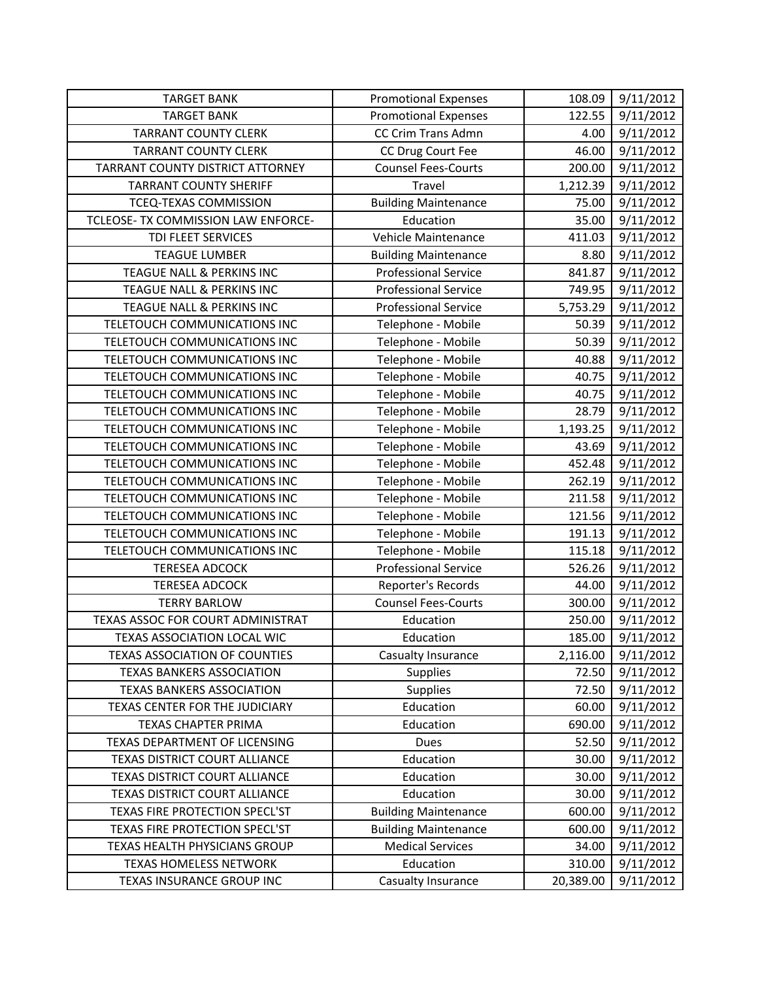| <b>TARGET BANK</b>                   | <b>Promotional Expenses</b> | 108.09    | 9/11/2012 |
|--------------------------------------|-----------------------------|-----------|-----------|
| <b>TARGET BANK</b>                   | <b>Promotional Expenses</b> | 122.55    | 9/11/2012 |
| <b>TARRANT COUNTY CLERK</b>          | CC Crim Trans Admn          | 4.00      | 9/11/2012 |
| <b>TARRANT COUNTY CLERK</b>          | CC Drug Court Fee           | 46.00     | 9/11/2012 |
| TARRANT COUNTY DISTRICT ATTORNEY     | <b>Counsel Fees-Courts</b>  | 200.00    | 9/11/2012 |
| <b>TARRANT COUNTY SHERIFF</b>        | Travel                      | 1,212.39  | 9/11/2012 |
| TCEQ-TEXAS COMMISSION                | <b>Building Maintenance</b> | 75.00     | 9/11/2012 |
| TCLEOSE- TX COMMISSION LAW ENFORCE-  | Education                   | 35.00     | 9/11/2012 |
| TDI FLEET SERVICES                   | Vehicle Maintenance         | 411.03    | 9/11/2012 |
| <b>TEAGUE LUMBER</b>                 | <b>Building Maintenance</b> | 8.80      | 9/11/2012 |
| TEAGUE NALL & PERKINS INC            | <b>Professional Service</b> | 841.87    | 9/11/2012 |
| TEAGUE NALL & PERKINS INC            | <b>Professional Service</b> | 749.95    | 9/11/2012 |
| TEAGUE NALL & PERKINS INC            | <b>Professional Service</b> | 5,753.29  | 9/11/2012 |
| TELETOUCH COMMUNICATIONS INC         | Telephone - Mobile          | 50.39     | 9/11/2012 |
| TELETOUCH COMMUNICATIONS INC         | Telephone - Mobile          | 50.39     | 9/11/2012 |
| TELETOUCH COMMUNICATIONS INC         | Telephone - Mobile          | 40.88     | 9/11/2012 |
| TELETOUCH COMMUNICATIONS INC         | Telephone - Mobile          | 40.75     | 9/11/2012 |
| TELETOUCH COMMUNICATIONS INC         | Telephone - Mobile          | 40.75     | 9/11/2012 |
| TELETOUCH COMMUNICATIONS INC         | Telephone - Mobile          | 28.79     | 9/11/2012 |
| TELETOUCH COMMUNICATIONS INC         | Telephone - Mobile          | 1,193.25  | 9/11/2012 |
| TELETOUCH COMMUNICATIONS INC         | Telephone - Mobile          | 43.69     | 9/11/2012 |
| TELETOUCH COMMUNICATIONS INC         | Telephone - Mobile          | 452.48    | 9/11/2012 |
| TELETOUCH COMMUNICATIONS INC         | Telephone - Mobile          | 262.19    | 9/11/2012 |
| TELETOUCH COMMUNICATIONS INC         | Telephone - Mobile          | 211.58    | 9/11/2012 |
| TELETOUCH COMMUNICATIONS INC         | Telephone - Mobile          | 121.56    | 9/11/2012 |
| TELETOUCH COMMUNICATIONS INC         | Telephone - Mobile          | 191.13    | 9/11/2012 |
| TELETOUCH COMMUNICATIONS INC         | Telephone - Mobile          | 115.18    | 9/11/2012 |
| <b>TERESEA ADCOCK</b>                | <b>Professional Service</b> | 526.26    | 9/11/2012 |
| <b>TERESEA ADCOCK</b>                | Reporter's Records          | 44.00     | 9/11/2012 |
| <b>TERRY BARLOW</b>                  | <b>Counsel Fees-Courts</b>  | 300.00    | 9/11/2012 |
| TEXAS ASSOC FOR COURT ADMINISTRAT    | Education                   | 250.00    | 9/11/2012 |
| TEXAS ASSOCIATION LOCAL WIC          | Education                   | 185.00    | 9/11/2012 |
| <b>TEXAS ASSOCIATION OF COUNTIES</b> | Casualty Insurance          | 2,116.00  | 9/11/2012 |
| <b>TEXAS BANKERS ASSOCIATION</b>     | <b>Supplies</b>             | 72.50     | 9/11/2012 |
| <b>TEXAS BANKERS ASSOCIATION</b>     | Supplies                    | 72.50     | 9/11/2012 |
| TEXAS CENTER FOR THE JUDICIARY       | Education                   | 60.00     | 9/11/2012 |
| TEXAS CHAPTER PRIMA                  | Education                   | 690.00    | 9/11/2012 |
| TEXAS DEPARTMENT OF LICENSING        | Dues                        | 52.50     | 9/11/2012 |
| TEXAS DISTRICT COURT ALLIANCE        | Education                   | 30.00     | 9/11/2012 |
| TEXAS DISTRICT COURT ALLIANCE        | Education                   | 30.00     | 9/11/2012 |
| TEXAS DISTRICT COURT ALLIANCE        | Education                   | 30.00     | 9/11/2012 |
| TEXAS FIRE PROTECTION SPECL'ST       | <b>Building Maintenance</b> | 600.00    | 9/11/2012 |
| TEXAS FIRE PROTECTION SPECL'ST       | <b>Building Maintenance</b> | 600.00    | 9/11/2012 |
| TEXAS HEALTH PHYSICIANS GROUP        | <b>Medical Services</b>     | 34.00     | 9/11/2012 |
| <b>TEXAS HOMELESS NETWORK</b>        | Education                   | 310.00    | 9/11/2012 |
| TEXAS INSURANCE GROUP INC            | Casualty Insurance          | 20,389.00 | 9/11/2012 |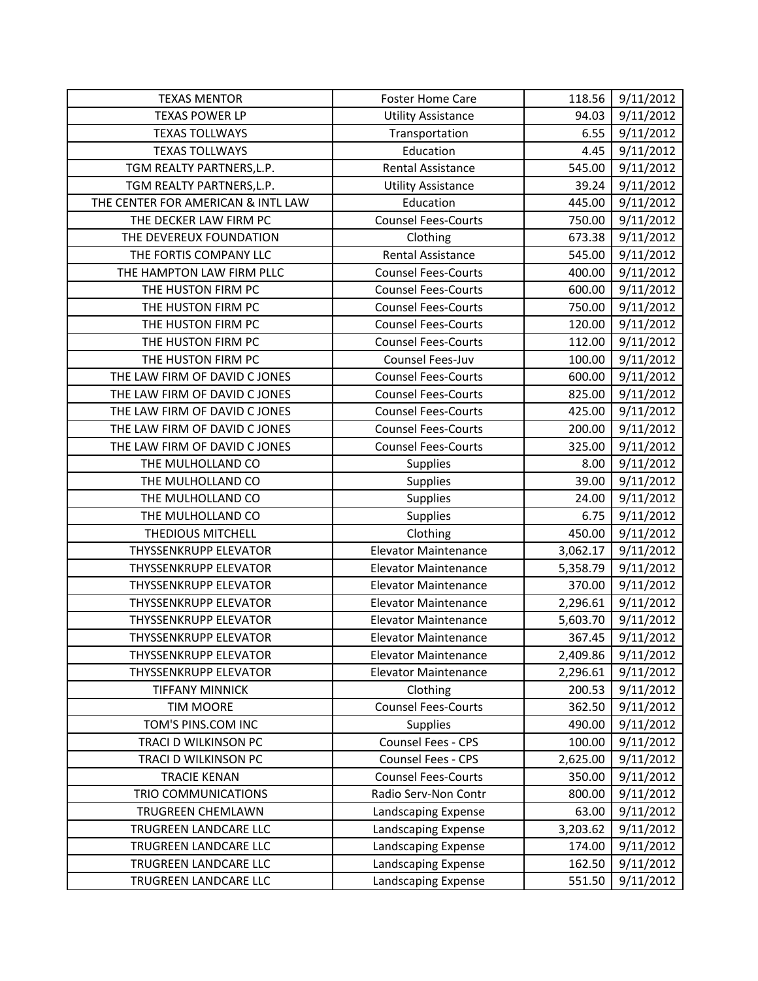| <b>TEXAS MENTOR</b>                | <b>Foster Home Care</b>     | 118.56   | 9/11/2012 |
|------------------------------------|-----------------------------|----------|-----------|
| <b>TEXAS POWER LP</b>              | <b>Utility Assistance</b>   | 94.03    | 9/11/2012 |
| <b>TEXAS TOLLWAYS</b>              | Transportation              | 6.55     | 9/11/2012 |
| <b>TEXAS TOLLWAYS</b>              | Education                   | 4.45     | 9/11/2012 |
| TGM REALTY PARTNERS, L.P.          | <b>Rental Assistance</b>    | 545.00   | 9/11/2012 |
| TGM REALTY PARTNERS, L.P.          | <b>Utility Assistance</b>   | 39.24    | 9/11/2012 |
| THE CENTER FOR AMERICAN & INTL LAW | Education                   | 445.00   | 9/11/2012 |
| THE DECKER LAW FIRM PC             | <b>Counsel Fees-Courts</b>  | 750.00   | 9/11/2012 |
| THE DEVEREUX FOUNDATION            | Clothing                    | 673.38   | 9/11/2012 |
| THE FORTIS COMPANY LLC             | Rental Assistance           | 545.00   | 9/11/2012 |
| THE HAMPTON LAW FIRM PLLC          | <b>Counsel Fees-Courts</b>  | 400.00   | 9/11/2012 |
| THE HUSTON FIRM PC                 | <b>Counsel Fees-Courts</b>  | 600.00   | 9/11/2012 |
| THE HUSTON FIRM PC                 | <b>Counsel Fees-Courts</b>  | 750.00   | 9/11/2012 |
| THE HUSTON FIRM PC                 | <b>Counsel Fees-Courts</b>  | 120.00   | 9/11/2012 |
| THE HUSTON FIRM PC                 | <b>Counsel Fees-Courts</b>  | 112.00   | 9/11/2012 |
| THE HUSTON FIRM PC                 | Counsel Fees-Juv            | 100.00   | 9/11/2012 |
| THE LAW FIRM OF DAVID C JONES      | <b>Counsel Fees-Courts</b>  | 600.00   | 9/11/2012 |
| THE LAW FIRM OF DAVID C JONES      | <b>Counsel Fees-Courts</b>  | 825.00   | 9/11/2012 |
| THE LAW FIRM OF DAVID C JONES      | <b>Counsel Fees-Courts</b>  | 425.00   | 9/11/2012 |
| THE LAW FIRM OF DAVID C JONES      | <b>Counsel Fees-Courts</b>  | 200.00   | 9/11/2012 |
| THE LAW FIRM OF DAVID C JONES      | <b>Counsel Fees-Courts</b>  | 325.00   | 9/11/2012 |
| THE MULHOLLAND CO                  | Supplies                    | 8.00     | 9/11/2012 |
| THE MULHOLLAND CO                  | Supplies                    | 39.00    | 9/11/2012 |
| THE MULHOLLAND CO                  | <b>Supplies</b>             | 24.00    | 9/11/2012 |
| THE MULHOLLAND CO                  | Supplies                    | 6.75     | 9/11/2012 |
| THEDIOUS MITCHELL                  | Clothing                    | 450.00   | 9/11/2012 |
| <b>THYSSENKRUPP ELEVATOR</b>       | <b>Elevator Maintenance</b> | 3,062.17 | 9/11/2012 |
| <b>THYSSENKRUPP ELEVATOR</b>       | <b>Elevator Maintenance</b> | 5,358.79 | 9/11/2012 |
| <b>THYSSENKRUPP ELEVATOR</b>       | <b>Elevator Maintenance</b> | 370.00   | 9/11/2012 |
| <b>THYSSENKRUPP ELEVATOR</b>       | <b>Elevator Maintenance</b> | 2,296.61 | 9/11/2012 |
| <b>THYSSENKRUPP ELEVATOR</b>       | <b>Elevator Maintenance</b> | 5,603.70 | 9/11/2012 |
| <b>THYSSENKRUPP ELEVATOR</b>       | <b>Elevator Maintenance</b> | 367.45   | 9/11/2012 |
| <b>THYSSENKRUPP ELEVATOR</b>       | <b>Elevator Maintenance</b> | 2,409.86 | 9/11/2012 |
| <b>THYSSENKRUPP ELEVATOR</b>       | <b>Elevator Maintenance</b> | 2,296.61 | 9/11/2012 |
| <b>TIFFANY MINNICK</b>             | Clothing                    | 200.53   | 9/11/2012 |
| <b>TIM MOORE</b>                   | <b>Counsel Fees-Courts</b>  | 362.50   | 9/11/2012 |
| TOM'S PINS.COM INC                 | <b>Supplies</b>             | 490.00   | 9/11/2012 |
| TRACI D WILKINSON PC               | Counsel Fees - CPS          | 100.00   | 9/11/2012 |
| TRACI D WILKINSON PC               | Counsel Fees - CPS          | 2,625.00 | 9/11/2012 |
| <b>TRACIE KENAN</b>                | <b>Counsel Fees-Courts</b>  | 350.00   | 9/11/2012 |
| TRIO COMMUNICATIONS                | Radio Serv-Non Contr        | 800.00   | 9/11/2012 |
| TRUGREEN CHEMLAWN                  | Landscaping Expense         | 63.00    | 9/11/2012 |
| TRUGREEN LANDCARE LLC              | Landscaping Expense         | 3,203.62 | 9/11/2012 |
| TRUGREEN LANDCARE LLC              | Landscaping Expense         | 174.00   | 9/11/2012 |
| TRUGREEN LANDCARE LLC              | Landscaping Expense         | 162.50   | 9/11/2012 |
| TRUGREEN LANDCARE LLC              | Landscaping Expense         | 551.50   | 9/11/2012 |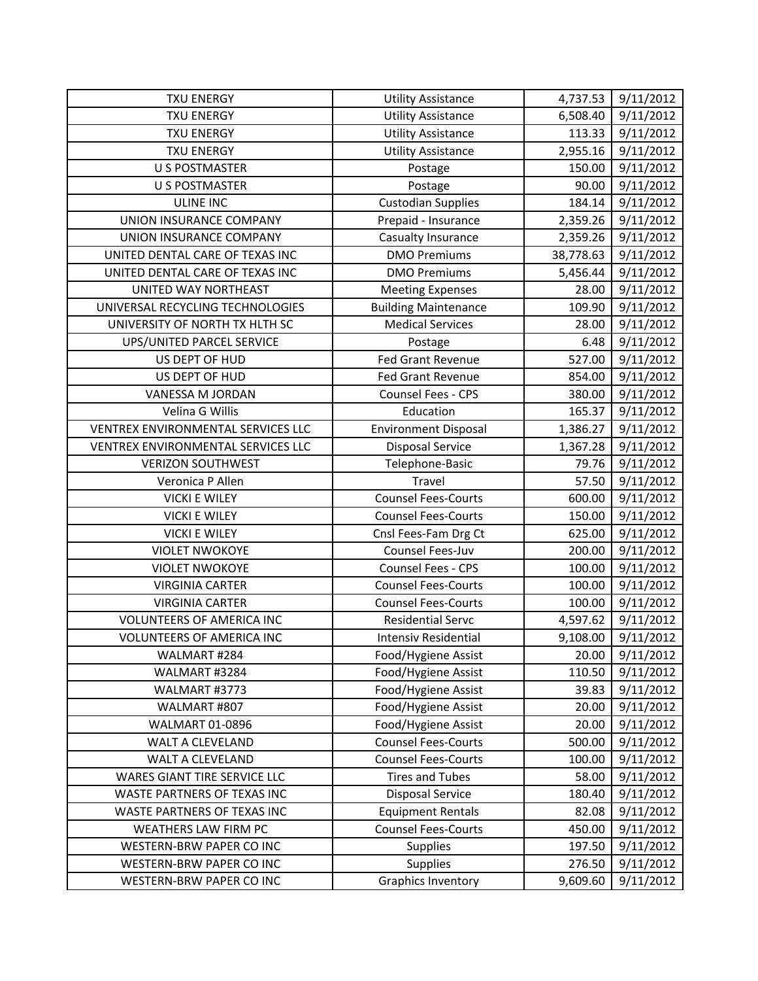| <b>TXU ENERGY</b>                  | <b>Utility Assistance</b>   | 4,737.53  | 9/11/2012 |
|------------------------------------|-----------------------------|-----------|-----------|
| <b>TXU ENERGY</b>                  | <b>Utility Assistance</b>   | 6,508.40  | 9/11/2012 |
| <b>TXU ENERGY</b>                  | <b>Utility Assistance</b>   | 113.33    | 9/11/2012 |
| <b>TXU ENERGY</b>                  | <b>Utility Assistance</b>   | 2,955.16  | 9/11/2012 |
| <b>U S POSTMASTER</b>              | Postage                     | 150.00    | 9/11/2012 |
| <b>U S POSTMASTER</b>              | Postage                     | 90.00     | 9/11/2012 |
| <b>ULINE INC</b>                   | <b>Custodian Supplies</b>   | 184.14    | 9/11/2012 |
| UNION INSURANCE COMPANY            | Prepaid - Insurance         | 2,359.26  | 9/11/2012 |
| UNION INSURANCE COMPANY            | Casualty Insurance          | 2,359.26  | 9/11/2012 |
| UNITED DENTAL CARE OF TEXAS INC    | <b>DMO Premiums</b>         | 38,778.63 | 9/11/2012 |
| UNITED DENTAL CARE OF TEXAS INC    | <b>DMO Premiums</b>         | 5,456.44  | 9/11/2012 |
| UNITED WAY NORTHEAST               | <b>Meeting Expenses</b>     | 28.00     | 9/11/2012 |
| UNIVERSAL RECYCLING TECHNOLOGIES   | <b>Building Maintenance</b> | 109.90    | 9/11/2012 |
| UNIVERSITY OF NORTH TX HLTH SC     | <b>Medical Services</b>     | 28.00     | 9/11/2012 |
| UPS/UNITED PARCEL SERVICE          | Postage                     | 6.48      | 9/11/2012 |
| US DEPT OF HUD                     | Fed Grant Revenue           | 527.00    | 9/11/2012 |
| US DEPT OF HUD                     | <b>Fed Grant Revenue</b>    | 854.00    | 9/11/2012 |
| VANESSA M JORDAN                   | Counsel Fees - CPS          | 380.00    | 9/11/2012 |
| Velina G Willis                    | Education                   | 165.37    | 9/11/2012 |
| VENTREX ENVIRONMENTAL SERVICES LLC | <b>Environment Disposal</b> | 1,386.27  | 9/11/2012 |
| VENTREX ENVIRONMENTAL SERVICES LLC | <b>Disposal Service</b>     | 1,367.28  | 9/11/2012 |
| <b>VERIZON SOUTHWEST</b>           | Telephone-Basic             | 79.76     | 9/11/2012 |
| Veronica P Allen                   | Travel                      | 57.50     | 9/11/2012 |
| <b>VICKI E WILEY</b>               | <b>Counsel Fees-Courts</b>  | 600.00    | 9/11/2012 |
| <b>VICKI E WILEY</b>               | <b>Counsel Fees-Courts</b>  | 150.00    | 9/11/2012 |
| <b>VICKI E WILEY</b>               | Cnsl Fees-Fam Drg Ct        | 625.00    | 9/11/2012 |
| <b>VIOLET NWOKOYE</b>              | Counsel Fees-Juv            | 200.00    | 9/11/2012 |
| <b>VIOLET NWOKOYE</b>              | Counsel Fees - CPS          | 100.00    | 9/11/2012 |
| <b>VIRGINIA CARTER</b>             | <b>Counsel Fees-Courts</b>  | 100.00    | 9/11/2012 |
| <b>VIRGINIA CARTER</b>             | <b>Counsel Fees-Courts</b>  | 100.00    | 9/11/2012 |
| <b>VOLUNTEERS OF AMERICA INC</b>   | <b>Residential Servc</b>    | 4,597.62  | 9/11/2012 |
| <b>VOLUNTEERS OF AMERICA INC</b>   | <b>Intensiv Residential</b> | 9,108.00  | 9/11/2012 |
| WALMART #284                       | Food/Hygiene Assist         | 20.00     | 9/11/2012 |
| WALMART #3284                      | Food/Hygiene Assist         | 110.50    | 9/11/2012 |
| WALMART #3773                      | Food/Hygiene Assist         | 39.83     | 9/11/2012 |
| WALMART #807                       | Food/Hygiene Assist         | 20.00     | 9/11/2012 |
| WALMART 01-0896                    | Food/Hygiene Assist         | 20.00     | 9/11/2012 |
| WALT A CLEVELAND                   | <b>Counsel Fees-Courts</b>  | 500.00    | 9/11/2012 |
| WALT A CLEVELAND                   | <b>Counsel Fees-Courts</b>  | 100.00    | 9/11/2012 |
| WARES GIANT TIRE SERVICE LLC       | <b>Tires and Tubes</b>      | 58.00     | 9/11/2012 |
| WASTE PARTNERS OF TEXAS INC        | <b>Disposal Service</b>     | 180.40    | 9/11/2012 |
| WASTE PARTNERS OF TEXAS INC        | <b>Equipment Rentals</b>    | 82.08     | 9/11/2012 |
| WEATHERS LAW FIRM PC               | <b>Counsel Fees-Courts</b>  | 450.00    | 9/11/2012 |
| WESTERN-BRW PAPER CO INC           | <b>Supplies</b>             | 197.50    | 9/11/2012 |
| WESTERN-BRW PAPER CO INC           | Supplies                    | 276.50    | 9/11/2012 |
| WESTERN-BRW PAPER CO INC           | <b>Graphics Inventory</b>   | 9,609.60  | 9/11/2012 |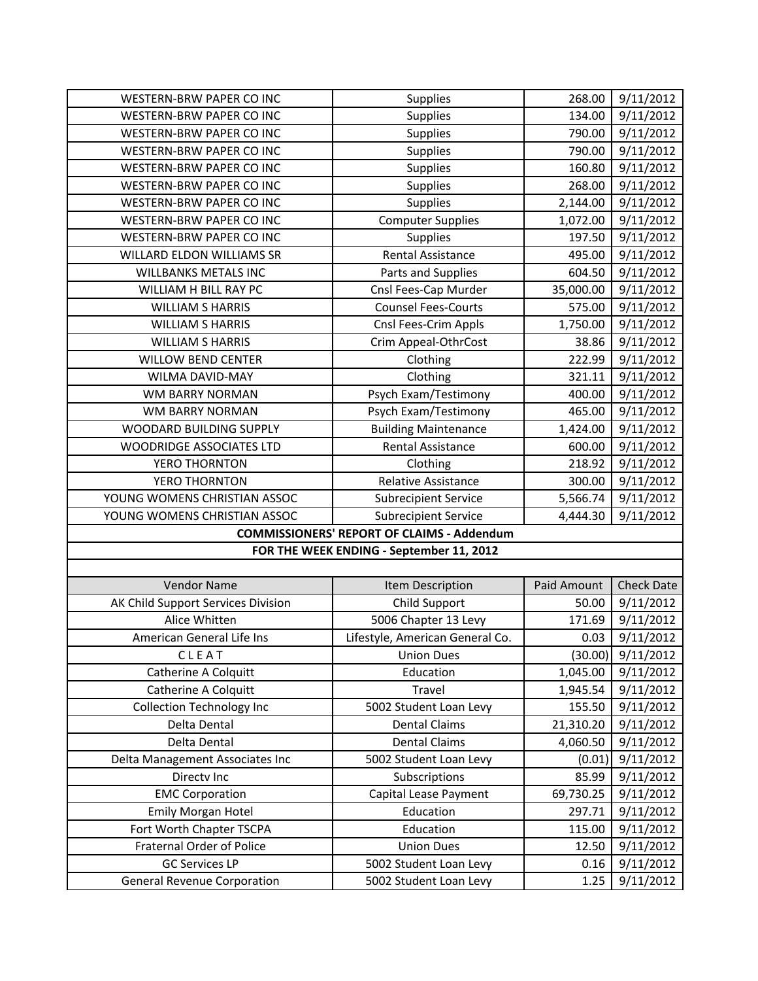| <b>WESTERN-BRW PAPER CO INC</b>    | Supplies                                          | 268.00      | 9/11/2012         |
|------------------------------------|---------------------------------------------------|-------------|-------------------|
| <b>WESTERN-BRW PAPER CO INC</b>    | Supplies                                          | 134.00      | 9/11/2012         |
| WESTERN-BRW PAPER CO INC           | Supplies                                          | 790.00      | 9/11/2012         |
| WESTERN-BRW PAPER CO INC           | Supplies                                          | 790.00      | 9/11/2012         |
| WESTERN-BRW PAPER CO INC           | <b>Supplies</b>                                   | 160.80      | 9/11/2012         |
| WESTERN-BRW PAPER CO INC           | <b>Supplies</b>                                   | 268.00      | 9/11/2012         |
| WESTERN-BRW PAPER CO INC           | <b>Supplies</b>                                   | 2,144.00    | 9/11/2012         |
| WESTERN-BRW PAPER CO INC           | <b>Computer Supplies</b>                          | 1,072.00    | 9/11/2012         |
| WESTERN-BRW PAPER CO INC           | <b>Supplies</b>                                   | 197.50      | 9/11/2012         |
| WILLARD ELDON WILLIAMS SR          | Rental Assistance                                 | 495.00      | 9/11/2012         |
| <b>WILLBANKS METALS INC</b>        | Parts and Supplies                                | 604.50      | 9/11/2012         |
| WILLIAM H BILL RAY PC              | Cnsl Fees-Cap Murder                              | 35,000.00   | 9/11/2012         |
| <b>WILLIAM S HARRIS</b>            | <b>Counsel Fees-Courts</b>                        | 575.00      | 9/11/2012         |
| <b>WILLIAM S HARRIS</b>            | Cnsl Fees-Crim Appls                              | 1,750.00    | 9/11/2012         |
| <b>WILLIAM S HARRIS</b>            | Crim Appeal-OthrCost                              | 38.86       | 9/11/2012         |
| <b>WILLOW BEND CENTER</b>          | Clothing                                          | 222.99      | 9/11/2012         |
| WILMA DAVID-MAY                    | Clothing                                          | 321.11      | 9/11/2012         |
| WM BARRY NORMAN                    | Psych Exam/Testimony                              | 400.00      | 9/11/2012         |
| WM BARRY NORMAN                    | Psych Exam/Testimony                              | 465.00      | 9/11/2012         |
| WOODARD BUILDING SUPPLY            | <b>Building Maintenance</b>                       | 1,424.00    | 9/11/2012         |
| <b>WOODRIDGE ASSOCIATES LTD</b>    | <b>Rental Assistance</b>                          | 600.00      | 9/11/2012         |
| YERO THORNTON                      | Clothing                                          | 218.92      | 9/11/2012         |
| YERO THORNTON                      | Relative Assistance                               | 300.00      | 9/11/2012         |
| YOUNG WOMENS CHRISTIAN ASSOC       | <b>Subrecipient Service</b>                       | 5,566.74    | 9/11/2012         |
| YOUNG WOMENS CHRISTIAN ASSOC       | <b>Subrecipient Service</b>                       | 4,444.30    | 9/11/2012         |
|                                    | <b>COMMISSIONERS' REPORT OF CLAIMS - Addendum</b> |             |                   |
|                                    | FOR THE WEEK ENDING - September 11, 2012          |             |                   |
|                                    |                                                   |             |                   |
| <b>Vendor Name</b>                 | Item Description                                  | Paid Amount | <b>Check Date</b> |
| AK Child Support Services Division | Child Support                                     | 50.00       | 9/11/2012         |
| Alice Whitten                      | 5006 Chapter 13 Levy                              | 171.69      | 9/11/2012         |
| American General Life Ins          | Lifestyle, American General Co.                   | 0.03        | 9/11/2012         |
| CLEAT                              | <b>Union Dues</b>                                 | (30.00)     | 9/11/2012         |
| Catherine A Colquitt               | Education                                         | 1,045.00    | 9/11/2012         |
| <b>Catherine A Colquitt</b>        | Travel                                            | 1,945.54    | 9/11/2012         |
| <b>Collection Technology Inc</b>   | 5002 Student Loan Levy                            | 155.50      | 9/11/2012         |
| Delta Dental                       | <b>Dental Claims</b>                              | 21,310.20   | 9/11/2012         |
| Delta Dental                       | <b>Dental Claims</b>                              | 4,060.50    | 9/11/2012         |
| Delta Management Associates Inc    | 5002 Student Loan Levy                            | (0.01)      | 9/11/2012         |
| Directv Inc                        | Subscriptions                                     | 85.99       | 9/11/2012         |
| <b>EMC Corporation</b>             | Capital Lease Payment                             | 69,730.25   | 9/11/2012         |
| Emily Morgan Hotel                 | Education                                         | 297.71      | 9/11/2012         |
| Fort Worth Chapter TSCPA           | Education                                         | 115.00      | 9/11/2012         |
| <b>Fraternal Order of Police</b>   | <b>Union Dues</b>                                 | 12.50       | 9/11/2012         |
| <b>GC Services LP</b>              | 5002 Student Loan Levy                            | 0.16        | 9/11/2012         |
| <b>General Revenue Corporation</b> | 5002 Student Loan Levy                            | 1.25        | 9/11/2012         |